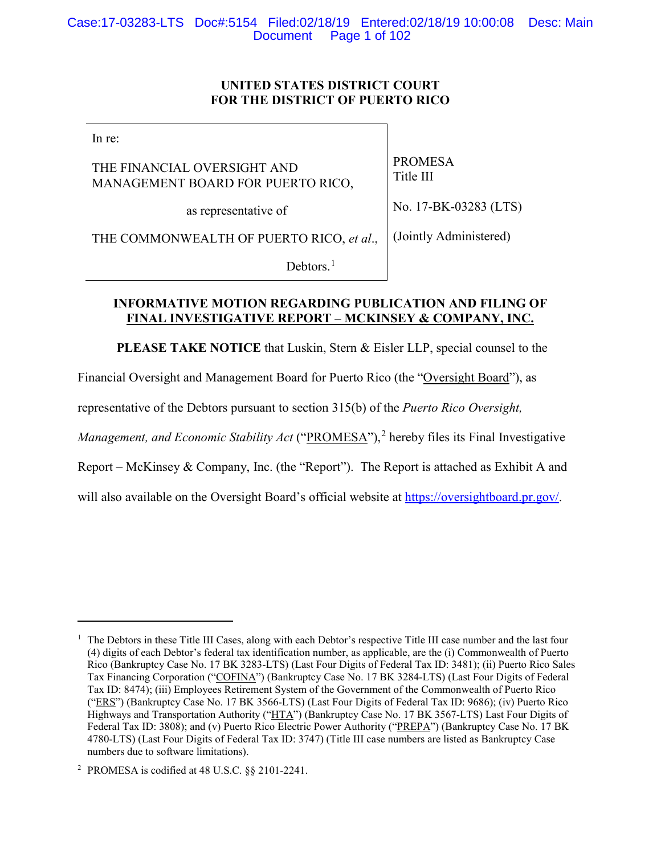### **UNITED STATES DISTRICT COURT FOR THE DISTRICT OF PUERTO RICO**

In re:

 $\overline{a}$ 

THE FINANCIAL OVERSIGHT AND MANAGEMENT BOARD FOR PUERTO RICO,

as representative of

PROMESA Title III

No. 17-BK-03283 (LTS)

THE COMMONWEALTH OF PUERTO RICO, *et al*., (Jointly Administered)

Debtors.<sup>1</sup>

### **INFORMATIVE MOTION REGARDING PUBLICATION AND FILING OF FINAL INVESTIGATIVE REPORT – MCKINSEY & COMPANY, INC.**

**PLEASE TAKE NOTICE** that Luskin, Stern & Eisler LLP, special counsel to the

Financial Oversight and Management Board for Puerto Rico (the "Oversight Board"), as

representative of the Debtors pursuant to section 315(b) of the *Puerto Rico Oversight,* 

*Management, and Economic Stability Act* ("PROMESA"),<sup>2</sup> hereby files its Final Investigative

Report – McKinsey & Company, Inc. (the "Report"). The Report is attached as Exhibit A and

will also available on the Oversight Board's official website at https://oversightboard.pr.gov/.

<sup>1</sup> The Debtors in these Title III Cases, along with each Debtor's respective Title III case number and the last four (4) digits of each Debtor's federal tax identification number, as applicable, are the (i) Commonwealth of Puerto Rico (Bankruptcy Case No. 17 BK 3283-LTS) (Last Four Digits of Federal Tax ID: 3481); (ii) Puerto Rico Sales Tax Financing Corporation ("COFINA") (Bankruptcy Case No. 17 BK 3284-LTS) (Last Four Digits of Federal Tax ID: 8474); (iii) Employees Retirement System of the Government of the Commonwealth of Puerto Rico ("ERS") (Bankruptcy Case No. 17 BK 3566-LTS) (Last Four Digits of Federal Tax ID: 9686); (iv) Puerto Rico Highways and Transportation Authority ("HTA") (Bankruptcy Case No. 17 BK 3567-LTS) Last Four Digits of Federal Tax ID: 3808); and (v) Puerto Rico Electric Power Authority ("PREPA") (Bankruptcy Case No. 17 BK 4780-LTS) (Last Four Digits of Federal Tax ID: 3747) (Title III case numbers are listed as Bankruptcy Case numbers due to software limitations).

<sup>2</sup> PROMESA is codified at 48 U.S.C. §§ 2101-2241.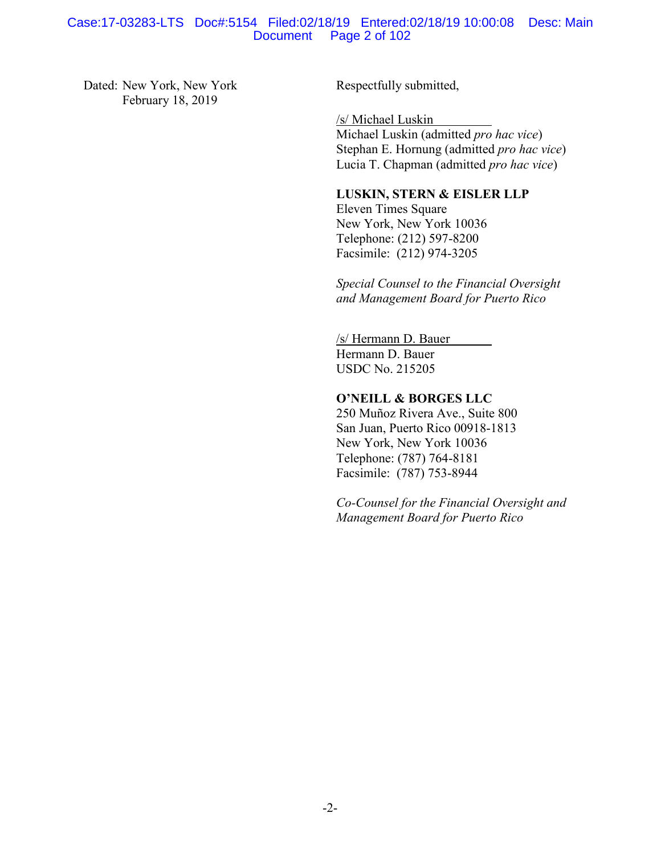#### Case:17-03283-LTS Doc#:5154 Filed:02/18/19 Entered:02/18/19 10:00:08 Desc: Main Page 2 of 102

Dated: New York, New York February 18, 2019

Respectfully submitted,

/s/ Michael Luskin Michael Luskin (admitted *pro hac vice*) Stephan E. Hornung (admitted *pro hac vice*) Lucia T. Chapman (admitted *pro hac vice*)

#### **LUSKIN, STERN & EISLER LLP**

Eleven Times Square New York, New York 10036 Telephone: (212) 597-8200 Facsimile: (212) 974-3205

*Special Counsel to the Financial Oversight and Management Board for Puerto Rico*

/s/ Hermann D. Bauer Hermann D. Bauer USDC No. 215205

### **O'NEILL & BORGES LLC**

250 Muñoz Rivera Ave., Suite 800 San Juan, Puerto Rico 00918-1813 New York, New York 10036 Telephone: (787) 764-8181 Facsimile: (787) 753-8944

*Co-Counsel for the Financial Oversight and Management Board for Puerto Rico*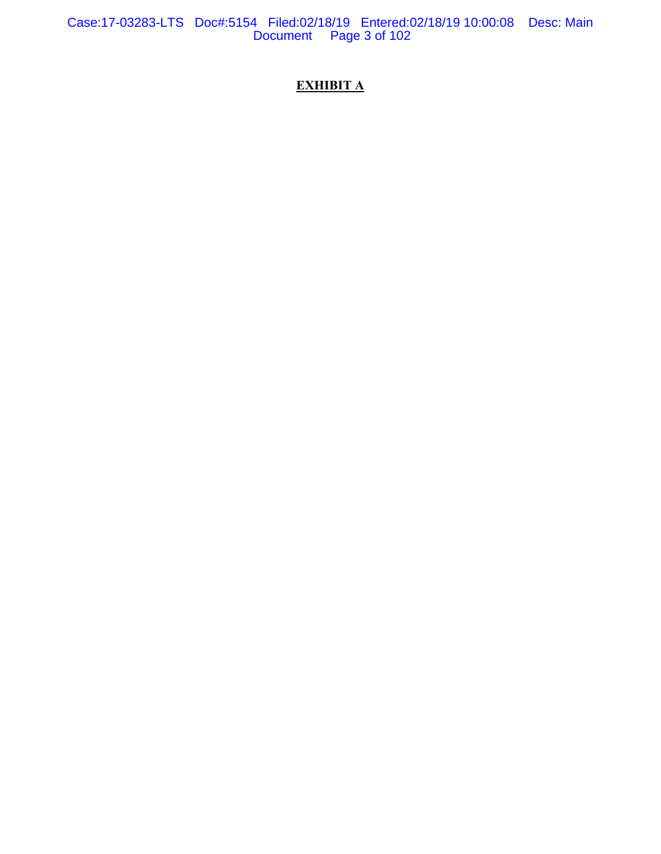Case:17-03283-LTS Doc#:5154 Filed:02/18/19 Entered:02/18/19 10:00:08 Desc: Main Document Page 3 of 102

# **EXHIBIT A**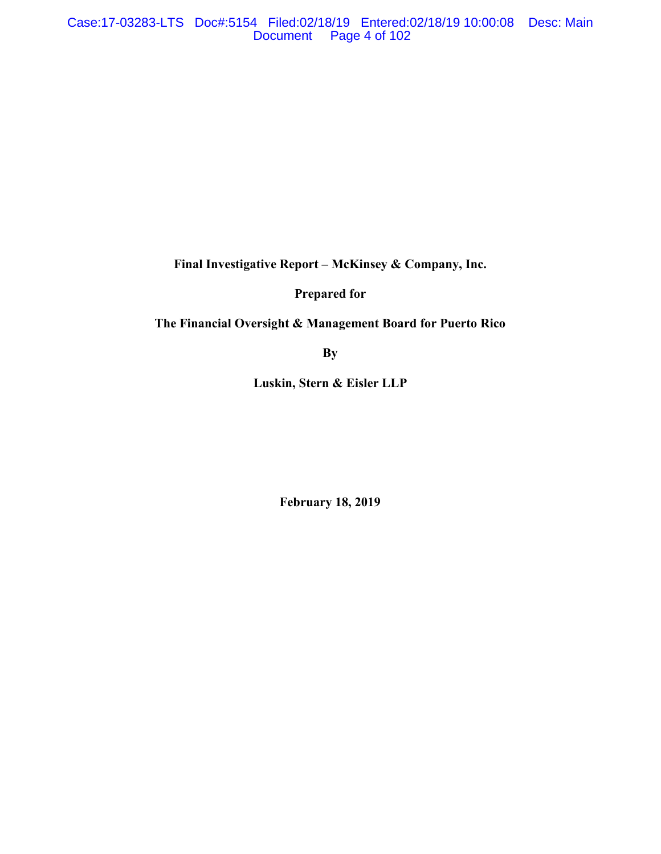**Final Investigative Report – McKinsey & Company, Inc.**

**Prepared for** 

# **The Financial Oversight & Management Board for Puerto Rico**

**By**

**Luskin, Stern & Eisler LLP**

**February 18, 2019**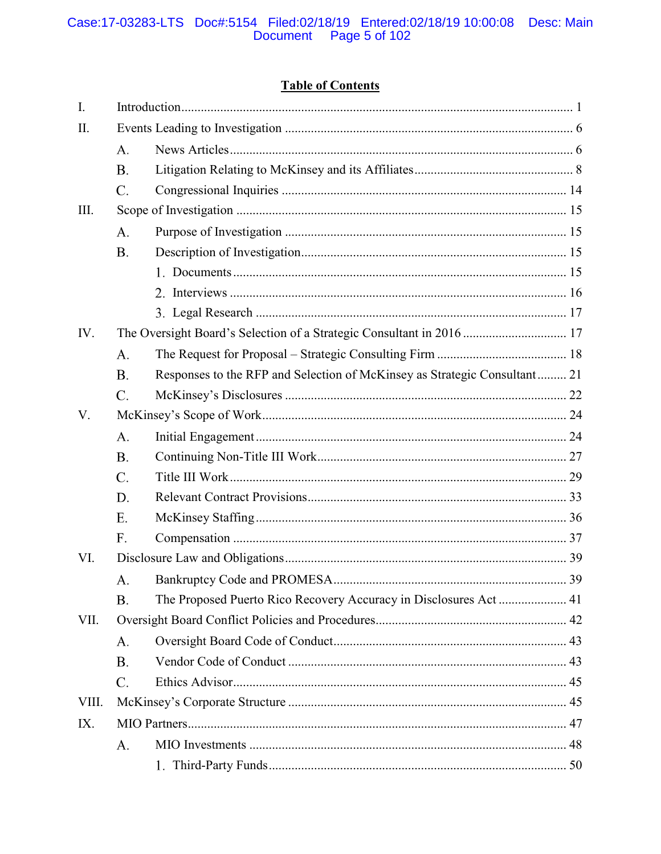# Case:17-03283-LTS Doc#:5154 Filed:02/18/19 Entered:02/18/19 10:00:08 Desc: Main<br>Document Page 5 of 102

# **Table of Contents**

| $I_{\cdot}$ |                                                                       |                                                                           |    |
|-------------|-----------------------------------------------------------------------|---------------------------------------------------------------------------|----|
| II.         |                                                                       |                                                                           |    |
|             | A.                                                                    |                                                                           |    |
|             | <b>B.</b>                                                             |                                                                           |    |
|             | C.                                                                    |                                                                           |    |
| III.        |                                                                       |                                                                           |    |
|             | A.                                                                    |                                                                           |    |
|             | <b>B.</b>                                                             |                                                                           |    |
|             |                                                                       |                                                                           |    |
|             |                                                                       |                                                                           |    |
|             |                                                                       |                                                                           |    |
| IV.         | The Oversight Board's Selection of a Strategic Consultant in 2016  17 |                                                                           |    |
|             | A.                                                                    |                                                                           |    |
|             | <b>B.</b>                                                             | Responses to the RFP and Selection of McKinsey as Strategic Consultant 21 |    |
|             | C.                                                                    |                                                                           |    |
| V.          |                                                                       |                                                                           |    |
|             | A.                                                                    |                                                                           |    |
|             | <b>B.</b>                                                             |                                                                           |    |
|             | $\mathcal{C}$ .                                                       |                                                                           |    |
|             | D.                                                                    |                                                                           |    |
|             | E.                                                                    |                                                                           |    |
|             | F.                                                                    |                                                                           |    |
| VI.         |                                                                       |                                                                           |    |
|             | А.                                                                    |                                                                           | 39 |
|             | Β.                                                                    |                                                                           |    |
| VII.        |                                                                       |                                                                           |    |
|             | A.                                                                    |                                                                           |    |
|             | <b>B.</b>                                                             |                                                                           |    |
|             | C.                                                                    |                                                                           |    |
| VIII.       |                                                                       |                                                                           |    |
| IX.         |                                                                       |                                                                           |    |
|             | A.                                                                    |                                                                           |    |
|             |                                                                       |                                                                           |    |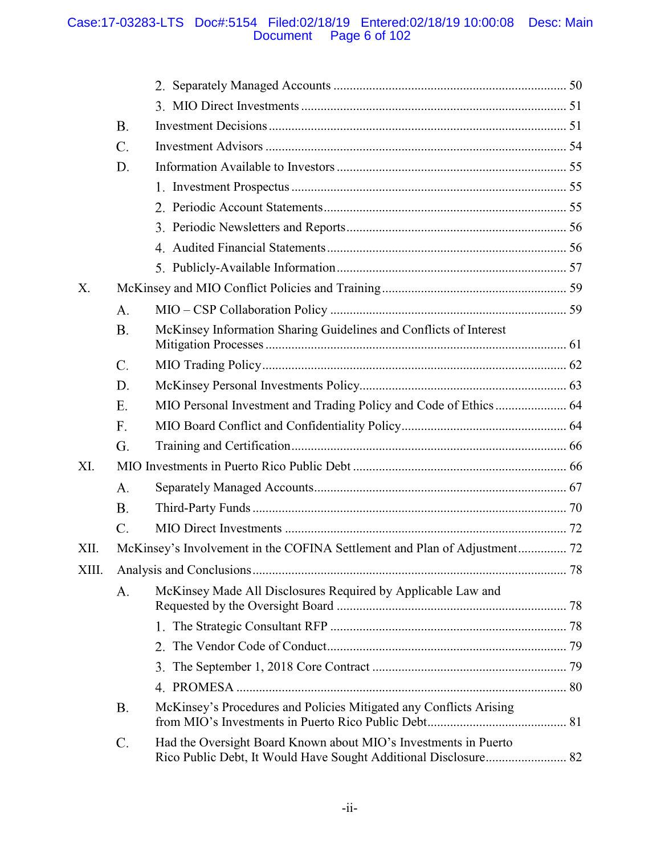### Case:17-03283-LTS Doc#:5154 Filed:02/18/19 Entered:02/18/19 10:00:08 Desc: Main Document Page 6 of 102

|       | <b>B.</b>       |                                                                           |  |
|-------|-----------------|---------------------------------------------------------------------------|--|
|       | $C$ .           |                                                                           |  |
|       | D.              |                                                                           |  |
|       |                 |                                                                           |  |
|       |                 |                                                                           |  |
|       |                 |                                                                           |  |
|       |                 |                                                                           |  |
|       |                 |                                                                           |  |
| X.    |                 |                                                                           |  |
|       | A.              |                                                                           |  |
|       | <b>B.</b>       | McKinsey Information Sharing Guidelines and Conflicts of Interest         |  |
|       | $\mathcal{C}$ . |                                                                           |  |
|       | D.              |                                                                           |  |
|       | E.              |                                                                           |  |
|       | F.              |                                                                           |  |
|       | G.              |                                                                           |  |
| XI.   |                 |                                                                           |  |
|       | A.              |                                                                           |  |
|       | <b>B.</b>       |                                                                           |  |
|       | C.              |                                                                           |  |
| XII.  |                 | McKinsey's Involvement in the COFINA Settlement and Plan of Adjustment 72 |  |
| XIII. |                 |                                                                           |  |
|       | A.              | McKinsey Made All Disclosures Required by Applicable Law and              |  |
|       |                 |                                                                           |  |
|       |                 | 2.                                                                        |  |
|       |                 | 3.                                                                        |  |
|       |                 |                                                                           |  |
|       | <b>B.</b>       | McKinsey's Procedures and Policies Mitigated any Conflicts Arising        |  |
|       | $\mathcal{C}$ . | Had the Oversight Board Known about MIO's Investments in Puerto           |  |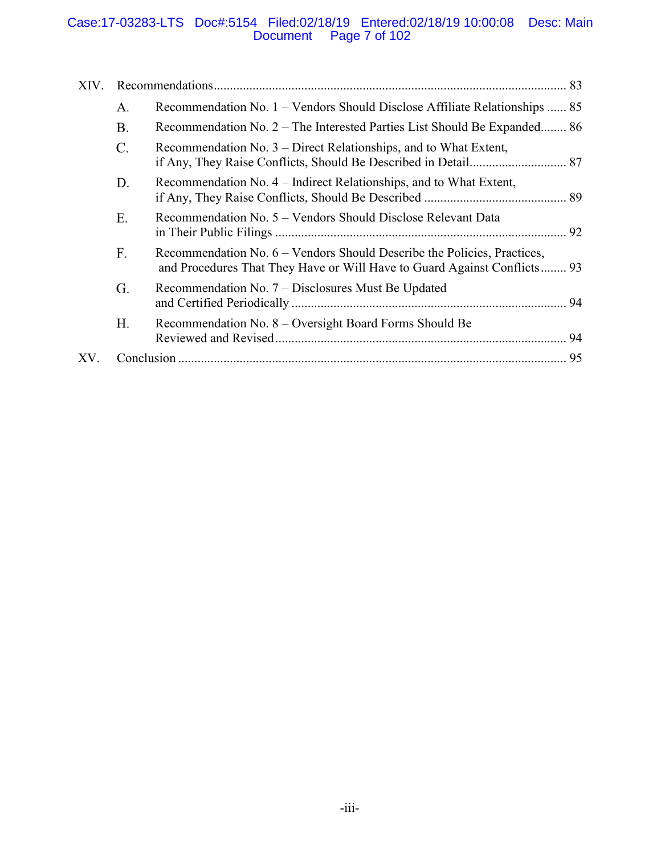### Case:17-03283-LTS Doc#:5154 Filed:02/18/19 Entered:02/18/19 10:00:08 Desc: Main Document Page 7 of 102

| XIV. |                 |                                                                                                                                                     |    |
|------|-----------------|-----------------------------------------------------------------------------------------------------------------------------------------------------|----|
|      | A.              | Recommendation No. 1 – Vendors Should Disclose Affiliate Relationships  85                                                                          |    |
|      | <b>B.</b>       | Recommendation No. 2 – The Interested Parties List Should Be Expanded 86                                                                            |    |
|      | $\mathcal{C}$ . | Recommendation No. 3 – Direct Relationships, and to What Extent,                                                                                    |    |
|      | D.              | Recommendation No. 4 – Indirect Relationships, and to What Extent,                                                                                  |    |
|      | Ε.              | Recommendation No. 5 – Vendors Should Disclose Relevant Data                                                                                        | 92 |
|      | F.              | Recommendation No. 6 – Vendors Should Describe the Policies, Practices,<br>and Procedures That They Have or Will Have to Guard Against Conflicts 93 |    |
|      | G.              | Recommendation No. 7 – Disclosures Must Be Updated                                                                                                  |    |
|      | Η.              | Recommendation No. 8 – Oversight Board Forms Should Be                                                                                              | 94 |
| XV.  |                 |                                                                                                                                                     | 95 |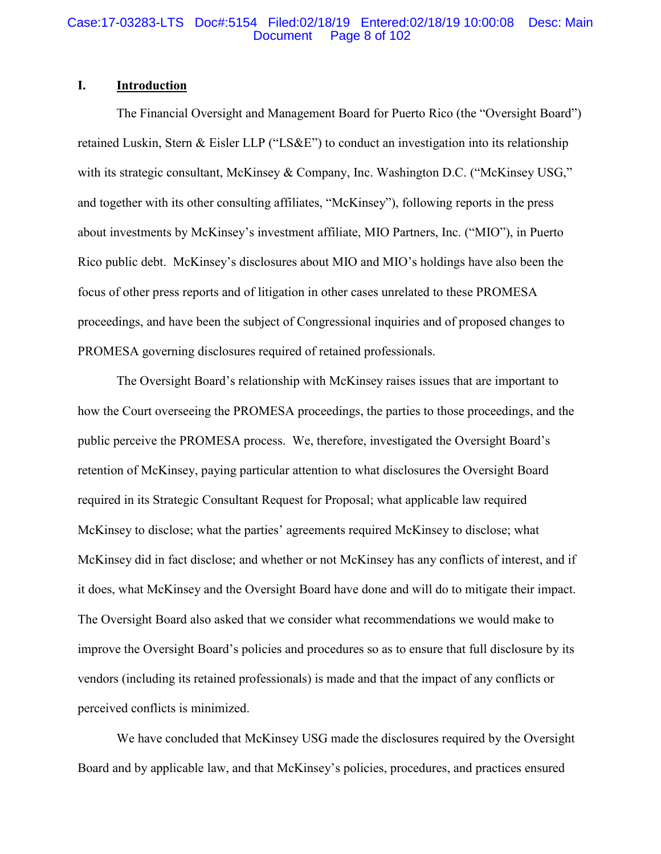#### Case:17-03283-LTS Doc#:5154 Filed:02/18/19 Entered:02/18/19 10:00:08 Desc: Main Page 8 of 102

### **I. Introduction**

The Financial Oversight and Management Board for Puerto Rico (the "Oversight Board") retained Luskin, Stern & Eisler LLP ("LS&E") to conduct an investigation into its relationship with its strategic consultant, McKinsey & Company, Inc. Washington D.C. ("McKinsey USG," and together with its other consulting affiliates, "McKinsey"), following reports in the press about investments by McKinsey's investment affiliate, MIO Partners, Inc. ("MIO"), in Puerto Rico public debt. McKinsey's disclosures about MIO and MIO's holdings have also been the focus of other press reports and of litigation in other cases unrelated to these PROMESA proceedings, and have been the subject of Congressional inquiries and of proposed changes to PROMESA governing disclosures required of retained professionals.

The Oversight Board's relationship with McKinsey raises issues that are important to how the Court overseeing the PROMESA proceedings, the parties to those proceedings, and the public perceive the PROMESA process. We, therefore, investigated the Oversight Board's retention of McKinsey, paying particular attention to what disclosures the Oversight Board required in its Strategic Consultant Request for Proposal; what applicable law required McKinsey to disclose; what the parties' agreements required McKinsey to disclose; what McKinsey did in fact disclose; and whether or not McKinsey has any conflicts of interest, and if it does, what McKinsey and the Oversight Board have done and will do to mitigate their impact. The Oversight Board also asked that we consider what recommendations we would make to improve the Oversight Board's policies and procedures so as to ensure that full disclosure by its vendors (including its retained professionals) is made and that the impact of any conflicts or perceived conflicts is minimized.

We have concluded that McKinsey USG made the disclosures required by the Oversight Board and by applicable law, and that McKinsey's policies, procedures, and practices ensured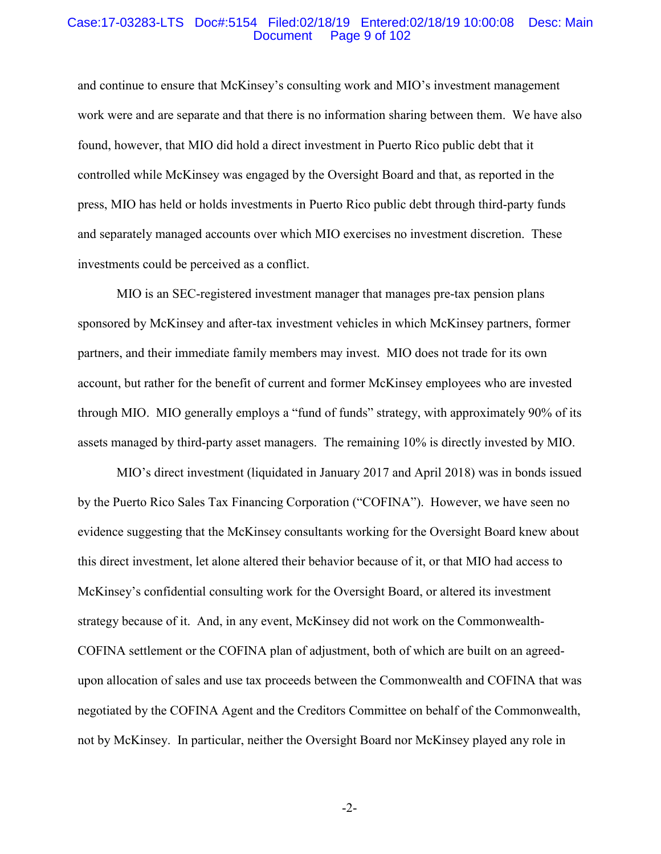#### Case:17-03283-LTS Doc#:5154 Filed:02/18/19 Entered:02/18/19 10:00:08 Desc: Main Page 9 of 102

and continue to ensure that McKinsey's consulting work and MIO's investment management work were and are separate and that there is no information sharing between them. We have also found, however, that MIO did hold a direct investment in Puerto Rico public debt that it controlled while McKinsey was engaged by the Oversight Board and that, as reported in the press, MIO has held or holds investments in Puerto Rico public debt through third-party funds and separately managed accounts over which MIO exercises no investment discretion. These investments could be perceived as a conflict.

MIO is an SEC-registered investment manager that manages pre-tax pension plans sponsored by McKinsey and after-tax investment vehicles in which McKinsey partners, former partners, and their immediate family members may invest. MIO does not trade for its own account, but rather for the benefit of current and former McKinsey employees who are invested through MIO. MIO generally employs a "fund of funds" strategy, with approximately 90% of its assets managed by third-party asset managers. The remaining 10% is directly invested by MIO.

MIO's direct investment (liquidated in January 2017 and April 2018) was in bonds issued by the Puerto Rico Sales Tax Financing Corporation ("COFINA"). However, we have seen no evidence suggesting that the McKinsey consultants working for the Oversight Board knew about this direct investment, let alone altered their behavior because of it, or that MIO had access to McKinsey's confidential consulting work for the Oversight Board, or altered its investment strategy because of it. And, in any event, McKinsey did not work on the Commonwealth-COFINA settlement or the COFINA plan of adjustment, both of which are built on an agreedupon allocation of sales and use tax proceeds between the Commonwealth and COFINA that was negotiated by the COFINA Agent and the Creditors Committee on behalf of the Commonwealth, not by McKinsey. In particular, neither the Oversight Board nor McKinsey played any role in

-2-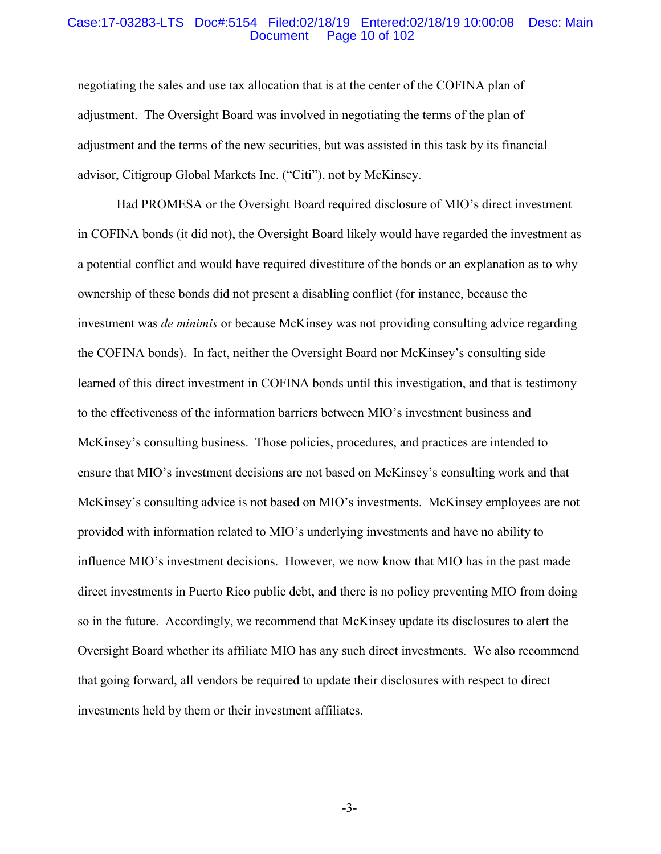#### Case:17-03283-LTS Doc#:5154 Filed:02/18/19 Entered:02/18/19 10:00:08 Desc: Main Page 10 of 102

negotiating the sales and use tax allocation that is at the center of the COFINA plan of adjustment. The Oversight Board was involved in negotiating the terms of the plan of adjustment and the terms of the new securities, but was assisted in this task by its financial advisor, Citigroup Global Markets Inc. ("Citi"), not by McKinsey.

Had PROMESA or the Oversight Board required disclosure of MIO's direct investment in COFINA bonds (it did not), the Oversight Board likely would have regarded the investment as a potential conflict and would have required divestiture of the bonds or an explanation as to why ownership of these bonds did not present a disabling conflict (for instance, because the investment was *de minimis* or because McKinsey was not providing consulting advice regarding the COFINA bonds). In fact, neither the Oversight Board nor McKinsey's consulting side learned of this direct investment in COFINA bonds until this investigation, and that is testimony to the effectiveness of the information barriers between MIO's investment business and McKinsey's consulting business. Those policies, procedures, and practices are intended to ensure that MIO's investment decisions are not based on McKinsey's consulting work and that McKinsey's consulting advice is not based on MIO's investments. McKinsey employees are not provided with information related to MIO's underlying investments and have no ability to influence MIO's investment decisions. However, we now know that MIO has in the past made direct investments in Puerto Rico public debt, and there is no policy preventing MIO from doing so in the future. Accordingly, we recommend that McKinsey update its disclosures to alert the Oversight Board whether its affiliate MIO has any such direct investments. We also recommend that going forward, all vendors be required to update their disclosures with respect to direct investments held by them or their investment affiliates.

-3-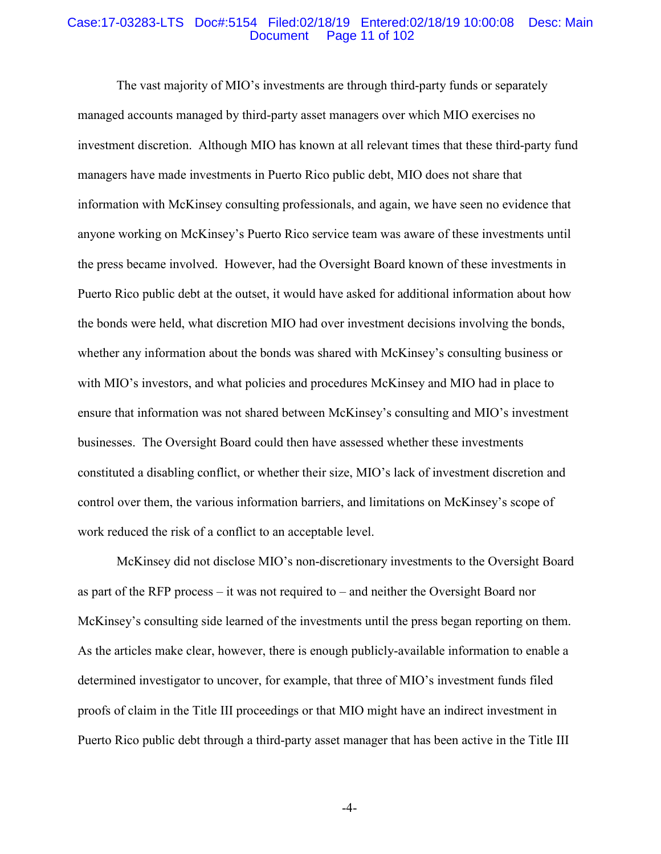#### Case:17-03283-LTS Doc#:5154 Filed:02/18/19 Entered:02/18/19 10:00:08 Desc: Main Page 11 of 102

The vast majority of MIO's investments are through third-party funds or separately managed accounts managed by third-party asset managers over which MIO exercises no investment discretion. Although MIO has known at all relevant times that these third-party fund managers have made investments in Puerto Rico public debt, MIO does not share that information with McKinsey consulting professionals, and again, we have seen no evidence that anyone working on McKinsey's Puerto Rico service team was aware of these investments until the press became involved. However, had the Oversight Board known of these investments in Puerto Rico public debt at the outset, it would have asked for additional information about how the bonds were held, what discretion MIO had over investment decisions involving the bonds, whether any information about the bonds was shared with McKinsey's consulting business or with MIO's investors, and what policies and procedures McKinsey and MIO had in place to ensure that information was not shared between McKinsey's consulting and MIO's investment businesses. The Oversight Board could then have assessed whether these investments constituted a disabling conflict, or whether their size, MIO's lack of investment discretion and control over them, the various information barriers, and limitations on McKinsey's scope of work reduced the risk of a conflict to an acceptable level.

McKinsey did not disclose MIO's non-discretionary investments to the Oversight Board as part of the RFP process – it was not required to – and neither the Oversight Board nor McKinsey's consulting side learned of the investments until the press began reporting on them. As the articles make clear, however, there is enough publicly-available information to enable a determined investigator to uncover, for example, that three of MIO's investment funds filed proofs of claim in the Title III proceedings or that MIO might have an indirect investment in Puerto Rico public debt through a third-party asset manager that has been active in the Title III

-4-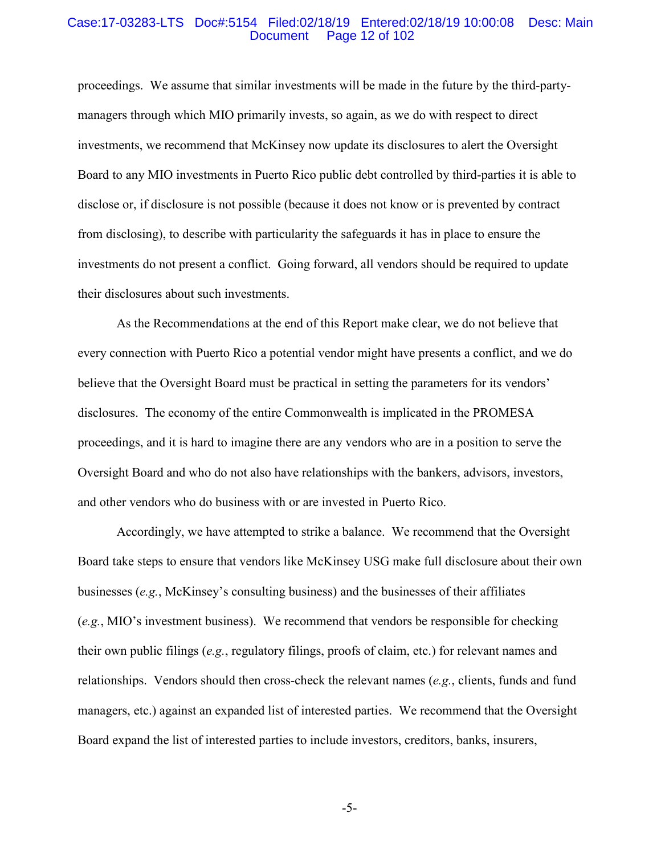#### Case:17-03283-LTS Doc#:5154 Filed:02/18/19 Entered:02/18/19 10:00:08 Desc: Main Page 12 of 102

proceedings. We assume that similar investments will be made in the future by the third-partymanagers through which MIO primarily invests, so again, as we do with respect to direct investments, we recommend that McKinsey now update its disclosures to alert the Oversight Board to any MIO investments in Puerto Rico public debt controlled by third-parties it is able to disclose or, if disclosure is not possible (because it does not know or is prevented by contract from disclosing), to describe with particularity the safeguards it has in place to ensure the investments do not present a conflict. Going forward, all vendors should be required to update their disclosures about such investments.

As the Recommendations at the end of this Report make clear, we do not believe that every connection with Puerto Rico a potential vendor might have presents a conflict, and we do believe that the Oversight Board must be practical in setting the parameters for its vendors' disclosures. The economy of the entire Commonwealth is implicated in the PROMESA proceedings, and it is hard to imagine there are any vendors who are in a position to serve the Oversight Board and who do not also have relationships with the bankers, advisors, investors, and other vendors who do business with or are invested in Puerto Rico.

Accordingly, we have attempted to strike a balance. We recommend that the Oversight Board take steps to ensure that vendors like McKinsey USG make full disclosure about their own businesses (*e.g.*, McKinsey's consulting business) and the businesses of their affiliates (*e.g.*, MIO's investment business). We recommend that vendors be responsible for checking their own public filings (*e.g.*, regulatory filings, proofs of claim, etc.) for relevant names and relationships. Vendors should then cross-check the relevant names (*e.g.*, clients, funds and fund managers, etc.) against an expanded list of interested parties. We recommend that the Oversight Board expand the list of interested parties to include investors, creditors, banks, insurers,

-5-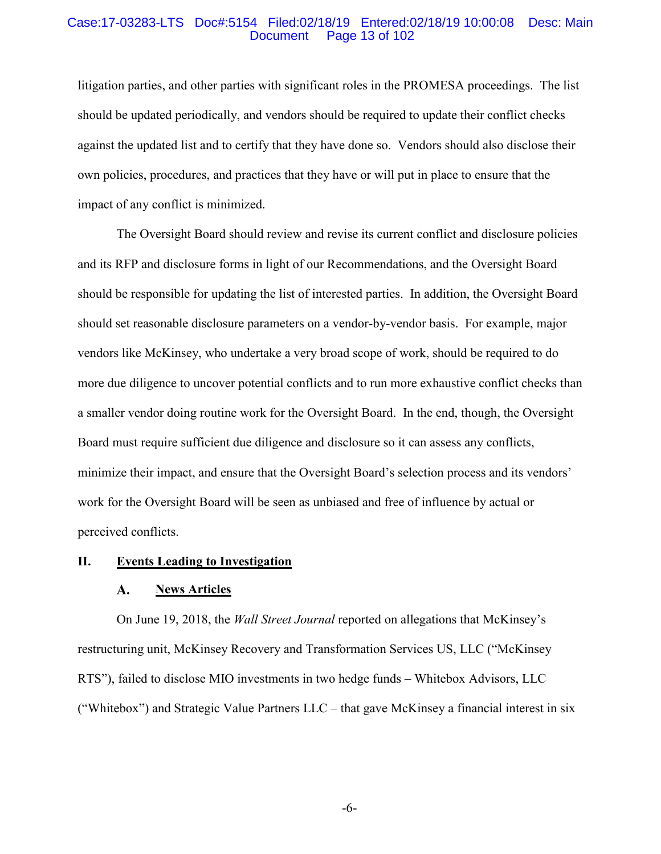#### Case:17-03283-LTS Doc#:5154 Filed:02/18/19 Entered:02/18/19 10:00:08 Desc: Main Page 13 of 102

litigation parties, and other parties with significant roles in the PROMESA proceedings. The list should be updated periodically, and vendors should be required to update their conflict checks against the updated list and to certify that they have done so. Vendors should also disclose their own policies, procedures, and practices that they have or will put in place to ensure that the impact of any conflict is minimized.

The Oversight Board should review and revise its current conflict and disclosure policies and its RFP and disclosure forms in light of our Recommendations, and the Oversight Board should be responsible for updating the list of interested parties. In addition, the Oversight Board should set reasonable disclosure parameters on a vendor-by-vendor basis. For example, major vendors like McKinsey, who undertake a very broad scope of work, should be required to do more due diligence to uncover potential conflicts and to run more exhaustive conflict checks than a smaller vendor doing routine work for the Oversight Board. In the end, though, the Oversight Board must require sufficient due diligence and disclosure so it can assess any conflicts, minimize their impact, and ensure that the Oversight Board's selection process and its vendors' work for the Oversight Board will be seen as unbiased and free of influence by actual or perceived conflicts.

#### **II. Events Leading to Investigation**

#### A. **News Articles**

On June 19, 2018, the *Wall Street Journal* reported on allegations that McKinsey's restructuring unit, McKinsey Recovery and Transformation Services US, LLC ("McKinsey RTS"), failed to disclose MIO investments in two hedge funds – Whitebox Advisors, LLC ("Whitebox") and Strategic Value Partners LLC – that gave McKinsey a financial interest in six

-6-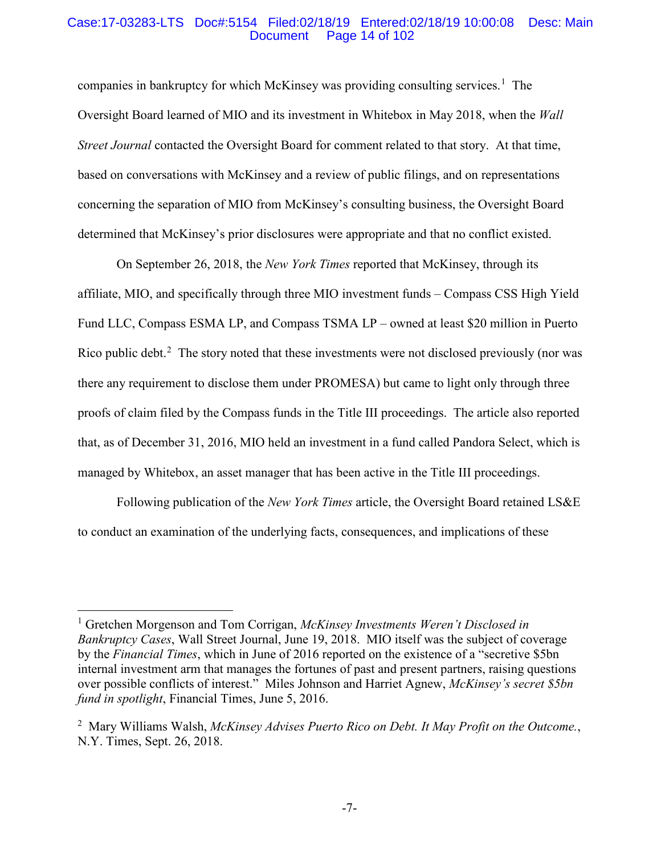#### Case:17-03283-LTS Doc#:5154 Filed:02/18/19 Entered:02/18/19 10:00:08 Desc: Main Page 14 of 102

companies in bankruptcy for which McKinsey was providing consulting services.<sup>1</sup> The Oversight Board learned of MIO and its investment in Whitebox in May 2018, when the *Wall Street Journal* contacted the Oversight Board for comment related to that story. At that time, based on conversations with McKinsey and a review of public filings, and on representations concerning the separation of MIO from McKinsey's consulting business, the Oversight Board determined that McKinsey's prior disclosures were appropriate and that no conflict existed.

On September 26, 2018, the *New York Times* reported that McKinsey, through its affiliate, MIO, and specifically through three MIO investment funds – Compass CSS High Yield Fund LLC, Compass ESMA LP, and Compass TSMA LP – owned at least \$20 million in Puerto Rico public debt. $2$  The story noted that these investments were not disclosed previously (nor was there any requirement to disclose them under PROMESA) but came to light only through three proofs of claim filed by the Compass funds in the Title III proceedings. The article also reported that, as of December 31, 2016, MIO held an investment in a fund called Pandora Select, which is managed by Whitebox, an asset manager that has been active in the Title III proceedings.

Following publication of the *New York Times* article, the Oversight Board retained LS&E to conduct an examination of the underlying facts, consequences, and implications of these

 <sup>1</sup> Gretchen Morgenson and Tom Corrigan, *McKinsey Investments Weren't Disclosed in Bankruptcy Cases*, Wall Street Journal, June 19, 2018. MIO itself was the subject of coverage by the *Financial Times*, which in June of 2016 reported on the existence of a "secretive \$5bn internal investment arm that manages the fortunes of past and present partners, raising questions over possible conflicts of interest." Miles Johnson and Harriet Agnew, *McKinsey's secret \$5bn fund in spotlight*, Financial Times, June 5, 2016.

<sup>2</sup> Mary Williams Walsh, *McKinsey Advises Puerto Rico on Debt. It May Profit on the Outcome.*, N.Y. Times, Sept. 26, 2018.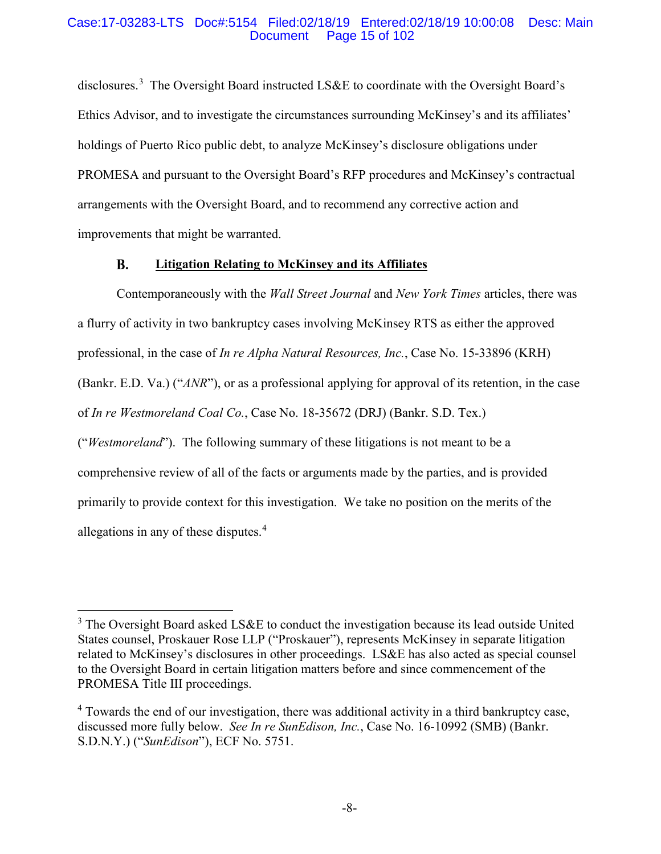#### Case:17-03283-LTS Doc#:5154 Filed:02/18/19 Entered:02/18/19 10:00:08 Desc: Main Page 15 of 102

disclosures.<sup>3</sup> The Oversight Board instructed LS&E to coordinate with the Oversight Board's Ethics Advisor, and to investigate the circumstances surrounding McKinsey's and its affiliates' holdings of Puerto Rico public debt, to analyze McKinsey's disclosure obligations under PROMESA and pursuant to the Oversight Board's RFP procedures and McKinsey's contractual arrangements with the Oversight Board, and to recommend any corrective action and improvements that might be warranted.

#### **B. Litigation Relating to McKinsey and its Affiliates**

Contemporaneously with the *Wall Street Journal* and *New York Times* articles, there was a flurry of activity in two bankruptcy cases involving McKinsey RTS as either the approved professional, in the case of *In re Alpha Natural Resources, Inc.*, Case No. 15-33896 (KRH) (Bankr. E.D. Va.) ("*ANR*"), or as a professional applying for approval of its retention, in the case of *In re Westmoreland Coal Co.*, Case No. 18-35672 (DRJ) (Bankr. S.D. Tex.) ("*Westmoreland*"). The following summary of these litigations is not meant to be a comprehensive review of all of the facts or arguments made by the parties, and is provided primarily to provide context for this investigation. We take no position on the merits of the allegations in any of these disputes.<sup>4</sup>

<sup>&</sup>lt;sup>3</sup> The Oversight Board asked LS&E to conduct the investigation because its lead outside United States counsel, Proskauer Rose LLP ("Proskauer"), represents McKinsey in separate litigation related to McKinsey's disclosures in other proceedings. LS&E has also acted as special counsel to the Oversight Board in certain litigation matters before and since commencement of the PROMESA Title III proceedings.

<sup>&</sup>lt;sup>4</sup> Towards the end of our investigation, there was additional activity in a third bankruptcy case, discussed more fully below. *See In re SunEdison, Inc.*, Case No. 16-10992 (SMB) (Bankr. S.D.N.Y.) ("*SunEdison*"), ECF No. 5751.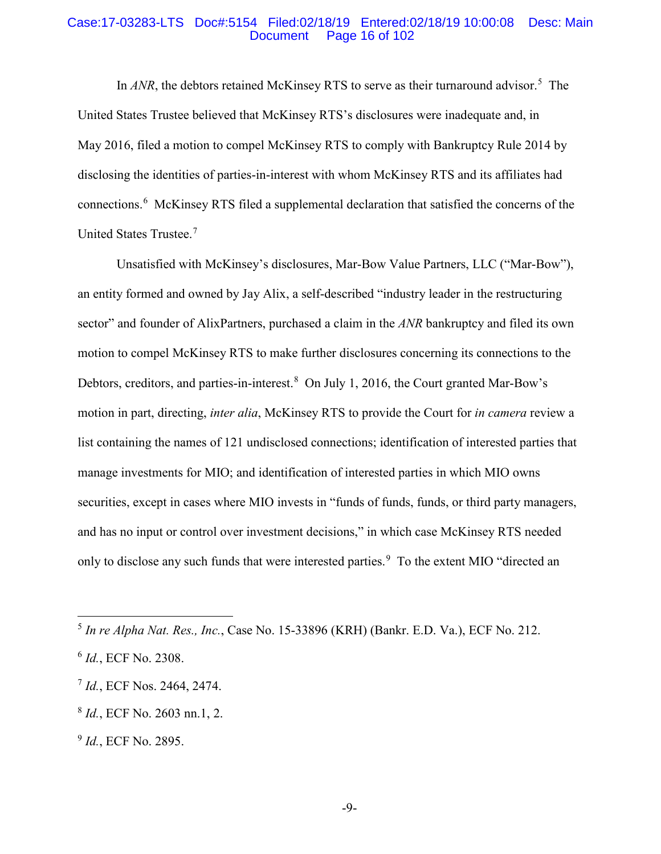#### Case:17-03283-LTS Doc#:5154 Filed:02/18/19 Entered:02/18/19 10:00:08 Desc: Main Page 16 of 102

In ANR, the debtors retained McKinsey RTS to serve as their turnaround advisor.<sup>5</sup> The United States Trustee believed that McKinsey RTS's disclosures were inadequate and, in May 2016, filed a motion to compel McKinsey RTS to comply with Bankruptcy Rule 2014 by disclosing the identities of parties-in-interest with whom McKinsey RTS and its affiliates had connections. 6 McKinsey RTS filed a supplemental declaration that satisfied the concerns of the United States Trustee.<sup>7</sup>

Unsatisfied with McKinsey's disclosures, Mar-Bow Value Partners, LLC ("Mar-Bow"), an entity formed and owned by Jay Alix, a self-described "industry leader in the restructuring sector" and founder of AlixPartners, purchased a claim in the *ANR* bankruptcy and filed its own motion to compel McKinsey RTS to make further disclosures concerning its connections to the Debtors, creditors, and parties-in-interest.<sup>8</sup> On July 1, 2016, the Court granted Mar-Bow's motion in part, directing, *inter alia*, McKinsey RTS to provide the Court for *in camera* review a list containing the names of 121 undisclosed connections; identification of interested parties that manage investments for MIO; and identification of interested parties in which MIO owns securities, except in cases where MIO invests in "funds of funds, funds, or third party managers, and has no input or control over investment decisions," in which case McKinsey RTS needed only to disclose any such funds that were interested parties.<sup>9</sup> To the extent MIO "directed an

 <sup>5</sup> *In re Alpha Nat. Res., Inc.*, Case No. 15-33896 (KRH) (Bankr. E.D. Va.), ECF No. 212.

<sup>6</sup> *Id.*, ECF No. 2308.

<sup>7</sup> *Id.*, ECF Nos. 2464, 2474.

<sup>8</sup> *Id.*, ECF No. 2603 nn.1, 2.

<sup>9</sup> *Id.*, ECF No. 2895.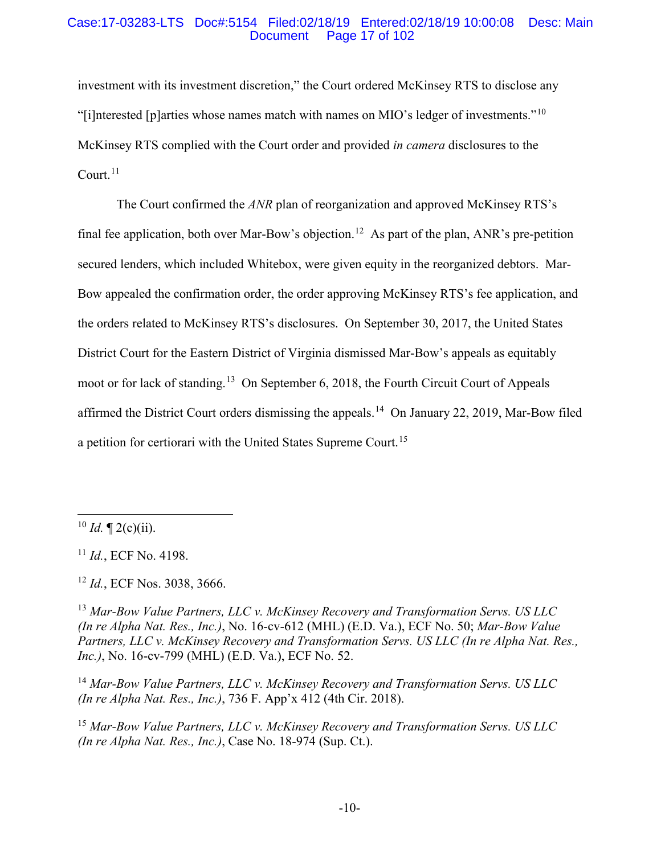### Case:17-03283-LTS Doc#:5154 Filed:02/18/19 Entered:02/18/19 10:00:08 Desc: Main Page 17 of 102

investment with its investment discretion," the Court ordered McKinsey RTS to disclose any "[i]nterested [p]arties whose names match with names on MIO's ledger of investments."<sup>10</sup> McKinsey RTS complied with the Court order and provided *in camera* disclosures to the Court.<sup>11</sup>

The Court confirmed the *ANR* plan of reorganization and approved McKinsey RTS's final fee application, both over Mar-Bow's objection.<sup>12</sup> As part of the plan, ANR's pre-petition secured lenders, which included Whitebox, were given equity in the reorganized debtors. Mar-Bow appealed the confirmation order, the order approving McKinsey RTS's fee application, and the orders related to McKinsey RTS's disclosures. On September 30, 2017, the United States District Court for the Eastern District of Virginia dismissed Mar-Bow's appeals as equitably moot or for lack of standing.13 On September 6, 2018, the Fourth Circuit Court of Appeals affirmed the District Court orders dismissing the appeals.<sup>14</sup> On January 22, 2019, Mar-Bow filed a petition for certiorari with the United States Supreme Court.<sup>15</sup>

<sup>14</sup> *Mar-Bow Value Partners, LLC v. McKinsey Recovery and Transformation Servs. US LLC (In re Alpha Nat. Res., Inc.)*, 736 F. App'x 412 (4th Cir. 2018).

<sup>15</sup> *Mar-Bow Value Partners, LLC v. McKinsey Recovery and Transformation Servs. US LLC (In re Alpha Nat. Res., Inc.)*, Case No. 18-974 (Sup. Ct.).

 $^{10}$  *Id.*  $\P$  2(c)(ii).

<sup>11</sup> *Id.*, ECF No. 4198.

<sup>12</sup> *Id.*, ECF Nos. 3038, 3666.

<sup>13</sup> *Mar-Bow Value Partners, LLC v. McKinsey Recovery and Transformation Servs. US LLC (In re Alpha Nat. Res., Inc.)*, No. 16-cv-612 (MHL) (E.D. Va.), ECF No. 50; *Mar-Bow Value Partners, LLC v. McKinsey Recovery and Transformation Servs. US LLC (In re Alpha Nat. Res., Inc.)*, No. 16-cv-799 (MHL) (E.D. Va.), ECF No. 52.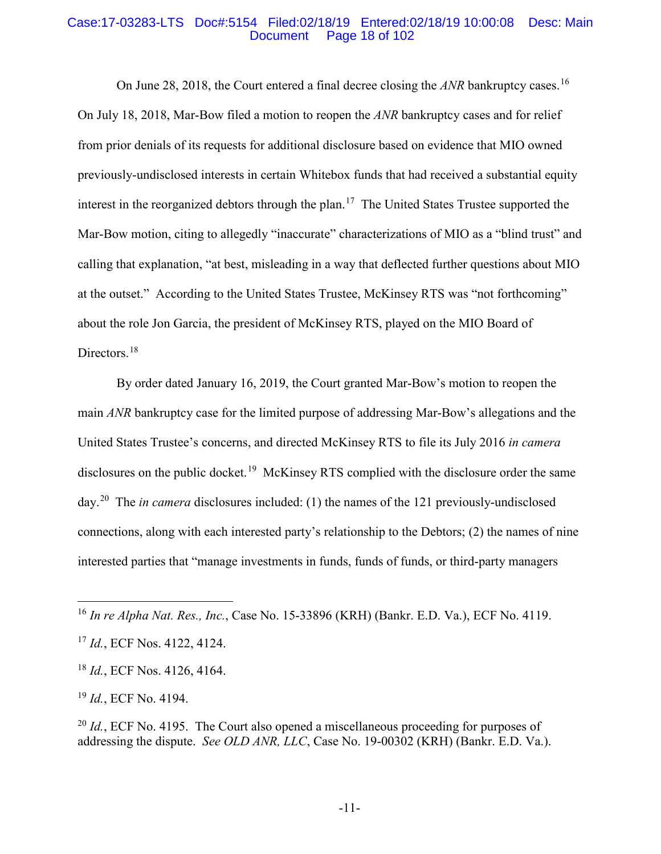#### Case:17-03283-LTS Doc#:5154 Filed:02/18/19 Entered:02/18/19 10:00:08 Desc: Main Page 18 of 102

On June 28, 2018, the Court entered a final decree closing the *ANR* bankruptcy cases.<sup>16</sup> On July 18, 2018, Mar-Bow filed a motion to reopen the *ANR* bankruptcy cases and for relief from prior denials of its requests for additional disclosure based on evidence that MIO owned previously-undisclosed interests in certain Whitebox funds that had received a substantial equity interest in the reorganized debtors through the plan. 17 The United States Trustee supported the Mar-Bow motion, citing to allegedly "inaccurate" characterizations of MIO as a "blind trust" and calling that explanation, "at best, misleading in a way that deflected further questions about MIO at the outset." According to the United States Trustee, McKinsey RTS was "not forthcoming" about the role Jon Garcia, the president of McKinsey RTS, played on the MIO Board of Directors.<sup>18</sup>

By order dated January 16, 2019, the Court granted Mar-Bow's motion to reopen the main *ANR* bankruptcy case for the limited purpose of addressing Mar-Bow's allegations and the United States Trustee's concerns, and directed McKinsey RTS to file its July 2016 *in camera* disclosures on the public docket.<sup>19</sup> McKinsey RTS complied with the disclosure order the same day.<sup>20</sup> The *in camera* disclosures included: (1) the names of the 121 previously-undisclosed connections, along with each interested party's relationship to the Debtors; (2) the names of nine interested parties that "manage investments in funds, funds of funds, or third-party managers

<sup>19</sup> *Id.*, ECF No. 4194.

<sup>20</sup> *Id.*, ECF No. 4195. The Court also opened a miscellaneous proceeding for purposes of addressing the dispute. *See OLD ANR, LLC*, Case No. 19-00302 (KRH) (Bankr. E.D. Va.).

 <sup>16</sup> *In re Alpha Nat. Res., Inc.*, Case No. 15-33896 (KRH) (Bankr. E.D. Va.), ECF No. 4119.

<sup>17</sup> *Id.*, ECF Nos. 4122, 4124.

<sup>18</sup> *Id.*, ECF Nos. 4126, 4164.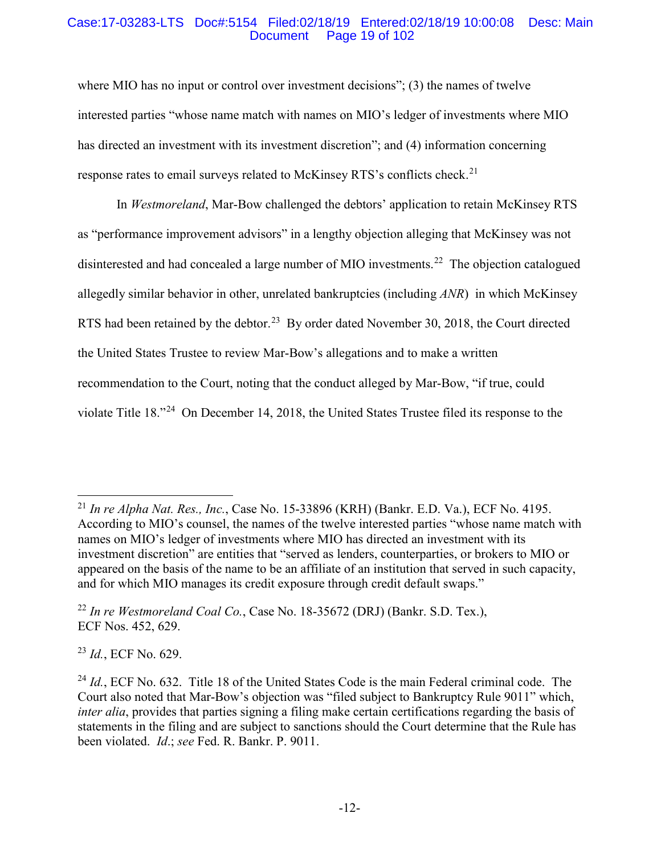### Case:17-03283-LTS Doc#:5154 Filed:02/18/19 Entered:02/18/19 10:00:08 Desc: Main Page 19 of 102

where MIO has no input or control over investment decisions"; (3) the names of twelve interested parties "whose name match with names on MIO's ledger of investments where MIO has directed an investment with its investment discretion"; and (4) information concerning response rates to email surveys related to McKinsey RTS's conflicts check.<sup>21</sup>

In *Westmoreland*, Mar-Bow challenged the debtors' application to retain McKinsey RTS as "performance improvement advisors" in a lengthy objection alleging that McKinsey was not disinterested and had concealed a large number of MIO investments.<sup>22</sup> The objection catalogued allegedly similar behavior in other, unrelated bankruptcies (including *ANR*) in which McKinsey RTS had been retained by the debtor.<sup>23</sup> By order dated November 30, 2018, the Court directed the United States Trustee to review Mar-Bow's allegations and to make a written recommendation to the Court, noting that the conduct alleged by Mar-Bow, "if true, could violate Title 18."24 On December 14, 2018, the United States Trustee filed its response to the

<sup>23</sup> *Id.*, ECF No. 629.

 <sup>21</sup> *In re Alpha Nat. Res., Inc.*, Case No. 15-33896 (KRH) (Bankr. E.D. Va.), ECF No. 4195. According to MIO's counsel, the names of the twelve interested parties "whose name match with names on MIO's ledger of investments where MIO has directed an investment with its investment discretion" are entities that "served as lenders, counterparties, or brokers to MIO or appeared on the basis of the name to be an affiliate of an institution that served in such capacity, and for which MIO manages its credit exposure through credit default swaps."

<sup>22</sup> *In re Westmoreland Coal Co.*, Case No. 18-35672 (DRJ) (Bankr. S.D. Tex.), ECF Nos. 452, 629.

<sup>&</sup>lt;sup>24</sup> *Id.*, ECF No. 632. Title 18 of the United States Code is the main Federal criminal code. The Court also noted that Mar-Bow's objection was "filed subject to Bankruptcy Rule 9011" which, *inter alia*, provides that parties signing a filing make certain certifications regarding the basis of statements in the filing and are subject to sanctions should the Court determine that the Rule has been violated. *Id*.; *see* Fed. R. Bankr. P. 9011.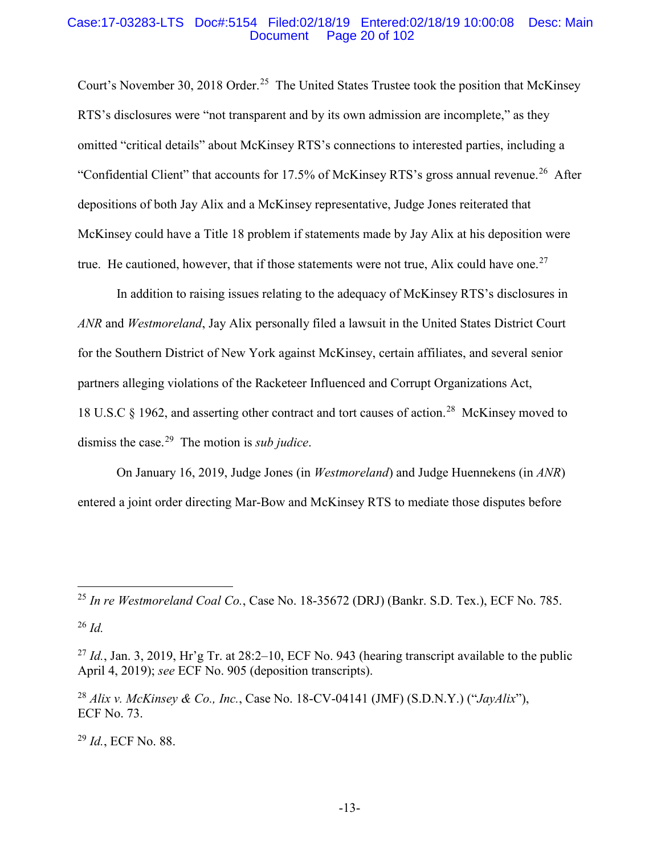#### Case:17-03283-LTS Doc#:5154 Filed:02/18/19 Entered:02/18/19 10:00:08 Desc: Main Page 20 of 102

Court's November 30, 2018 Order.<sup>25</sup> The United States Trustee took the position that McKinsey RTS's disclosures were "not transparent and by its own admission are incomplete," as they omitted "critical details" about McKinsey RTS's connections to interested parties, including a "Confidential Client" that accounts for  $17.5\%$  of McKinsey RTS's gross annual revenue.<sup>26</sup> After depositions of both Jay Alix and a McKinsey representative, Judge Jones reiterated that McKinsey could have a Title 18 problem if statements made by Jay Alix at his deposition were true. He cautioned, however, that if those statements were not true, Alix could have one.<sup>27</sup>

In addition to raising issues relating to the adequacy of McKinsey RTS's disclosures in *ANR* and *Westmoreland*, Jay Alix personally filed a lawsuit in the United States District Court for the Southern District of New York against McKinsey, certain affiliates, and several senior partners alleging violations of the Racketeer Influenced and Corrupt Organizations Act, 18 U.S.C § 1962, and asserting other contract and tort causes of action.28 McKinsey moved to dismiss the case. 29 The motion is *sub judice*.

On January 16, 2019, Judge Jones (in *Westmoreland*) and Judge Huennekens (in *ANR*) entered a joint order directing Mar-Bow and McKinsey RTS to mediate those disputes before

<sup>29</sup> *Id.*, ECF No. 88.

 <sup>25</sup> *In re Westmoreland Coal Co.*, Case No. 18-35672 (DRJ) (Bankr. S.D. Tex.), ECF No. 785.

<sup>26</sup> *Id.*

<sup>&</sup>lt;sup>27</sup> *Id.*, Jan. 3, 2019, Hr'g Tr. at  $28:2-10$ , ECF No. 943 (hearing transcript available to the public April 4, 2019); *see* ECF No. 905 (deposition transcripts).

<sup>28</sup> *Alix v. McKinsey & Co., Inc.*, Case No. 18-CV-04141 (JMF) (S.D.N.Y.) ("*JayAlix*"), ECF No. 73.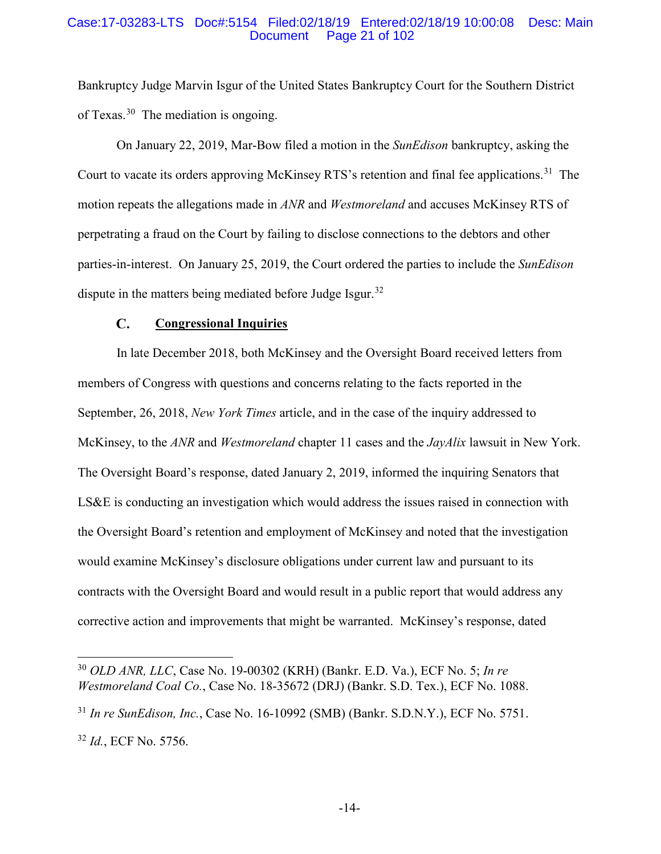#### Case:17-03283-LTS Doc#:5154 Filed:02/18/19 Entered:02/18/19 10:00:08 Desc: Main Page 21 of 102

Bankruptcy Judge Marvin Isgur of the United States Bankruptcy Court for the Southern District of Texas.30 The mediation is ongoing.

On January 22, 2019, Mar-Bow filed a motion in the *SunEdison* bankruptcy, asking the Court to vacate its orders approving McKinsey RTS's retention and final fee applications.<sup>31</sup> The motion repeats the allegations made in *ANR* and *Westmoreland* and accuses McKinsey RTS of perpetrating a fraud on the Court by failing to disclose connections to the debtors and other parties-in-interest. On January 25, 2019, the Court ordered the parties to include the *SunEdison* dispute in the matters being mediated before Judge Isgur.<sup>32</sup>

#### $\mathbf{C}$ . **Congressional Inquiries**

In late December 2018, both McKinsey and the Oversight Board received letters from members of Congress with questions and concerns relating to the facts reported in the September, 26, 2018, *New York Times* article, and in the case of the inquiry addressed to McKinsey, to the *ANR* and *Westmoreland* chapter 11 cases and the *JayAlix* lawsuit in New York. The Oversight Board's response, dated January 2, 2019, informed the inquiring Senators that LS&E is conducting an investigation which would address the issues raised in connection with the Oversight Board's retention and employment of McKinsey and noted that the investigation would examine McKinsey's disclosure obligations under current law and pursuant to its contracts with the Oversight Board and would result in a public report that would address any corrective action and improvements that might be warranted. McKinsey's response, dated

 <sup>30</sup> *OLD ANR, LLC*, Case No. 19-00302 (KRH) (Bankr. E.D. Va.), ECF No. 5; *In re Westmoreland Coal Co.*, Case No. 18-35672 (DRJ) (Bankr. S.D. Tex.), ECF No. 1088.

<sup>31</sup> *In re SunEdison, Inc.*, Case No. 16-10992 (SMB) (Bankr. S.D.N.Y.), ECF No. 5751. <sup>32</sup> *Id.*, ECF No. 5756.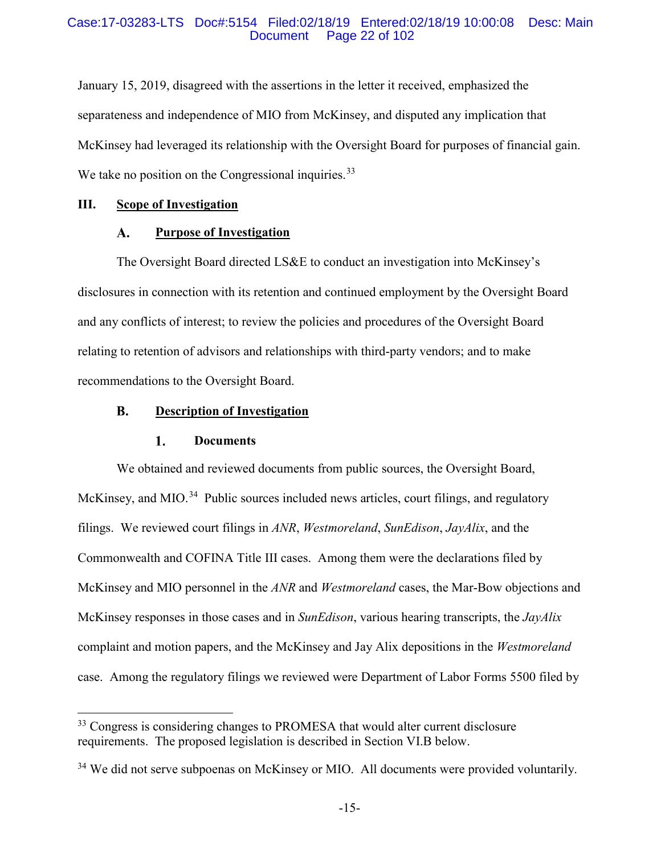### Case:17-03283-LTS Doc#:5154 Filed:02/18/19 Entered:02/18/19 10:00:08 Desc: Main Page 22 of 102

January 15, 2019, disagreed with the assertions in the letter it received, emphasized the separateness and independence of MIO from McKinsey, and disputed any implication that McKinsey had leveraged its relationship with the Oversight Board for purposes of financial gain. We take no position on the Congressional inquiries.<sup>33</sup>

### **III. Scope of Investigation**

#### **Purpose of Investigation**  $\mathbf{A}$ .

The Oversight Board directed LS&E to conduct an investigation into McKinsey's disclosures in connection with its retention and continued employment by the Oversight Board and any conflicts of interest; to review the policies and procedures of the Oversight Board relating to retention of advisors and relationships with third-party vendors; and to make recommendations to the Oversight Board.

#### **B. Description of Investigation**

#### $1.$ **Documents**

We obtained and reviewed documents from public sources, the Oversight Board, McKinsey, and MIO.<sup>34</sup> Public sources included news articles, court filings, and regulatory filings. We reviewed court filings in *ANR*, *Westmoreland*, *SunEdison*, *JayAlix*, and the Commonwealth and COFINA Title III cases. Among them were the declarations filed by McKinsey and MIO personnel in the *ANR* and *Westmoreland* cases, the Mar-Bow objections and McKinsey responses in those cases and in *SunEdison*, various hearing transcripts, the *JayAlix* complaint and motion papers, and the McKinsey and Jay Alix depositions in the *Westmoreland* case. Among the regulatory filings we reviewed were Department of Labor Forms 5500 filed by

<sup>&</sup>lt;sup>33</sup> Congress is considering changes to PROMESA that would alter current disclosure requirements. The proposed legislation is described in Section VI.B below.

<sup>&</sup>lt;sup>34</sup> We did not serve subpoenas on McKinsey or MIO. All documents were provided voluntarily.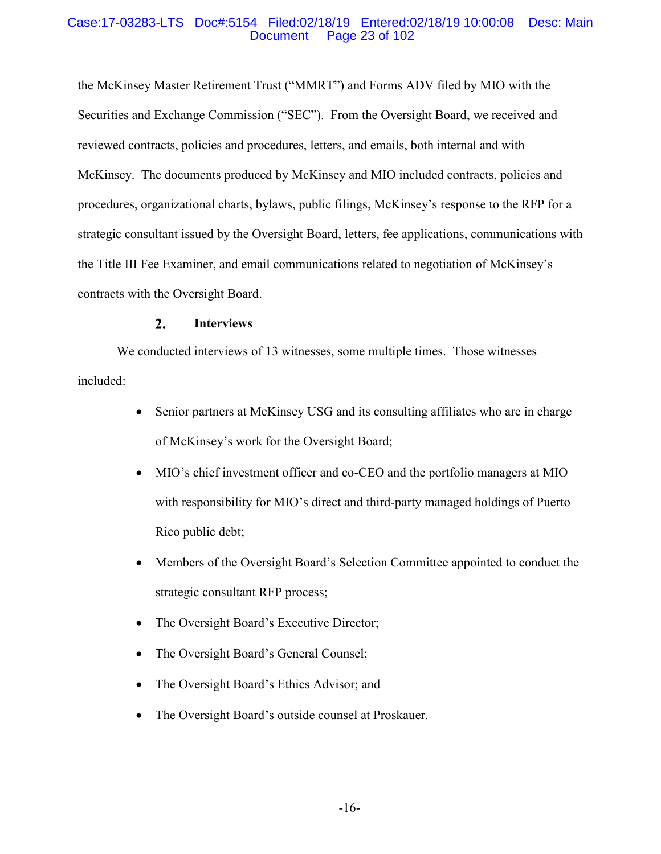### Case:17-03283-LTS Doc#:5154 Filed:02/18/19 Entered:02/18/19 10:00:08 Desc: Main Page 23 of 102

the McKinsey Master Retirement Trust ("MMRT") and Forms ADV filed by MIO with the Securities and Exchange Commission ("SEC"). From the Oversight Board, we received and reviewed contracts, policies and procedures, letters, and emails, both internal and with McKinsey. The documents produced by McKinsey and MIO included contracts, policies and procedures, organizational charts, bylaws, public filings, McKinsey's response to the RFP for a strategic consultant issued by the Oversight Board, letters, fee applications, communications with the Title III Fee Examiner, and email communications related to negotiation of McKinsey's contracts with the Oversight Board.

#### $2.$ **Interviews**

We conducted interviews of 13 witnesses, some multiple times. Those witnesses included:

- Senior partners at McKinsey USG and its consulting affiliates who are in charge of McKinsey's work for the Oversight Board;
- MIO's chief investment officer and co-CEO and the portfolio managers at MIO with responsibility for MIO's direct and third-party managed holdings of Puerto Rico public debt;
- Members of the Oversight Board's Selection Committee appointed to conduct the strategic consultant RFP process;
- The Oversight Board's Executive Director;
- The Oversight Board's General Counsel;
- The Oversight Board's Ethics Advisor; and
- The Oversight Board's outside counsel at Proskauer.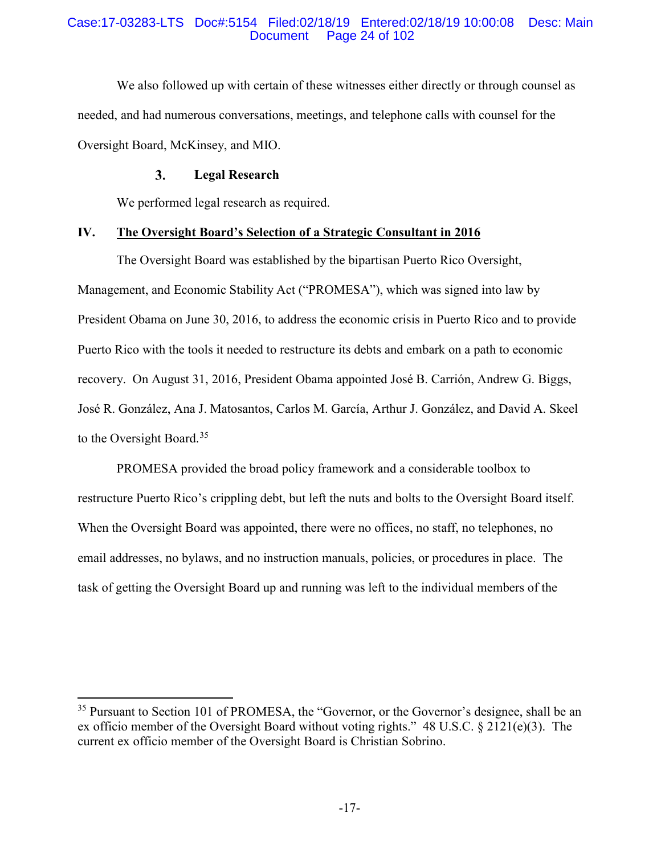### Case:17-03283-LTS Doc#:5154 Filed:02/18/19 Entered:02/18/19 10:00:08 Desc: Main Page 24 of 102

We also followed up with certain of these witnesses either directly or through counsel as needed, and had numerous conversations, meetings, and telephone calls with counsel for the Oversight Board, McKinsey, and MIO.

#### $3.$ **Legal Research**

We performed legal research as required.

### **IV. The Oversight Board's Selection of a Strategic Consultant in 2016**

The Oversight Board was established by the bipartisan Puerto Rico Oversight, Management, and Economic Stability Act ("PROMESA"), which was signed into law by President Obama on June 30, 2016, to address the economic crisis in Puerto Rico and to provide Puerto Rico with the tools it needed to restructure its debts and embark on a path to economic recovery. On August 31, 2016, President Obama appointed José B. Carrión, Andrew G. Biggs, José R. González, Ana J. Matosantos, Carlos M. García, Arthur J. González, and David A. Skeel to the Oversight Board.<sup>35</sup>

PROMESA provided the broad policy framework and a considerable toolbox to restructure Puerto Rico's crippling debt, but left the nuts and bolts to the Oversight Board itself. When the Oversight Board was appointed, there were no offices, no staff, no telephones, no email addresses, no bylaws, and no instruction manuals, policies, or procedures in place. The task of getting the Oversight Board up and running was left to the individual members of the

<sup>&</sup>lt;sup>35</sup> Pursuant to Section 101 of PROMESA, the "Governor, or the Governor's designee, shall be an ex officio member of the Oversight Board without voting rights." 48 U.S.C. § 2121(e)(3). The current ex officio member of the Oversight Board is Christian Sobrino.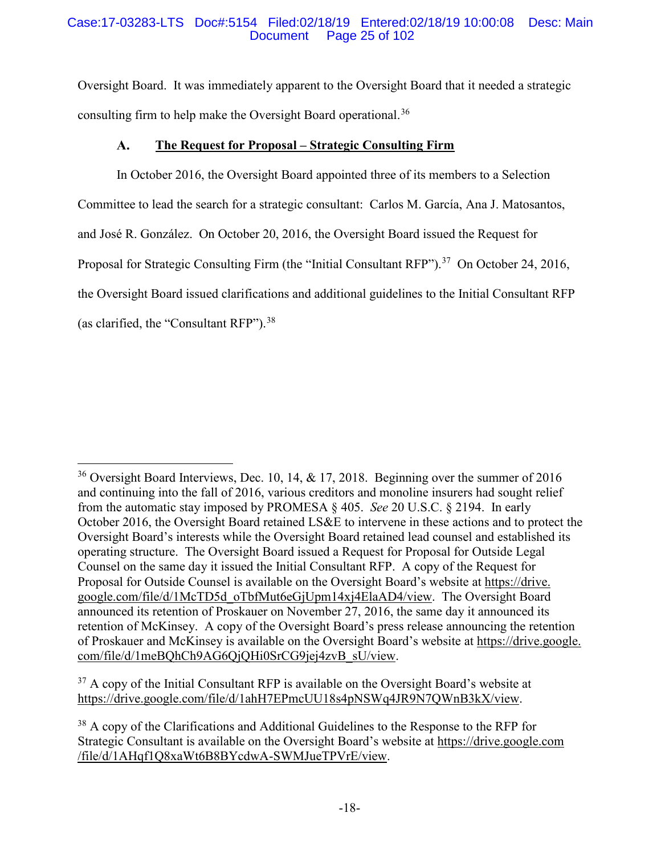### Case:17-03283-LTS Doc#:5154 Filed:02/18/19 Entered:02/18/19 10:00:08 Desc: Main Page 25 of 102

Oversight Board. It was immediately apparent to the Oversight Board that it needed a strategic consulting firm to help make the Oversight Board operational. 36

#### **The Request for Proposal – Strategic Consulting Firm**  ${\bf A}$ .

In October 2016, the Oversight Board appointed three of its members to a Selection Committee to lead the search for a strategic consultant: Carlos M. García, Ana J. Matosantos, and José R. González. On October 20, 2016, the Oversight Board issued the Request for Proposal for Strategic Consulting Firm (the "Initial Consultant RFP").<sup>37</sup> On October 24, 2016, the Oversight Board issued clarifications and additional guidelines to the Initial Consultant RFP (as clarified, the "Consultant RFP").  $38$ 

 $37$  A copy of the Initial Consultant RFP is available on the Oversight Board's website at https://drive.google.com/file/d/1ahH7EPmcUU18s4pNSWq4JR9N7QWnB3kX/view.

<sup>&</sup>lt;sup>36</sup> Oversight Board Interviews, Dec. 10, 14,  $\&$  17, 2018. Beginning over the summer of 2016 and continuing into the fall of 2016, various creditors and monoline insurers had sought relief from the automatic stay imposed by PROMESA § 405. *See* 20 U.S.C. § 2194. In early October 2016, the Oversight Board retained LS&E to intervene in these actions and to protect the Oversight Board's interests while the Oversight Board retained lead counsel and established its operating structure. The Oversight Board issued a Request for Proposal for Outside Legal Counsel on the same day it issued the Initial Consultant RFP. A copy of the Request for Proposal for Outside Counsel is available on the Oversight Board's website at https://drive. google.com/file/d/1McTD5d\_oTbfMut6eGjUpm14xj4ElaAD4/view. The Oversight Board announced its retention of Proskauer on November 27, 2016, the same day it announced its retention of McKinsey. A copy of the Oversight Board's press release announcing the retention of Proskauer and McKinsey is available on the Oversight Board's website at https://drive.google. com/file/d/1meBQhCh9AG6QjQHi0SrCG9jej4zvB\_sU/view.

<sup>&</sup>lt;sup>38</sup> A copy of the Clarifications and Additional Guidelines to the Response to the RFP for Strategic Consultant is available on the Oversight Board's website at https://drive.google.com /file/d/1AHqf1Q8xaWt6B8BYcdwA-SWMJueTPVrE/view.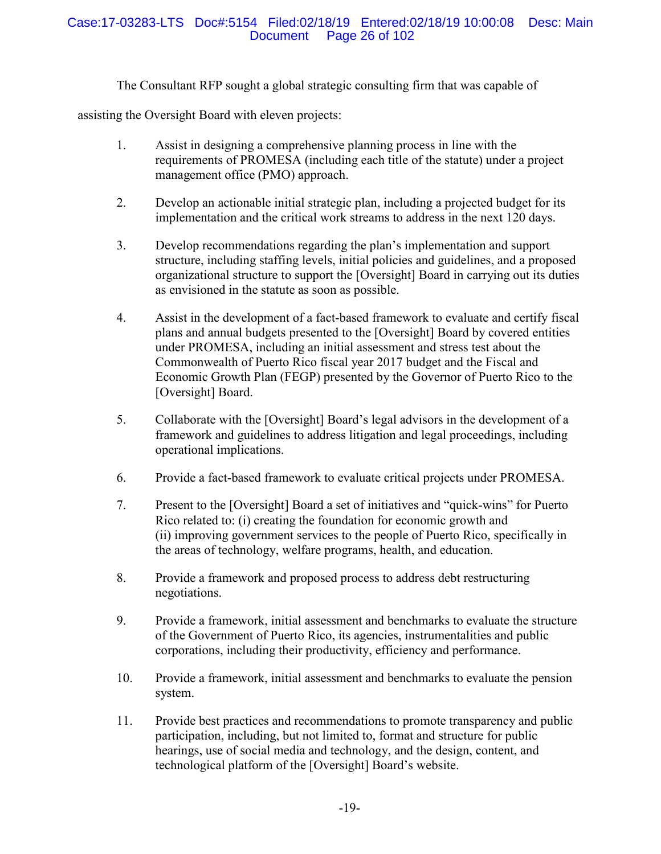The Consultant RFP sought a global strategic consulting firm that was capable of

assisting the Oversight Board with eleven projects:

- 1. Assist in designing a comprehensive planning process in line with the requirements of PROMESA (including each title of the statute) under a project management office (PMO) approach.
- 2. Develop an actionable initial strategic plan, including a projected budget for its implementation and the critical work streams to address in the next 120 days.
- 3. Develop recommendations regarding the plan's implementation and support structure, including staffing levels, initial policies and guidelines, and a proposed organizational structure to support the [Oversight] Board in carrying out its duties as envisioned in the statute as soon as possible.
- 4. Assist in the development of a fact-based framework to evaluate and certify fiscal plans and annual budgets presented to the [Oversight] Board by covered entities under PROMESA, including an initial assessment and stress test about the Commonwealth of Puerto Rico fiscal year 2017 budget and the Fiscal and Economic Growth Plan (FEGP) presented by the Governor of Puerto Rico to the [Oversight] Board.
- 5. Collaborate with the [Oversight] Board's legal advisors in the development of a framework and guidelines to address litigation and legal proceedings, including operational implications.
- 6. Provide a fact-based framework to evaluate critical projects under PROMESA.
- 7. Present to the [Oversight] Board a set of initiatives and "quick-wins" for Puerto Rico related to: (i) creating the foundation for economic growth and (ii) improving government services to the people of Puerto Rico, specifically in the areas of technology, welfare programs, health, and education.
- 8. Provide a framework and proposed process to address debt restructuring negotiations.
- 9. Provide a framework, initial assessment and benchmarks to evaluate the structure of the Government of Puerto Rico, its agencies, instrumentalities and public corporations, including their productivity, efficiency and performance.
- 10. Provide a framework, initial assessment and benchmarks to evaluate the pension system.
- 11. Provide best practices and recommendations to promote transparency and public participation, including, but not limited to, format and structure for public hearings, use of social media and technology, and the design, content, and technological platform of the [Oversight] Board's website.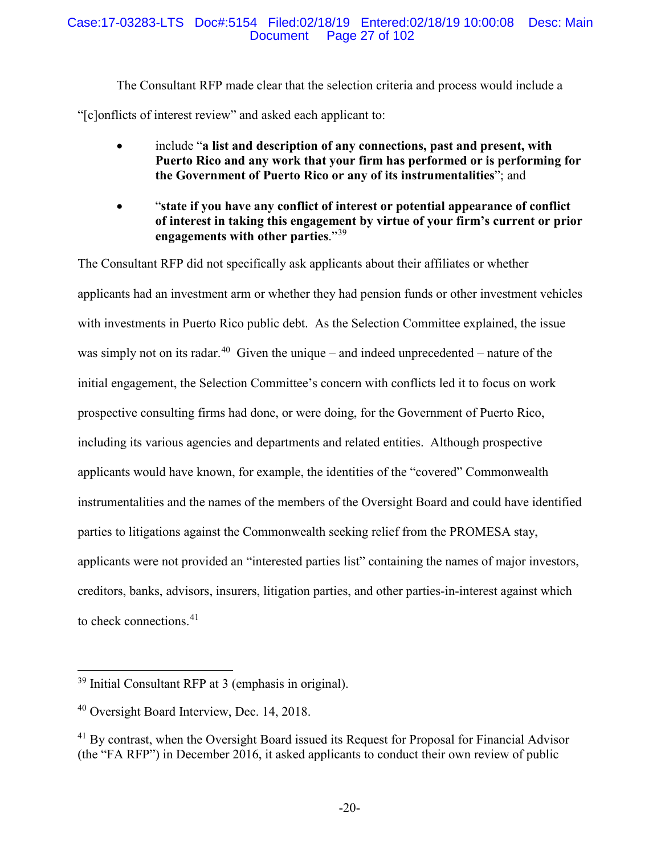### Case:17-03283-LTS Doc#:5154 Filed:02/18/19 Entered:02/18/19 10:00:08 Desc: Main Page 27 of 102

The Consultant RFP made clear that the selection criteria and process would include a "[c]onflicts of interest review" and asked each applicant to:

- include "**a list and description of any connections, past and present, with Puerto Rico and any work that your firm has performed or is performing for the Government of Puerto Rico or any of its instrumentalities**"; and
- "**state if you have any conflict of interest or potential appearance of conflict of interest in taking this engagement by virtue of your firm's current or prior engagements with other parties**."39

The Consultant RFP did not specifically ask applicants about their affiliates or whether applicants had an investment arm or whether they had pension funds or other investment vehicles with investments in Puerto Rico public debt. As the Selection Committee explained, the issue was simply not on its radar.<sup>40</sup> Given the unique – and indeed unprecedented – nature of the initial engagement, the Selection Committee's concern with conflicts led it to focus on work prospective consulting firms had done, or were doing, for the Government of Puerto Rico, including its various agencies and departments and related entities. Although prospective applicants would have known, for example, the identities of the "covered" Commonwealth instrumentalities and the names of the members of the Oversight Board and could have identified parties to litigations against the Commonwealth seeking relief from the PROMESA stay, applicants were not provided an "interested parties list" containing the names of major investors, creditors, banks, advisors, insurers, litigation parties, and other parties-in-interest against which to check connections.<sup>41</sup>

 <sup>39</sup> Initial Consultant RFP at 3 (emphasis in original).

<sup>40</sup> Oversight Board Interview, Dec. 14, 2018.

<sup>&</sup>lt;sup>41</sup> By contrast, when the Oversight Board issued its Request for Proposal for Financial Advisor (the "FA RFP") in December 2016, it asked applicants to conduct their own review of public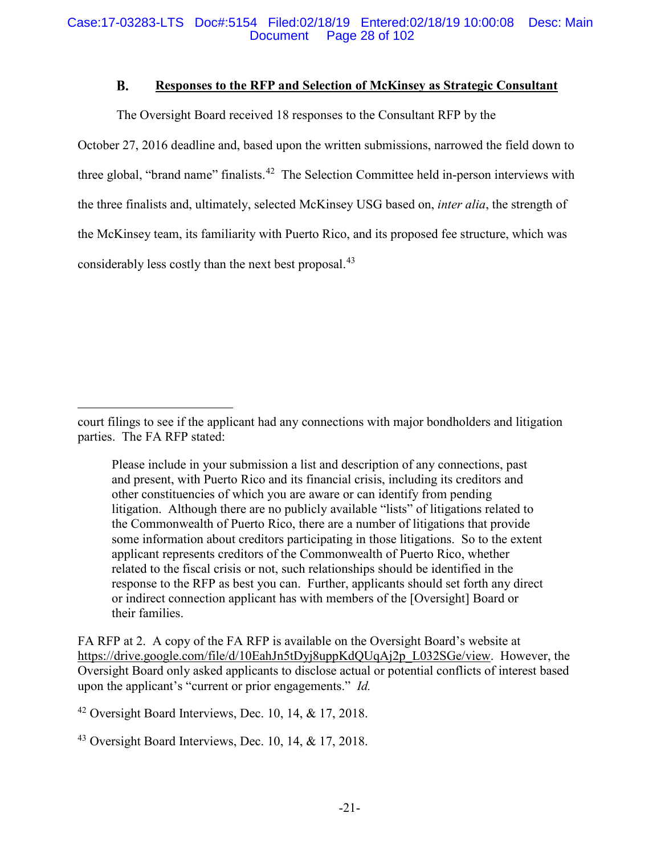#### **B. Responses to the RFP and Selection of McKinsey as Strategic Consultant**

The Oversight Board received 18 responses to the Consultant RFP by the

October 27, 2016 deadline and, based upon the written submissions, narrowed the field down to three global, "brand name" finalists.<sup>42</sup> The Selection Committee held in-person interviews with the three finalists and, ultimately, selected McKinsey USG based on, *inter alia*, the strength of the McKinsey team, its familiarity with Puerto Rico, and its proposed fee structure, which was considerably less costly than the next best proposal.<sup>43</sup>

Please include in your submission a list and description of any connections, past and present, with Puerto Rico and its financial crisis, including its creditors and other constituencies of which you are aware or can identify from pending litigation. Although there are no publicly available "lists" of litigations related to the Commonwealth of Puerto Rico, there are a number of litigations that provide some information about creditors participating in those litigations. So to the extent applicant represents creditors of the Commonwealth of Puerto Rico, whether related to the fiscal crisis or not, such relationships should be identified in the response to the RFP as best you can. Further, applicants should set forth any direct or indirect connection applicant has with members of the [Oversight] Board or their families.

FA RFP at 2. A copy of the FA RFP is available on the Oversight Board's website at https://drive.google.com/file/d/10EahJn5tDyj8uppKdQUqAj2p\_L032SGe/view. However, the Oversight Board only asked applicants to disclose actual or potential conflicts of interest based upon the applicant's "current or prior engagements." *Id.*

 $42$  Oversight Board Interviews, Dec. 10, 14, & 17, 2018.

 $\overline{a}$ 

 $43$  Oversight Board Interviews, Dec. 10, 14, & 17, 2018.

court filings to see if the applicant had any connections with major bondholders and litigation parties. The FA RFP stated: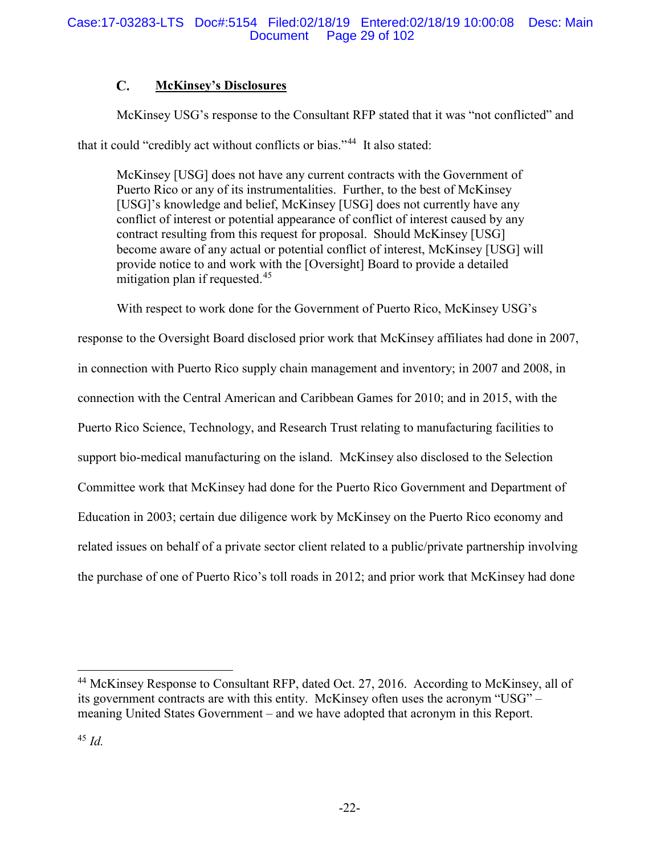#### $\mathbf{C}$ . **McKinsey's Disclosures**

McKinsey USG's response to the Consultant RFP stated that it was "not conflicted" and that it could "credibly act without conflicts or bias."<sup>44</sup> It also stated:

McKinsey [USG] does not have any current contracts with the Government of Puerto Rico or any of its instrumentalities. Further, to the best of McKinsey [USG]'s knowledge and belief, McKinsey [USG] does not currently have any conflict of interest or potential appearance of conflict of interest caused by any contract resulting from this request for proposal. Should McKinsey [USG] become aware of any actual or potential conflict of interest, McKinsey [USG] will provide notice to and work with the [Oversight] Board to provide a detailed mitigation plan if requested.<sup>45</sup>

With respect to work done for the Government of Puerto Rico, McKinsey USG's

response to the Oversight Board disclosed prior work that McKinsey affiliates had done in 2007, in connection with Puerto Rico supply chain management and inventory; in 2007 and 2008, in connection with the Central American and Caribbean Games for 2010; and in 2015, with the Puerto Rico Science, Technology, and Research Trust relating to manufacturing facilities to support bio-medical manufacturing on the island. McKinsey also disclosed to the Selection Committee work that McKinsey had done for the Puerto Rico Government and Department of Education in 2003; certain due diligence work by McKinsey on the Puerto Rico economy and related issues on behalf of a private sector client related to a public/private partnership involving the purchase of one of Puerto Rico's toll roads in 2012; and prior work that McKinsey had done

 <sup>44</sup> McKinsey Response to Consultant RFP, dated Oct. 27, 2016. According to McKinsey, all of its government contracts are with this entity. McKinsey often uses the acronym "USG" – meaning United States Government – and we have adopted that acronym in this Report.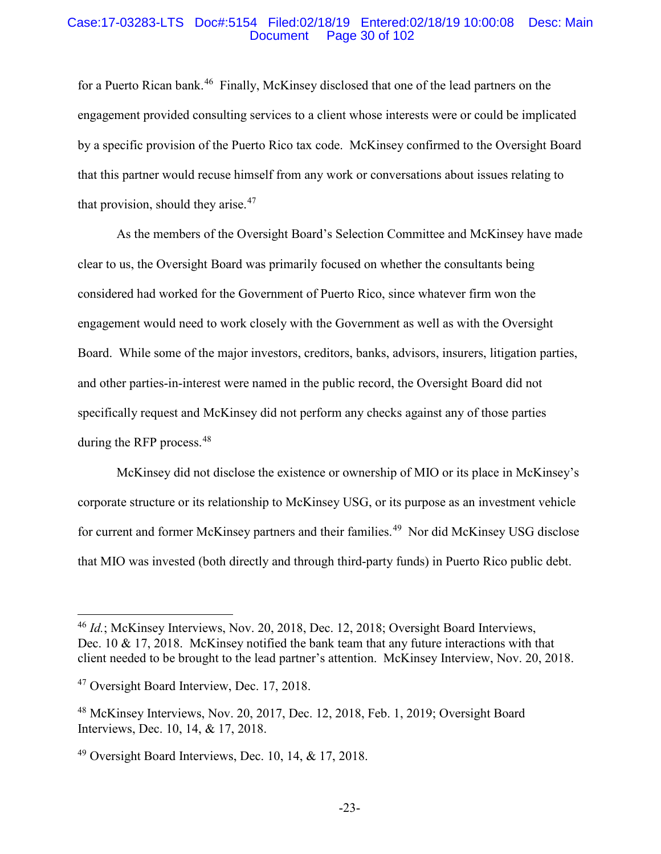#### Case:17-03283-LTS Doc#:5154 Filed:02/18/19 Entered:02/18/19 10:00:08 Desc: Main Page 30 of 102

for a Puerto Rican bank.<sup>46</sup> Finally, McKinsey disclosed that one of the lead partners on the engagement provided consulting services to a client whose interests were or could be implicated by a specific provision of the Puerto Rico tax code. McKinsey confirmed to the Oversight Board that this partner would recuse himself from any work or conversations about issues relating to that provision, should they arise.  $47$ 

As the members of the Oversight Board's Selection Committee and McKinsey have made clear to us, the Oversight Board was primarily focused on whether the consultants being considered had worked for the Government of Puerto Rico, since whatever firm won the engagement would need to work closely with the Government as well as with the Oversight Board. While some of the major investors, creditors, banks, advisors, insurers, litigation parties, and other parties-in-interest were named in the public record, the Oversight Board did not specifically request and McKinsey did not perform any checks against any of those parties during the RFP process.<sup>48</sup>

McKinsey did not disclose the existence or ownership of MIO or its place in McKinsey's corporate structure or its relationship to McKinsey USG, or its purpose as an investment vehicle for current and former McKinsey partners and their families.<sup>49</sup> Nor did McKinsey USG disclose that MIO was invested (both directly and through third-party funds) in Puerto Rico public debt.

 <sup>46</sup> *Id.*; McKinsey Interviews, Nov. 20, 2018, Dec. 12, 2018; Oversight Board Interviews, Dec. 10 & 17, 2018. McKinsey notified the bank team that any future interactions with that client needed to be brought to the lead partner's attention. McKinsey Interview, Nov. 20, 2018.

<sup>&</sup>lt;sup>47</sup> Oversight Board Interview, Dec. 17, 2018.

<sup>48</sup> McKinsey Interviews, Nov. 20, 2017, Dec. 12, 2018, Feb. 1, 2019; Oversight Board Interviews, Dec. 10, 14, & 17, 2018.

 $49$  Oversight Board Interviews, Dec. 10, 14, & 17, 2018.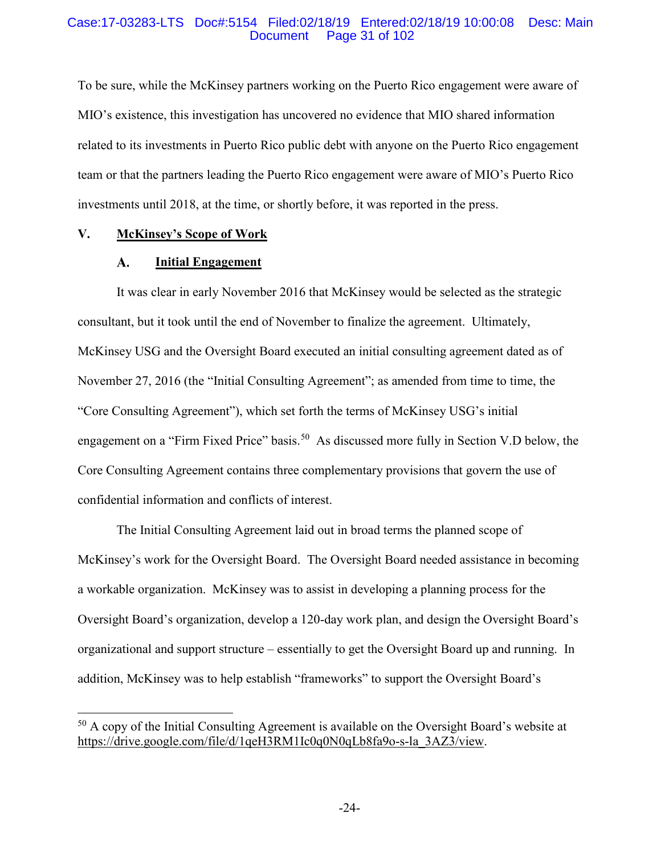#### Case:17-03283-LTS Doc#:5154 Filed:02/18/19 Entered:02/18/19 10:00:08 Desc: Main Page 31 of 102

To be sure, while the McKinsey partners working on the Puerto Rico engagement were aware of MIO's existence, this investigation has uncovered no evidence that MIO shared information related to its investments in Puerto Rico public debt with anyone on the Puerto Rico engagement team or that the partners leading the Puerto Rico engagement were aware of MIO's Puerto Rico investments until 2018, at the time, or shortly before, it was reported in the press.

### **V. McKinsey's Scope of Work**

#### A. **Initial Engagement**

It was clear in early November 2016 that McKinsey would be selected as the strategic consultant, but it took until the end of November to finalize the agreement. Ultimately, McKinsey USG and the Oversight Board executed an initial consulting agreement dated as of November 27, 2016 (the "Initial Consulting Agreement"; as amended from time to time, the "Core Consulting Agreement"), which set forth the terms of McKinsey USG's initial engagement on a "Firm Fixed Price" basis.<sup>50</sup> As discussed more fully in Section V.D below, the Core Consulting Agreement contains three complementary provisions that govern the use of confidential information and conflicts of interest.

The Initial Consulting Agreement laid out in broad terms the planned scope of McKinsey's work for the Oversight Board. The Oversight Board needed assistance in becoming a workable organization. McKinsey was to assist in developing a planning process for the Oversight Board's organization, develop a 120-day work plan, and design the Oversight Board's organizational and support structure – essentially to get the Oversight Board up and running. In addition, McKinsey was to help establish "frameworks" to support the Oversight Board's

 $50$  A copy of the Initial Consulting Agreement is available on the Oversight Board's website at https://drive.google.com/file/d/1qeH3RM1Ic0q0N0qLb8fa9o-s-la\_3AZ3/view.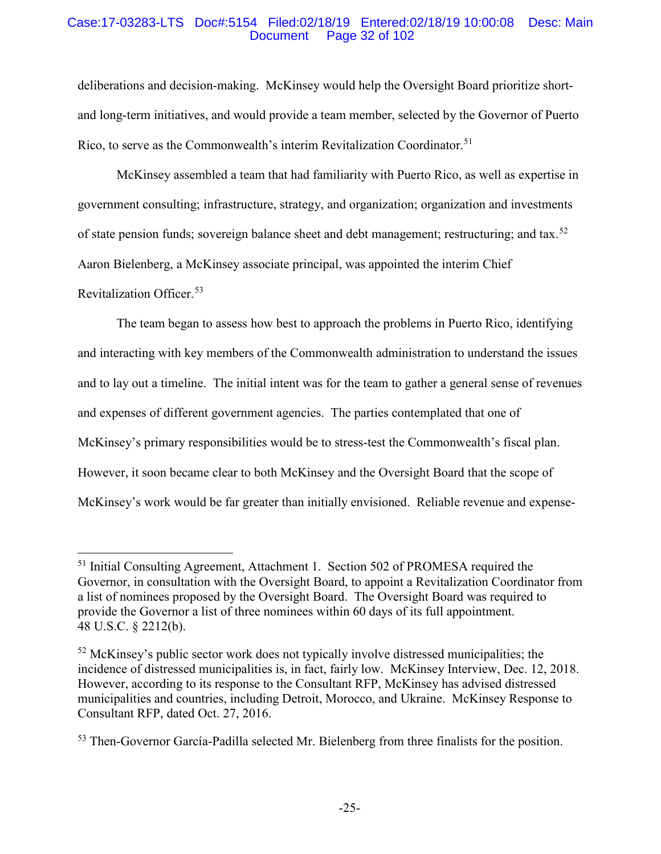### Case:17-03283-LTS Doc#:5154 Filed:02/18/19 Entered:02/18/19 10:00:08 Desc: Main Page 32 of 102

deliberations and decision-making. McKinsey would help the Oversight Board prioritize shortand long-term initiatives, and would provide a team member, selected by the Governor of Puerto Rico, to serve as the Commonwealth's interim Revitalization Coordinator.<sup>51</sup>

McKinsey assembled a team that had familiarity with Puerto Rico, as well as expertise in government consulting; infrastructure, strategy, and organization; organization and investments of state pension funds; sovereign balance sheet and debt management; restructuring; and tax.<sup>52</sup> Aaron Bielenberg, a McKinsey associate principal, was appointed the interim Chief

## Revitalization Officer.53

The team began to assess how best to approach the problems in Puerto Rico, identifying and interacting with key members of the Commonwealth administration to understand the issues and to lay out a timeline. The initial intent was for the team to gather a general sense of revenues and expenses of different government agencies. The parties contemplated that one of McKinsey's primary responsibilities would be to stress-test the Commonwealth's fiscal plan. However, it soon became clear to both McKinsey and the Oversight Board that the scope of McKinsey's work would be far greater than initially envisioned. Reliable revenue and expense-

<sup>&</sup>lt;sup>51</sup> Initial Consulting Agreement, Attachment 1. Section 502 of PROMESA required the Governor, in consultation with the Oversight Board, to appoint a Revitalization Coordinator from a list of nominees proposed by the Oversight Board. The Oversight Board was required to provide the Governor a list of three nominees within 60 days of its full appointment. 48 U.S.C. § 2212(b).

 $52$  McKinsey's public sector work does not typically involve distressed municipalities; the incidence of distressed municipalities is, in fact, fairly low. McKinsey Interview, Dec. 12, 2018. However, according to its response to the Consultant RFP, McKinsey has advised distressed municipalities and countries, including Detroit, Morocco, and Ukraine. McKinsey Response to Consultant RFP, dated Oct. 27, 2016.

<sup>53</sup> Then-Governor García-Padilla selected Mr. Bielenberg from three finalists for the position.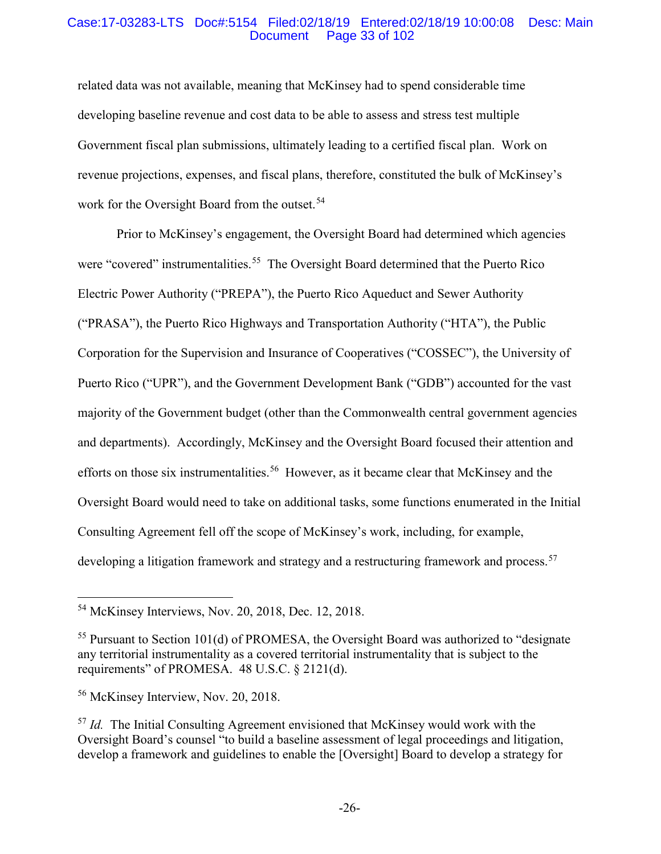#### Case:17-03283-LTS Doc#:5154 Filed:02/18/19 Entered:02/18/19 10:00:08 Desc: Main Page 33 of 102

related data was not available, meaning that McKinsey had to spend considerable time developing baseline revenue and cost data to be able to assess and stress test multiple Government fiscal plan submissions, ultimately leading to a certified fiscal plan. Work on revenue projections, expenses, and fiscal plans, therefore, constituted the bulk of McKinsey's work for the Oversight Board from the outset.<sup>54</sup>

Prior to McKinsey's engagement, the Oversight Board had determined which agencies were "covered" instrumentalities.<sup>55</sup> The Oversight Board determined that the Puerto Rico Electric Power Authority ("PREPA"), the Puerto Rico Aqueduct and Sewer Authority ("PRASA"), the Puerto Rico Highways and Transportation Authority ("HTA"), the Public Corporation for the Supervision and Insurance of Cooperatives ("COSSEC"), the University of Puerto Rico ("UPR"), and the Government Development Bank ("GDB") accounted for the vast majority of the Government budget (other than the Commonwealth central government agencies and departments). Accordingly, McKinsey and the Oversight Board focused their attention and efforts on those six instrumentalities.<sup>56</sup> However, as it became clear that McKinsey and the Oversight Board would need to take on additional tasks, some functions enumerated in the Initial Consulting Agreement fell off the scope of McKinsey's work, including, for example, developing a litigation framework and strategy and a restructuring framework and process.<sup>57</sup>

 <sup>54</sup> McKinsey Interviews, Nov. 20, 2018, Dec. 12, 2018.

<sup>55</sup> Pursuant to Section 101(d) of PROMESA, the Oversight Board was authorized to "designate any territorial instrumentality as a covered territorial instrumentality that is subject to the requirements" of PROMESA. 48 U.S.C. § 2121(d).

<sup>56</sup> McKinsey Interview, Nov. 20, 2018.

<sup>57</sup> *Id.* The Initial Consulting Agreement envisioned that McKinsey would work with the Oversight Board's counsel "to build a baseline assessment of legal proceedings and litigation, develop a framework and guidelines to enable the [Oversight] Board to develop a strategy for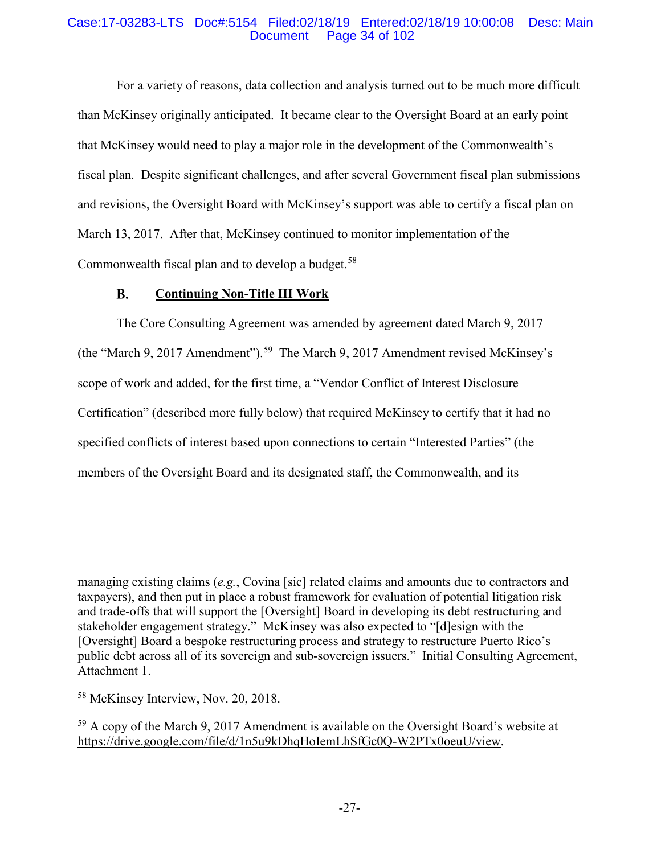### Case:17-03283-LTS Doc#:5154 Filed:02/18/19 Entered:02/18/19 10:00:08 Desc: Main Page 34 of 102

For a variety of reasons, data collection and analysis turned out to be much more difficult than McKinsey originally anticipated. It became clear to the Oversight Board at an early point that McKinsey would need to play a major role in the development of the Commonwealth's fiscal plan. Despite significant challenges, and after several Government fiscal plan submissions and revisions, the Oversight Board with McKinsey's support was able to certify a fiscal plan on March 13, 2017. After that, McKinsey continued to monitor implementation of the Commonwealth fiscal plan and to develop a budget. $58$ 

#### **B. Continuing Non-Title III Work**

The Core Consulting Agreement was amended by agreement dated March 9, 2017 (the "March 9, 2017 Amendment"). <sup>59</sup> The March 9, 2017 Amendment revised McKinsey's scope of work and added, for the first time, a "Vendor Conflict of Interest Disclosure Certification" (described more fully below) that required McKinsey to certify that it had no specified conflicts of interest based upon connections to certain "Interested Parties" (the members of the Oversight Board and its designated staff, the Commonwealth, and its

 $\overline{a}$ 

managing existing claims (*e.g.*, Covina [sic] related claims and amounts due to contractors and taxpayers), and then put in place a robust framework for evaluation of potential litigation risk and trade-offs that will support the [Oversight] Board in developing its debt restructuring and stakeholder engagement strategy." McKinsey was also expected to "[d]esign with the [Oversight] Board a bespoke restructuring process and strategy to restructure Puerto Rico's public debt across all of its sovereign and sub-sovereign issuers." Initial Consulting Agreement, Attachment 1.

<sup>&</sup>lt;sup>58</sup> McKinsey Interview, Nov. 20, 2018.

<sup>&</sup>lt;sup>59</sup> A copy of the March 9, 2017 Amendment is available on the Oversight Board's website at https://drive.google.com/file/d/1n5u9kDhqHoIemLhSfGc0Q-W2PTx0oeuU/view.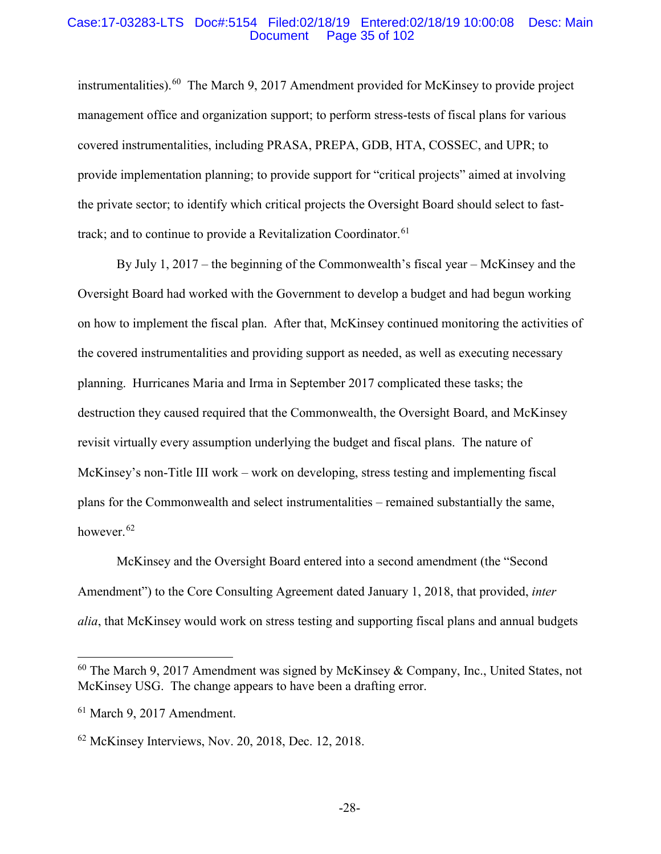#### Case:17-03283-LTS Doc#:5154 Filed:02/18/19 Entered:02/18/19 10:00:08 Desc: Main Page 35 of 102

instrumentalities). 60 The March 9, 2017 Amendment provided for McKinsey to provide project management office and organization support; to perform stress-tests of fiscal plans for various covered instrumentalities, including PRASA, PREPA, GDB, HTA, COSSEC, and UPR; to provide implementation planning; to provide support for "critical projects" aimed at involving the private sector; to identify which critical projects the Oversight Board should select to fasttrack; and to continue to provide a Revitalization Coordinator.  $61$ 

By July 1, 2017 – the beginning of the Commonwealth's fiscal year – McKinsey and the Oversight Board had worked with the Government to develop a budget and had begun working on how to implement the fiscal plan. After that, McKinsey continued monitoring the activities of the covered instrumentalities and providing support as needed, as well as executing necessary planning. Hurricanes Maria and Irma in September 2017 complicated these tasks; the destruction they caused required that the Commonwealth, the Oversight Board, and McKinsey revisit virtually every assumption underlying the budget and fiscal plans. The nature of McKinsey's non-Title III work – work on developing, stress testing and implementing fiscal plans for the Commonwealth and select instrumentalities – remained substantially the same, however.<sup>62</sup>

McKinsey and the Oversight Board entered into a second amendment (the "Second Amendment") to the Core Consulting Agreement dated January 1, 2018, that provided, *inter alia*, that McKinsey would work on stress testing and supporting fiscal plans and annual budgets

 $60$  The March 9, 2017 Amendment was signed by McKinsey & Company, Inc., United States, not McKinsey USG. The change appears to have been a drafting error.

<sup>61</sup> March 9, 2017 Amendment.

<sup>62</sup> McKinsey Interviews, Nov. 20, 2018, Dec. 12, 2018.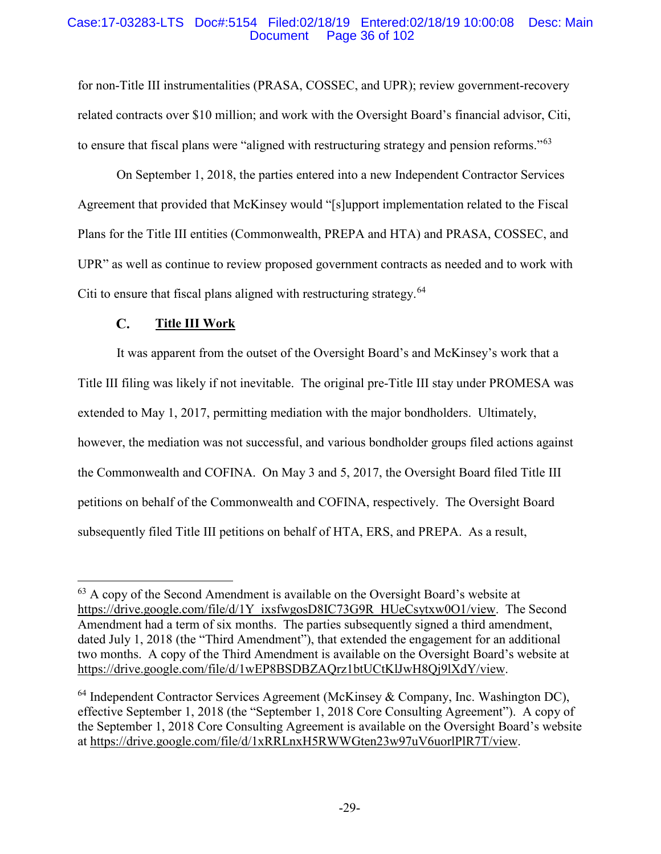### Case:17-03283-LTS Doc#:5154 Filed:02/18/19 Entered:02/18/19 10:00:08 Desc: Main Page 36 of 102

for non-Title III instrumentalities (PRASA, COSSEC, and UPR); review government-recovery related contracts over \$10 million; and work with the Oversight Board's financial advisor, Citi, to ensure that fiscal plans were "aligned with restructuring strategy and pension reforms."<sup>63</sup>

On September 1, 2018, the parties entered into a new Independent Contractor Services Agreement that provided that McKinsey would "[s]upport implementation related to the Fiscal Plans for the Title III entities (Commonwealth, PREPA and HTA) and PRASA, COSSEC, and UPR" as well as continue to review proposed government contracts as needed and to work with Citi to ensure that fiscal plans aligned with restructuring strategy.<sup>64</sup>

#### $\mathbf{C}$ . **Title III Work**

It was apparent from the outset of the Oversight Board's and McKinsey's work that a Title III filing was likely if not inevitable. The original pre-Title III stay under PROMESA was extended to May 1, 2017, permitting mediation with the major bondholders. Ultimately, however, the mediation was not successful, and various bondholder groups filed actions against the Commonwealth and COFINA. On May 3 and 5, 2017, the Oversight Board filed Title III petitions on behalf of the Commonwealth and COFINA, respectively. The Oversight Board subsequently filed Title III petitions on behalf of HTA, ERS, and PREPA. As a result,

 <sup>63</sup> A copy of the Second Amendment is available on the Oversight Board's website at https://drive.google.com/file/d/1Y\_ixsfwgosD8IC73G9R\_HUeCsytxw0O1/view. The Second Amendment had a term of six months. The parties subsequently signed a third amendment, dated July 1, 2018 (the "Third Amendment"), that extended the engagement for an additional two months. A copy of the Third Amendment is available on the Oversight Board's website at https://drive.google.com/file/d/1wEP8BSDBZAQrz1btUCtKlJwH8Qj9lXdY/view.

 $64$  Independent Contractor Services Agreement (McKinsey & Company, Inc. Washington DC), effective September 1, 2018 (the "September 1, 2018 Core Consulting Agreement"). A copy of the September 1, 2018 Core Consulting Agreement is available on the Oversight Board's website at https://drive.google.com/file/d/1xRRLnxH5RWWGten23w97uV6uorlPlR7T/view.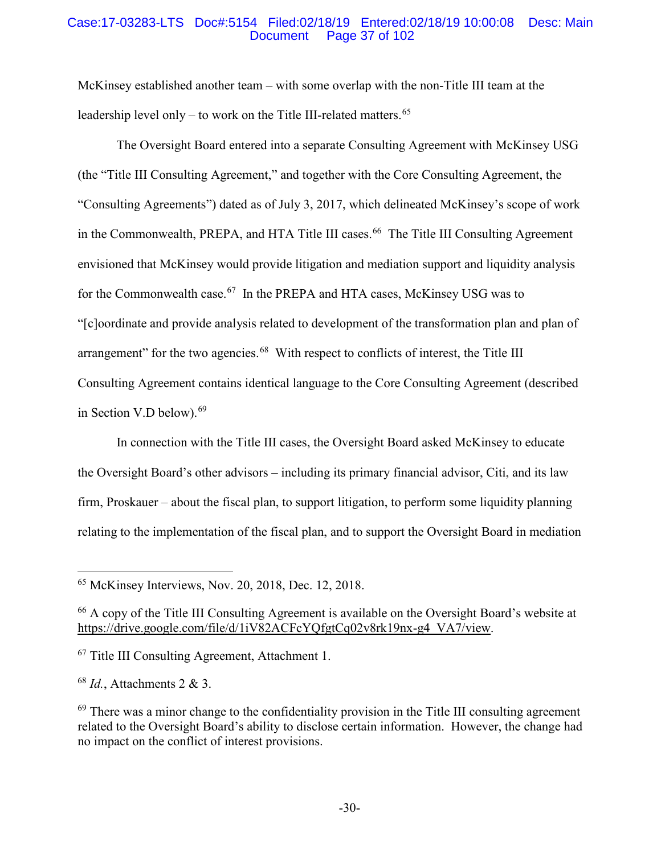### Case:17-03283-LTS Doc#:5154 Filed:02/18/19 Entered:02/18/19 10:00:08 Desc: Main Page 37 of 102

McKinsey established another team – with some overlap with the non-Title III team at the leadership level only – to work on the Title III-related matters.<sup>65</sup>

The Oversight Board entered into a separate Consulting Agreement with McKinsey USG (the "Title III Consulting Agreement," and together with the Core Consulting Agreement, the "Consulting Agreements") dated as of July 3, 2017, which delineated McKinsey's scope of work in the Commonwealth, PREPA, and HTA Title III cases. 66 The Title III Consulting Agreement envisioned that McKinsey would provide litigation and mediation support and liquidity analysis for the Commonwealth case.<sup>67</sup> In the PREPA and HTA cases, McKinsey USG was to "[c]oordinate and provide analysis related to development of the transformation plan and plan of arrangement" for the two agencies.<sup>68</sup> With respect to conflicts of interest, the Title III Consulting Agreement contains identical language to the Core Consulting Agreement (described in Section V.D below). 69

In connection with the Title III cases, the Oversight Board asked McKinsey to educate the Oversight Board's other advisors – including its primary financial advisor, Citi, and its law firm, Proskauer – about the fiscal plan, to support litigation, to perform some liquidity planning relating to the implementation of the fiscal plan, and to support the Oversight Board in mediation

 $65$  McKinsey Interviews, Nov. 20, 2018, Dec. 12, 2018.

<sup>66</sup> A copy of the Title III Consulting Agreement is available on the Oversight Board's website at https://drive.google.com/file/d/1iV82ACFcYQfgtCq02v8rk19nx-g4\_VA7/view.

<sup>67</sup> Title III Consulting Agreement, Attachment 1.

<sup>68</sup> *Id.*, Attachments 2 & 3.

 $69$  There was a minor change to the confidentiality provision in the Title III consulting agreement related to the Oversight Board's ability to disclose certain information. However, the change had no impact on the conflict of interest provisions.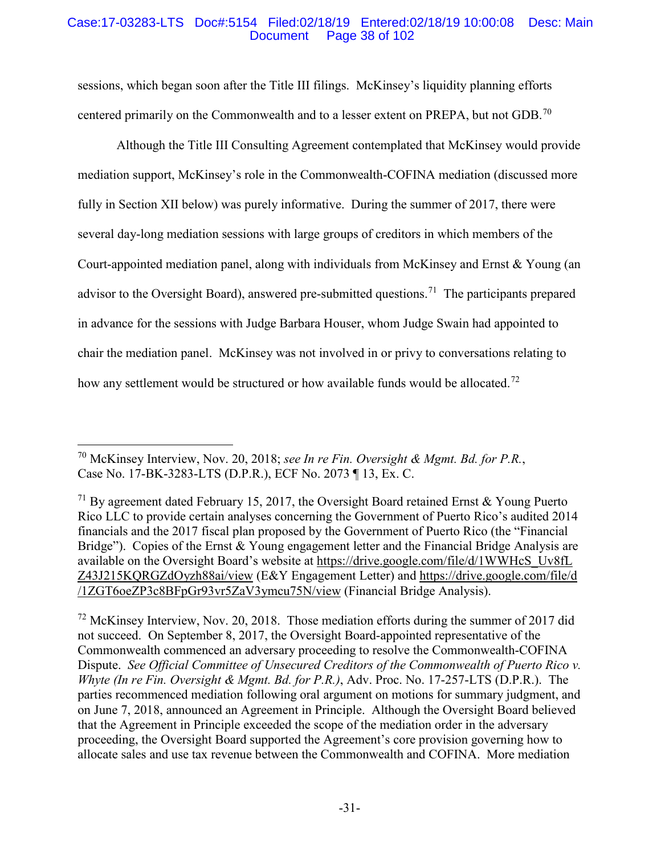### Case:17-03283-LTS Doc#:5154 Filed:02/18/19 Entered:02/18/19 10:00:08 Desc: Main Page 38 of 102

sessions, which began soon after the Title III filings. McKinsey's liquidity planning efforts centered primarily on the Commonwealth and to a lesser extent on PREPA, but not GDB.<sup>70</sup>

Although the Title III Consulting Agreement contemplated that McKinsey would provide mediation support, McKinsey's role in the Commonwealth-COFINA mediation (discussed more fully in Section XII below) was purely informative. During the summer of 2017, there were several day-long mediation sessions with large groups of creditors in which members of the Court-appointed mediation panel, along with individuals from McKinsey and Ernst & Young (an advisor to the Oversight Board), answered pre-submitted questions.<sup>71</sup> The participants prepared in advance for the sessions with Judge Barbara Houser, whom Judge Swain had appointed to chair the mediation panel. McKinsey was not involved in or privy to conversations relating to how any settlement would be structured or how available funds would be allocated.<sup>72</sup>

 70 McKinsey Interview, Nov. 20, 2018; *see In re Fin. Oversight & Mgmt. Bd. for P.R.*, Case No. 17-BK-3283-LTS (D.P.R.), ECF No. 2073 ¶ 13, Ex. C.

<sup>71</sup> By agreement dated February 15, 2017, the Oversight Board retained Ernst & Young Puerto Rico LLC to provide certain analyses concerning the Government of Puerto Rico's audited 2014 financials and the 2017 fiscal plan proposed by the Government of Puerto Rico (the "Financial Bridge"). Copies of the Ernst & Young engagement letter and the Financial Bridge Analysis are available on the Oversight Board's website at https://drive.google.com/file/d/1WWHcS\_Uv8fL Z43J215KQRGZdOyzh88ai/view (E&Y Engagement Letter) and https://drive.google.com/file/d /1ZGT6oeZP3c8BFpGr93vr5ZaV3ymcu75N/view (Financial Bridge Analysis).

 $72$  McKinsey Interview, Nov. 20, 2018. Those mediation efforts during the summer of 2017 did not succeed. On September 8, 2017, the Oversight Board-appointed representative of the Commonwealth commenced an adversary proceeding to resolve the Commonwealth-COFINA Dispute. *See Official Committee of Unsecured Creditors of the Commonwealth of Puerto Rico v. Whyte (In re Fin. Oversight & Mgmt. Bd. for P.R.)*, Adv. Proc. No. 17-257-LTS (D.P.R.). The parties recommenced mediation following oral argument on motions for summary judgment, and on June 7, 2018, announced an Agreement in Principle. Although the Oversight Board believed that the Agreement in Principle exceeded the scope of the mediation order in the adversary proceeding, the Oversight Board supported the Agreement's core provision governing how to allocate sales and use tax revenue between the Commonwealth and COFINA. More mediation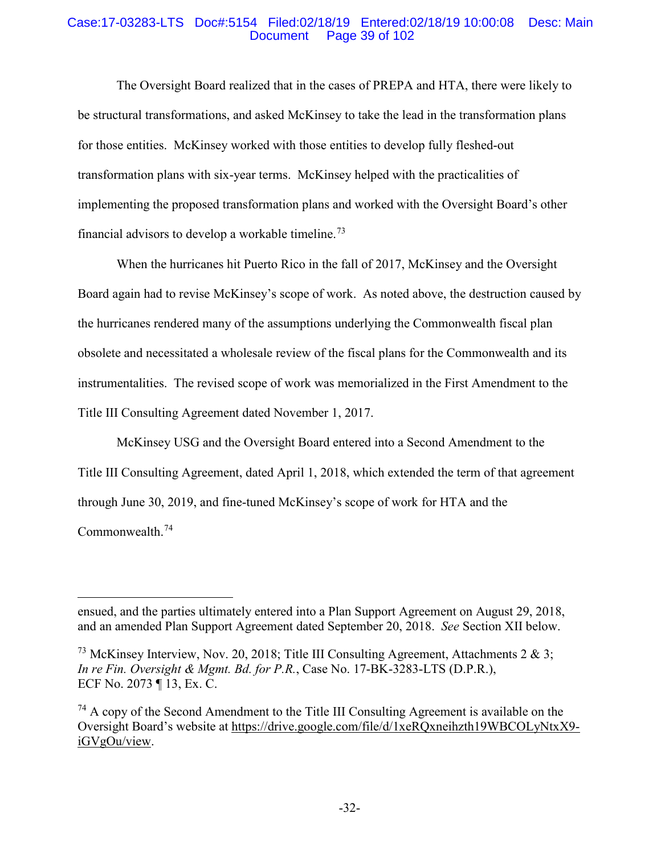### Case:17-03283-LTS Doc#:5154 Filed:02/18/19 Entered:02/18/19 10:00:08 Desc: Main Page 39 of 102

The Oversight Board realized that in the cases of PREPA and HTA, there were likely to be structural transformations, and asked McKinsey to take the lead in the transformation plans for those entities. McKinsey worked with those entities to develop fully fleshed-out transformation plans with six-year terms. McKinsey helped with the practicalities of implementing the proposed transformation plans and worked with the Oversight Board's other financial advisors to develop a workable timeline.<sup>73</sup>

When the hurricanes hit Puerto Rico in the fall of 2017, McKinsey and the Oversight Board again had to revise McKinsey's scope of work. As noted above, the destruction caused by the hurricanes rendered many of the assumptions underlying the Commonwealth fiscal plan obsolete and necessitated a wholesale review of the fiscal plans for the Commonwealth and its instrumentalities. The revised scope of work was memorialized in the First Amendment to the Title III Consulting Agreement dated November 1, 2017.

McKinsey USG and the Oversight Board entered into a Second Amendment to the Title III Consulting Agreement, dated April 1, 2018, which extended the term of that agreement through June 30, 2019, and fine-tuned McKinsey's scope of work for HTA and the Commonwealth. 74

 $\overline{a}$ 

ensued, and the parties ultimately entered into a Plan Support Agreement on August 29, 2018, and an amended Plan Support Agreement dated September 20, 2018. *See* Section XII below.

<sup>&</sup>lt;sup>73</sup> McKinsey Interview, Nov. 20, 2018; Title III Consulting Agreement, Attachments 2 & 3; *In re Fin. Oversight & Mgmt. Bd. for P.R.*, Case No. 17-BK-3283-LTS (D.P.R.), ECF No. 2073 ¶ 13, Ex. C.

 $74$  A copy of the Second Amendment to the Title III Consulting Agreement is available on the Oversight Board's website at https://drive.google.com/file/d/1xeRQxneihzth19WBCOLyNtxX9 iGVgOu/view.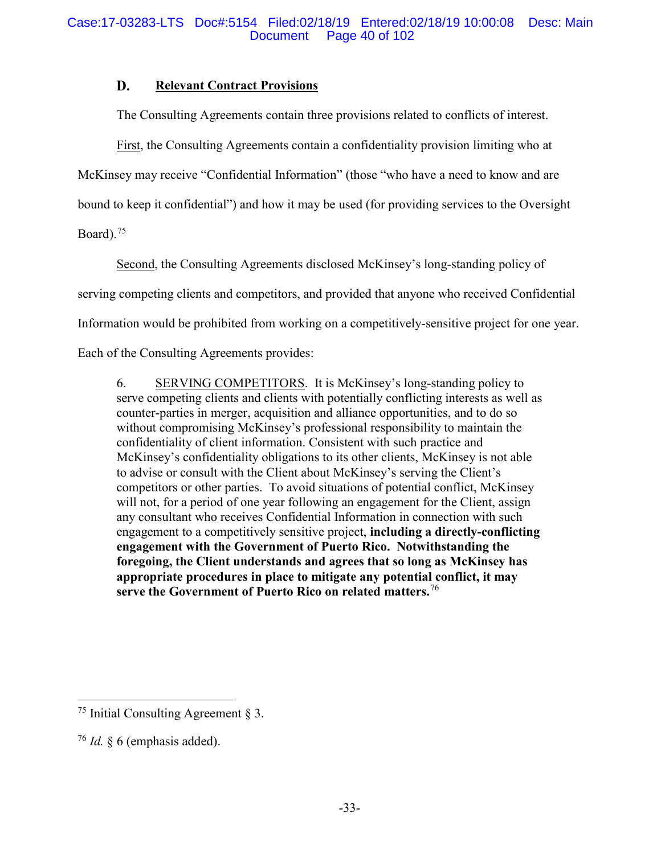#### D. **Relevant Contract Provisions**

The Consulting Agreements contain three provisions related to conflicts of interest.

First, the Consulting Agreements contain a confidentiality provision limiting who at

McKinsey may receive "Confidential Information" (those "who have a need to know and are

bound to keep it confidential") and how it may be used (for providing services to the Oversight

Board). $75$ 

Second, the Consulting Agreements disclosed McKinsey's long-standing policy of

serving competing clients and competitors, and provided that anyone who received Confidential

Information would be prohibited from working on a competitively-sensitive project for one year.

Each of the Consulting Agreements provides:

6. SERVING COMPETITORS. It is McKinsey's long-standing policy to serve competing clients and clients with potentially conflicting interests as well as counter-parties in merger, acquisition and alliance opportunities, and to do so without compromising McKinsey's professional responsibility to maintain the confidentiality of client information. Consistent with such practice and McKinsey's confidentiality obligations to its other clients, McKinsey is not able to advise or consult with the Client about McKinsey's serving the Client's competitors or other parties. To avoid situations of potential conflict, McKinsey will not, for a period of one year following an engagement for the Client, assign any consultant who receives Confidential Information in connection with such engagement to a competitively sensitive project, **including a directly-conflicting engagement with the Government of Puerto Rico. Notwithstanding the foregoing, the Client understands and agrees that so long as McKinsey has appropriate procedures in place to mitigate any potential conflict, it may serve the Government of Puerto Rico on related matters.**<sup>76</sup>

<sup>&</sup>lt;sup>75</sup> Initial Consulting Agreement  $\S$  3.

<sup>76</sup> *Id.* § 6 (emphasis added).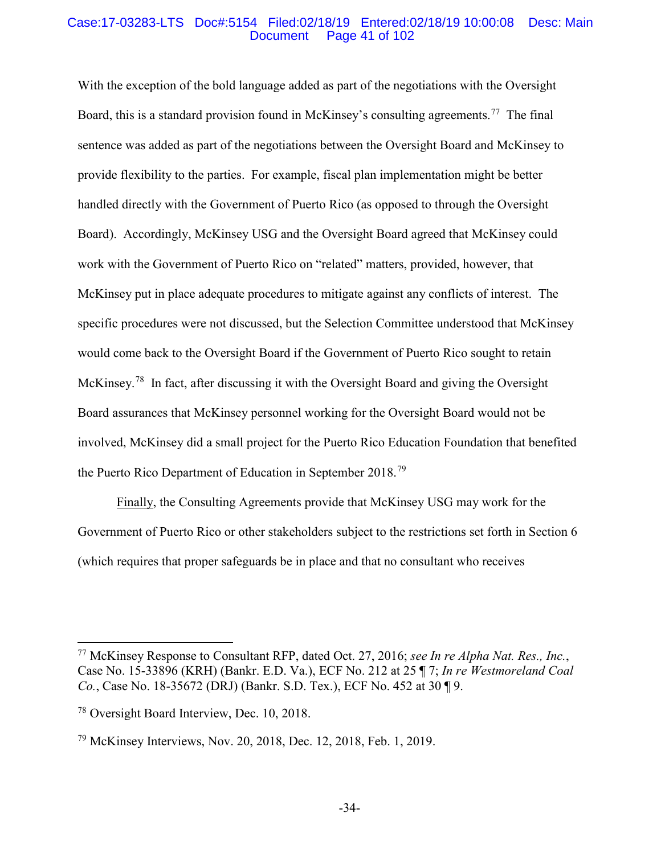#### Case:17-03283-LTS Doc#:5154 Filed:02/18/19 Entered:02/18/19 10:00:08 Desc: Main Page 41 of 102

With the exception of the bold language added as part of the negotiations with the Oversight Board, this is a standard provision found in McKinsey's consulting agreements.<sup>77</sup> The final sentence was added as part of the negotiations between the Oversight Board and McKinsey to provide flexibility to the parties. For example, fiscal plan implementation might be better handled directly with the Government of Puerto Rico (as opposed to through the Oversight Board). Accordingly, McKinsey USG and the Oversight Board agreed that McKinsey could work with the Government of Puerto Rico on "related" matters, provided, however, that McKinsey put in place adequate procedures to mitigate against any conflicts of interest. The specific procedures were not discussed, but the Selection Committee understood that McKinsey would come back to the Oversight Board if the Government of Puerto Rico sought to retain McKinsey.<sup>78</sup> In fact, after discussing it with the Oversight Board and giving the Oversight Board assurances that McKinsey personnel working for the Oversight Board would not be involved, McKinsey did a small project for the Puerto Rico Education Foundation that benefited the Puerto Rico Department of Education in September 2018.<sup>79</sup>

Finally, the Consulting Agreements provide that McKinsey USG may work for the Government of Puerto Rico or other stakeholders subject to the restrictions set forth in Section 6 (which requires that proper safeguards be in place and that no consultant who receives

 <sup>77</sup> McKinsey Response to Consultant RFP, dated Oct. 27, 2016; *see In re Alpha Nat. Res., Inc.*, Case No. 15-33896 (KRH) (Bankr. E.D. Va.), ECF No. 212 at 25 ¶ 7; *In re Westmoreland Coal Co.*, Case No. 18-35672 (DRJ) (Bankr. S.D. Tex.), ECF No. 452 at 30 ¶ 9.

<sup>78</sup> Oversight Board Interview, Dec. 10, 2018.

<sup>79</sup> McKinsey Interviews, Nov. 20, 2018, Dec. 12, 2018, Feb. 1, 2019.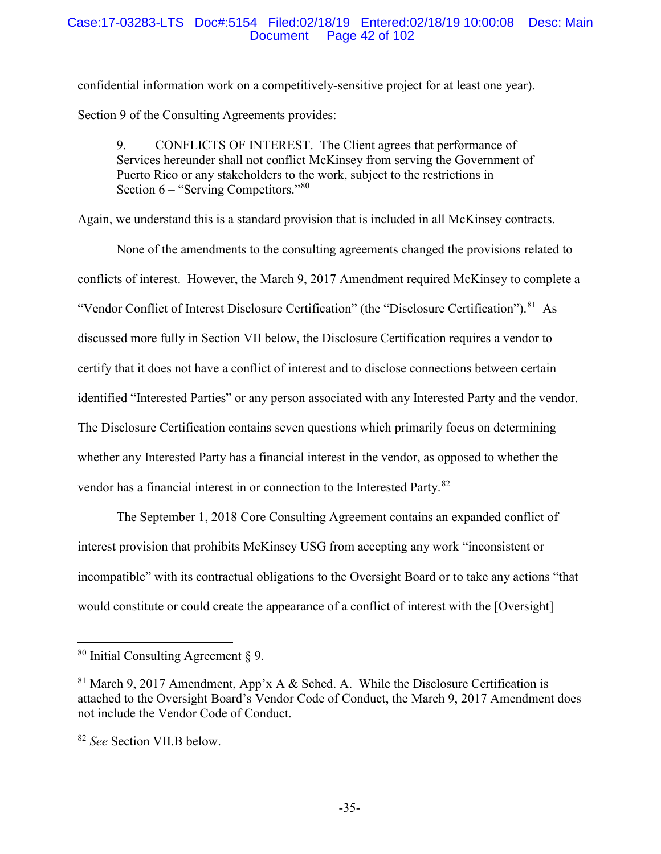### Case:17-03283-LTS Doc#:5154 Filed:02/18/19 Entered:02/18/19 10:00:08 Desc: Main Page 42 of 102

confidential information work on a competitively-sensitive project for at least one year). Section 9 of the Consulting Agreements provides:

9. CONFLICTS OF INTEREST. The Client agrees that performance of Services hereunder shall not conflict McKinsey from serving the Government of Puerto Rico or any stakeholders to the work, subject to the restrictions in Section 6 – "Serving Competitors."<sup>80</sup>

Again, we understand this is a standard provision that is included in all McKinsey contracts.

None of the amendments to the consulting agreements changed the provisions related to conflicts of interest. However, the March 9, 2017 Amendment required McKinsey to complete a "Vendor Conflict of Interest Disclosure Certification" (the "Disclosure Certification").<sup>81</sup> As discussed more fully in Section VII below, the Disclosure Certification requires a vendor to certify that it does not have a conflict of interest and to disclose connections between certain identified "Interested Parties" or any person associated with any Interested Party and the vendor. The Disclosure Certification contains seven questions which primarily focus on determining whether any Interested Party has a financial interest in the vendor, as opposed to whether the vendor has a financial interest in or connection to the Interested Party.82

The September 1, 2018 Core Consulting Agreement contains an expanded conflict of interest provision that prohibits McKinsey USG from accepting any work "inconsistent or incompatible" with its contractual obligations to the Oversight Board or to take any actions "that would constitute or could create the appearance of a conflict of interest with the [Oversight]

 $80$  Initial Consulting Agreement  $\S$  9.

 $81$  March 9, 2017 Amendment, App'x A & Sched. A. While the Disclosure Certification is attached to the Oversight Board's Vendor Code of Conduct, the March 9, 2017 Amendment does not include the Vendor Code of Conduct.

<sup>82</sup> *See* Section VII.B below.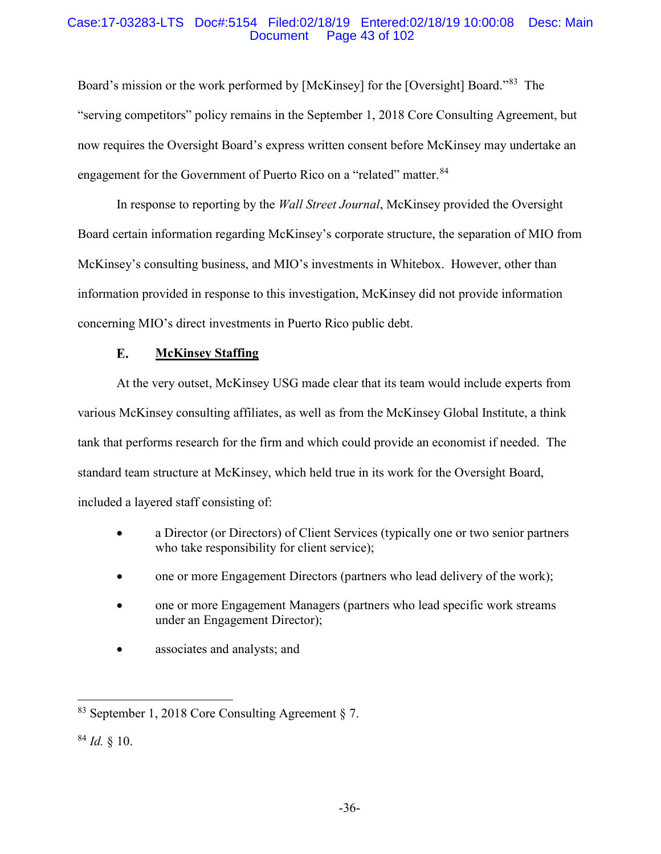### Case:17-03283-LTS Doc#:5154 Filed:02/18/19 Entered:02/18/19 10:00:08 Desc: Main Page 43 of 102

Board's mission or the work performed by [McKinsey] for the [Oversight] Board."83 The "serving competitors" policy remains in the September 1, 2018 Core Consulting Agreement, but now requires the Oversight Board's express written consent before McKinsey may undertake an engagement for the Government of Puerto Rico on a "related" matter.<sup>84</sup>

In response to reporting by the *Wall Street Journal*, McKinsey provided the Oversight Board certain information regarding McKinsey's corporate structure, the separation of MIO from McKinsey's consulting business, and MIO's investments in Whitebox. However, other than information provided in response to this investigation, McKinsey did not provide information concerning MIO's direct investments in Puerto Rico public debt.

#### E. **McKinsey Staffing**

At the very outset, McKinsey USG made clear that its team would include experts from various McKinsey consulting affiliates, as well as from the McKinsey Global Institute, a think tank that performs research for the firm and which could provide an economist if needed. The standard team structure at McKinsey, which held true in its work for the Oversight Board, included a layered staff consisting of:

- a Director (or Directors) of Client Services (typically one or two senior partners who take responsibility for client service);
- one or more Engagement Directors (partners who lead delivery of the work);
- one or more Engagement Managers (partners who lead specific work streams under an Engagement Director);
- associates and analysts; and

 <sup>83</sup> September 1, <sup>2018</sup> Core Consulting Agreement § 7.

 $84$  *Id.* § 10.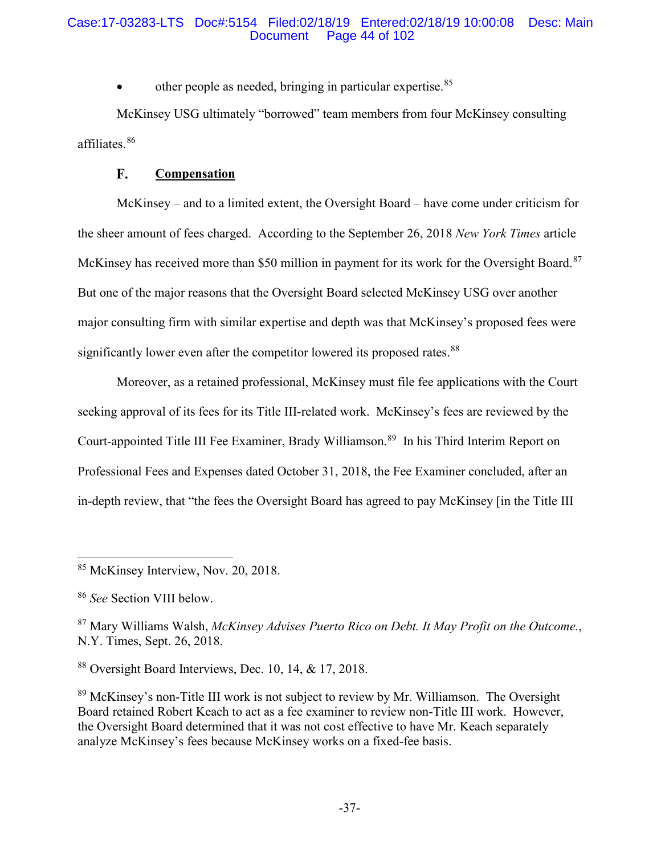### Case:17-03283-LTS Doc#:5154 Filed:02/18/19 Entered:02/18/19 10:00:08 Desc: Main Page 44 of 102

other people as needed, bringing in particular expertise.<sup>85</sup>

McKinsey USG ultimately "borrowed" team members from four McKinsey consulting affiliates.<sup>86</sup>

#### F. **Compensation**

McKinsey – and to a limited extent, the Oversight Board – have come under criticism for the sheer amount of fees charged. According to the September 26, 2018 *New York Times* article McKinsey has received more than \$50 million in payment for its work for the Oversight Board.<sup>87</sup> But one of the major reasons that the Oversight Board selected McKinsey USG over another major consulting firm with similar expertise and depth was that McKinsey's proposed fees were significantly lower even after the competitor lowered its proposed rates.<sup>88</sup>

Moreover, as a retained professional, McKinsey must file fee applications with the Court seeking approval of its fees for its Title III-related work. McKinsey's fees are reviewed by the Court-appointed Title III Fee Examiner, Brady Williamson. 89 In his Third Interim Report on Professional Fees and Expenses dated October 31, 2018, the Fee Examiner concluded, after an in-depth review, that "the fees the Oversight Board has agreed to pay McKinsey [in the Title III

 <sup>85</sup> McKinsey Interview, Nov. 20, 2018.

<sup>86</sup> *See* Section VIII below.

<sup>87</sup> Mary Williams Walsh, *McKinsey Advises Puerto Rico on Debt. It May Profit on the Outcome.*, N.Y. Times, Sept. 26, 2018.

<sup>88</sup> Oversight Board Interviews, Dec. 10, 14, & 17, 2018.

<sup>&</sup>lt;sup>89</sup> McKinsey's non-Title III work is not subject to review by Mr. Williamson. The Oversight Board retained Robert Keach to act as a fee examiner to review non-Title III work. However, the Oversight Board determined that it was not cost effective to have Mr. Keach separately analyze McKinsey's fees because McKinsey works on a fixed-fee basis.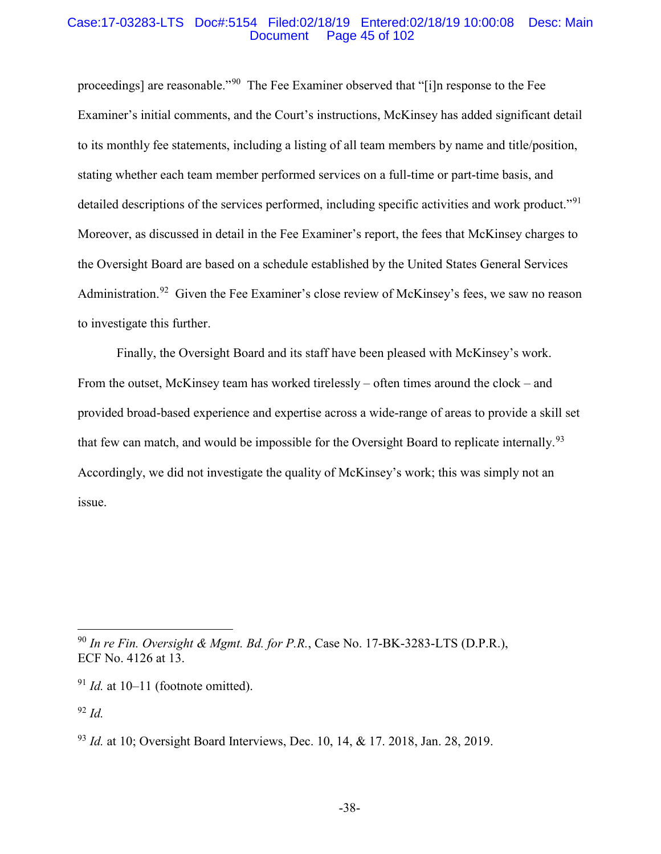#### Case:17-03283-LTS Doc#:5154 Filed:02/18/19 Entered:02/18/19 10:00:08 Desc: Main Page 45 of 102

proceedings] are reasonable."90 The Fee Examiner observed that "[i]n response to the Fee Examiner's initial comments, and the Court's instructions, McKinsey has added significant detail to its monthly fee statements, including a listing of all team members by name and title/position, stating whether each team member performed services on a full-time or part-time basis, and detailed descriptions of the services performed, including specific activities and work product."<sup>91</sup> Moreover, as discussed in detail in the Fee Examiner's report, the fees that McKinsey charges to the Oversight Board are based on a schedule established by the United States General Services Administration.<sup>92</sup> Given the Fee Examiner's close review of McKinsey's fees, we saw no reason to investigate this further.

Finally, the Oversight Board and its staff have been pleased with McKinsey's work. From the outset, McKinsey team has worked tirelessly – often times around the clock – and provided broad-based experience and expertise across a wide-range of areas to provide a skill set that few can match, and would be impossible for the Oversight Board to replicate internally.<sup>93</sup> Accordingly, we did not investigate the quality of McKinsey's work; this was simply not an issue.

<sup>92</sup> *Id.*

 <sup>90</sup> *In re Fin. Oversight & Mgmt. Bd. for P.R.*, Case No. 17-BK-3283-LTS (D.P.R.), ECF No. 4126 at 13.

 $91$  *Id.* at 10–11 (footnote omitted).

<sup>93</sup> *Id.* at 10; Oversight Board Interviews, Dec. 10, 14, & 17. 2018, Jan. 28, 2019.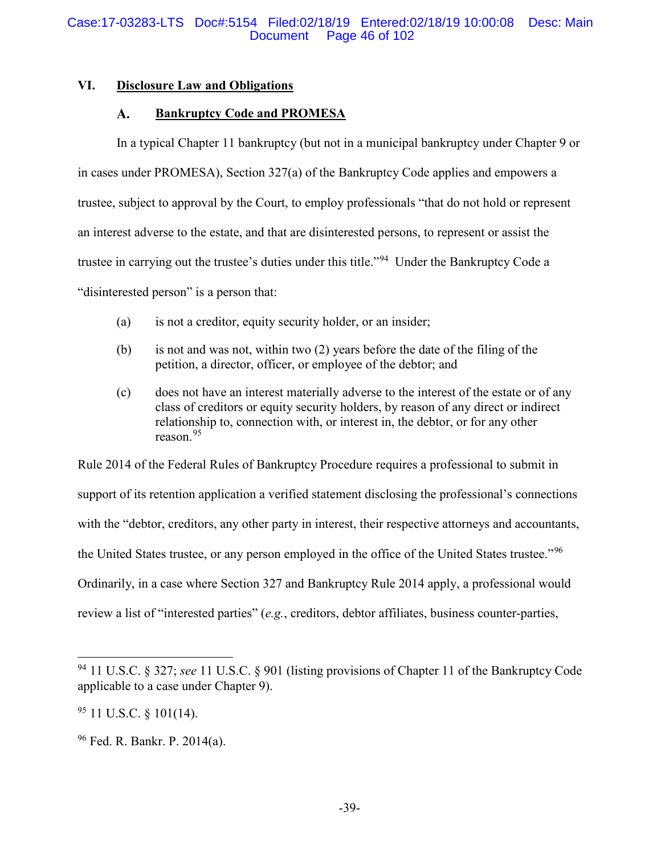## **VI. Disclosure Law and Obligations**

#### A. **Bankruptcy Code and PROMESA**

In a typical Chapter 11 bankruptcy (but not in a municipal bankruptcy under Chapter 9 or in cases under PROMESA), Section 327(a) of the Bankruptcy Code applies and empowers a trustee, subject to approval by the Court, to employ professionals "that do not hold or represent an interest adverse to the estate, and that are disinterested persons, to represent or assist the trustee in carrying out the trustee's duties under this title."94 Under the Bankruptcy Code a "disinterested person" is a person that:

- (a) is not a creditor, equity security holder, or an insider;
- (b) is not and was not, within two (2) years before the date of the filing of the petition, a director, officer, or employee of the debtor; and
- (c) does not have an interest materially adverse to the interest of the estate or of any class of creditors or equity security holders, by reason of any direct or indirect relationship to, connection with, or interest in, the debtor, or for any other reason<sup>95</sup>

Rule 2014 of the Federal Rules of Bankruptcy Procedure requires a professional to submit in support of its retention application a verified statement disclosing the professional's connections with the "debtor, creditors, any other party in interest, their respective attorneys and accountants, the United States trustee, or any person employed in the office of the United States trustee."<sup>96</sup> Ordinarily, in a case where Section 327 and Bankruptcy Rule 2014 apply, a professional would review a list of "interested parties" (*e.g.*, creditors, debtor affiliates, business counter-parties,

 <sup>94</sup> 11 U.S.C. § 327; *see* 11 U.S.C. § 901 (listing provisions of Chapter 11 of the Bankruptcy Code applicable to a case under Chapter 9).

 $95$  11 U.S.C.  $\frac{$}{5}$  101(14).

<sup>96</sup> Fed. R. Bankr. P. 2014(a).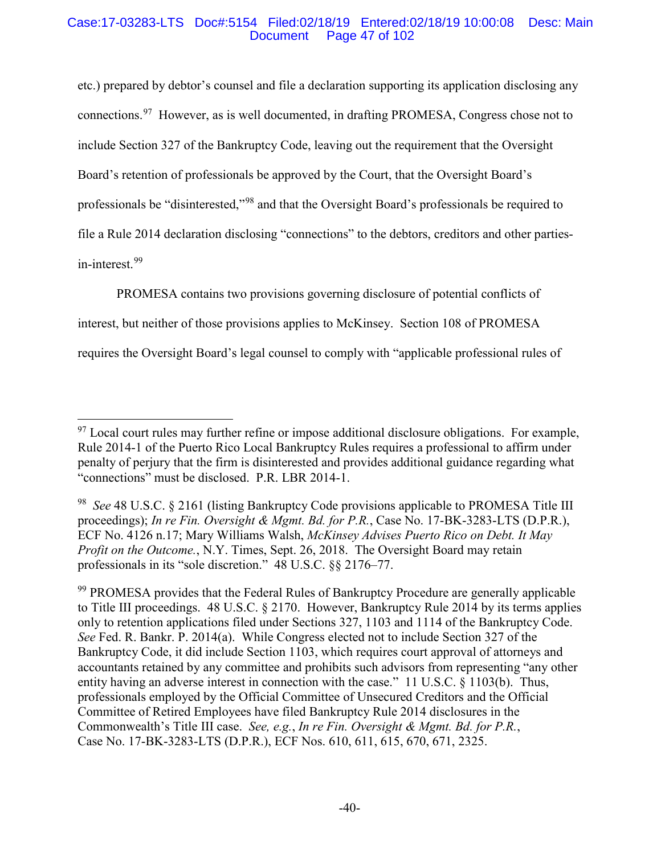### Case:17-03283-LTS Doc#:5154 Filed:02/18/19 Entered:02/18/19 10:00:08 Desc: Main Page 47 of 102

etc.) prepared by debtor's counsel and file a declaration supporting its application disclosing any connections.<sup>97</sup> However, as is well documented, in drafting PROMESA, Congress chose not to include Section 327 of the Bankruptcy Code, leaving out the requirement that the Oversight Board's retention of professionals be approved by the Court, that the Oversight Board's professionals be "disinterested,"<sup>98</sup> and that the Oversight Board's professionals be required to file a Rule 2014 declaration disclosing "connections" to the debtors, creditors and other partiesin-interest. 99

PROMESA contains two provisions governing disclosure of potential conflicts of interest, but neither of those provisions applies to McKinsey. Section 108 of PROMESA requires the Oversight Board's legal counsel to comply with "applicable professional rules of

<sup>&</sup>lt;sup>97</sup> Local court rules may further refine or impose additional disclosure obligations. For example, Rule 2014-1 of the Puerto Rico Local Bankruptcy Rules requires a professional to affirm under penalty of perjury that the firm is disinterested and provides additional guidance regarding what "connections" must be disclosed. P.R. LBR 2014-1.

<sup>98</sup> *See* 48 U.S.C. § 2161 (listing Bankruptcy Code provisions applicable to PROMESA Title III proceedings); *In re Fin. Oversight & Mgmt. Bd. for P.R.*, Case No. 17-BK-3283-LTS (D.P.R.), ECF No. 4126 n.17; Mary Williams Walsh, *McKinsey Advises Puerto Rico on Debt. It May Profit on the Outcome.*, N.Y. Times, Sept. 26, 2018. The Oversight Board may retain professionals in its "sole discretion." 48 U.S.C. §§ 2176–77.

<sup>&</sup>lt;sup>99</sup> PROMESA provides that the Federal Rules of Bankruptcy Procedure are generally applicable to Title III proceedings. 48 U.S.C. § 2170. However, Bankruptcy Rule 2014 by its terms applies only to retention applications filed under Sections 327, 1103 and 1114 of the Bankruptcy Code. *See* Fed. R. Bankr. P. 2014(a). While Congress elected not to include Section 327 of the Bankruptcy Code, it did include Section 1103, which requires court approval of attorneys and accountants retained by any committee and prohibits such advisors from representing "any other entity having an adverse interest in connection with the case." 11 U.S.C. § 1103(b). Thus, professionals employed by the Official Committee of Unsecured Creditors and the Official Committee of Retired Employees have filed Bankruptcy Rule 2014 disclosures in the Commonwealth's Title III case. *See, e.g.*, *In re Fin. Oversight & Mgmt. Bd. for P.R.*, Case No. 17-BK-3283-LTS (D.P.R.), ECF Nos. 610, 611, 615, 670, 671, 2325.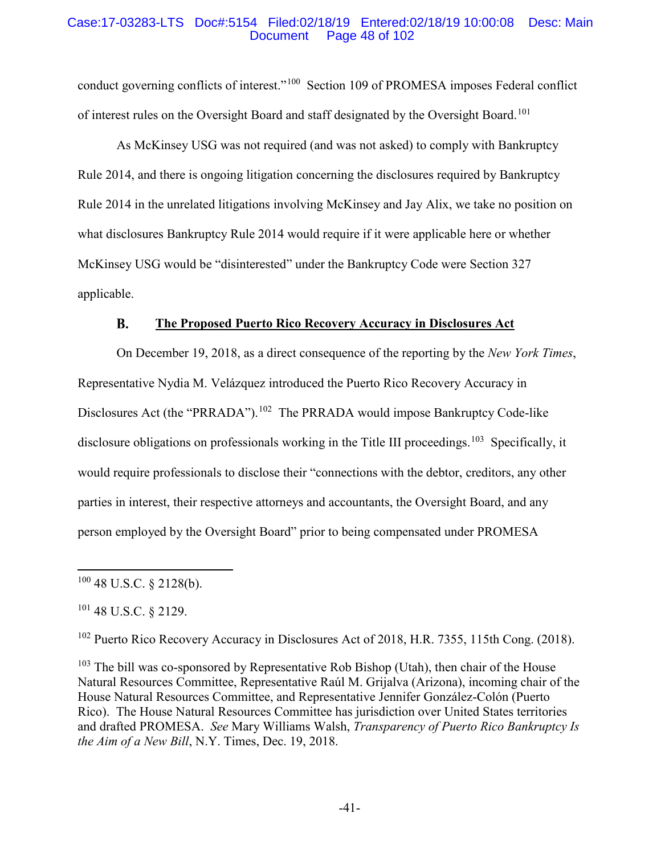### Case:17-03283-LTS Doc#:5154 Filed:02/18/19 Entered:02/18/19 10:00:08 Desc: Main Page 48 of 102

conduct governing conflicts of interest."<sup>100</sup> Section 109 of PROMESA imposes Federal conflict of interest rules on the Oversight Board and staff designated by the Oversight Board.<sup>101</sup>

As McKinsey USG was not required (and was not asked) to comply with Bankruptcy Rule 2014, and there is ongoing litigation concerning the disclosures required by Bankruptcy Rule 2014 in the unrelated litigations involving McKinsey and Jay Alix, we take no position on what disclosures Bankruptcy Rule 2014 would require if it were applicable here or whether McKinsey USG would be "disinterested" under the Bankruptcy Code were Section 327 applicable.

#### **B. The Proposed Puerto Rico Recovery Accuracy in Disclosures Act**

On December 19, 2018, as a direct consequence of the reporting by the *New York Times*, Representative Nydia M. Velázquez introduced the Puerto Rico Recovery Accuracy in Disclosures Act (the "PRRADA").<sup>102</sup> The PRRADA would impose Bankruptcy Code-like disclosure obligations on professionals working in the Title III proceedings.<sup>103</sup> Specifically, it would require professionals to disclose their "connections with the debtor, creditors, any other parties in interest, their respective attorneys and accountants, the Oversight Board, and any person employed by the Oversight Board" prior to being compensated under PROMESA

<sup>102</sup> Puerto Rico Recovery Accuracy in Disclosures Act of 2018, H.R. 7355, 115th Cong. (2018).

 $100$  48 U.S.C. § 2128(b).

<sup>101</sup> 48 U.S.C. § 2129.

 $103$  The bill was co-sponsored by Representative Rob Bishop (Utah), then chair of the House Natural Resources Committee, Representative Raúl M. Grijalva (Arizona), incoming chair of the House Natural Resources Committee, and Representative Jennifer González-Colón (Puerto Rico). The House Natural Resources Committee has jurisdiction over United States territories and drafted PROMESA. *See* Mary Williams Walsh, *Transparency of Puerto Rico Bankruptcy Is the Aim of a New Bill*, N.Y. Times, Dec. 19, 2018.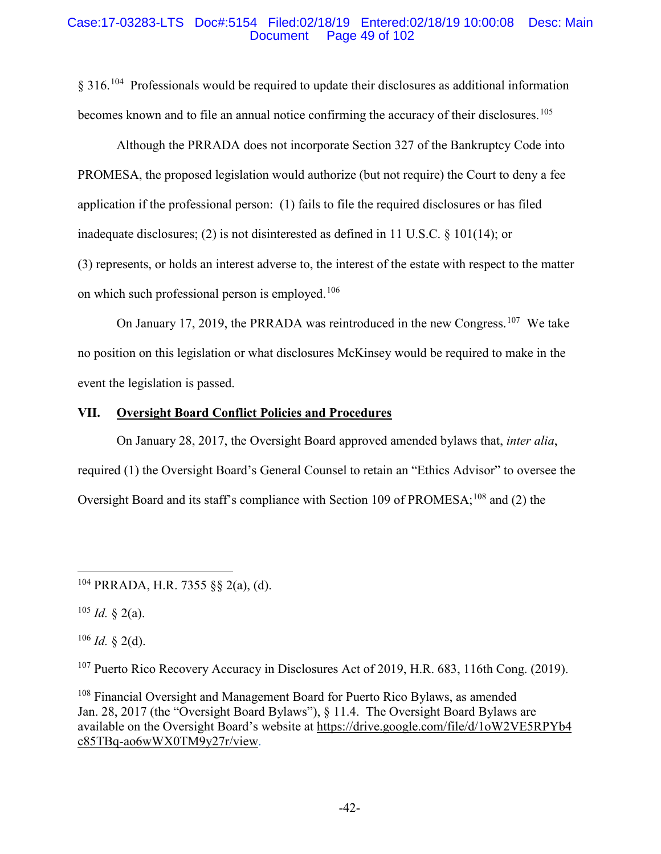### Case:17-03283-LTS Doc#:5154 Filed:02/18/19 Entered:02/18/19 10:00:08 Desc: Main Page 49 of 102

§ 316.<sup>104</sup> Professionals would be required to update their disclosures as additional information becomes known and to file an annual notice confirming the accuracy of their disclosures.<sup>105</sup>

Although the PRRADA does not incorporate Section 327 of the Bankruptcy Code into PROMESA, the proposed legislation would authorize (but not require) the Court to deny a fee application if the professional person: (1) fails to file the required disclosures or has filed inadequate disclosures; (2) is not disinterested as defined in 11 U.S.C. § 101(14); or

(3) represents, or holds an interest adverse to, the interest of the estate with respect to the matter on which such professional person is employed.<sup>106</sup>

On January 17, 2019, the PRRADA was reintroduced in the new Congress.<sup>107</sup> We take no position on this legislation or what disclosures McKinsey would be required to make in the event the legislation is passed.

## **VII. Oversight Board Conflict Policies and Procedures**

On January 28, 2017, the Oversight Board approved amended bylaws that, *inter alia*, required (1) the Oversight Board's General Counsel to retain an "Ethics Advisor" to oversee the Oversight Board and its staff's compliance with Section 109 of PROMESA;<sup>108</sup> and (2) the

 $105$  *Id.* § 2(a).

 $106$  *Id.* § 2(d).

<sup>107</sup> Puerto Rico Recovery Accuracy in Disclosures Act of 2019, H.R. 683, 116th Cong. (2019).

<sup>108</sup> Financial Oversight and Management Board for Puerto Rico Bylaws, as amended Jan. 28, 2017 (the "Oversight Board Bylaws"), § 11.4. The Oversight Board Bylaws are available on the Oversight Board's website at https://drive.google.com/file/d/1oW2VE5RPYb4 c85TBq-ao6wWX0TM9y27r/view.

 $104$  PRRADA, H.R. 7355 §§ 2(a), (d).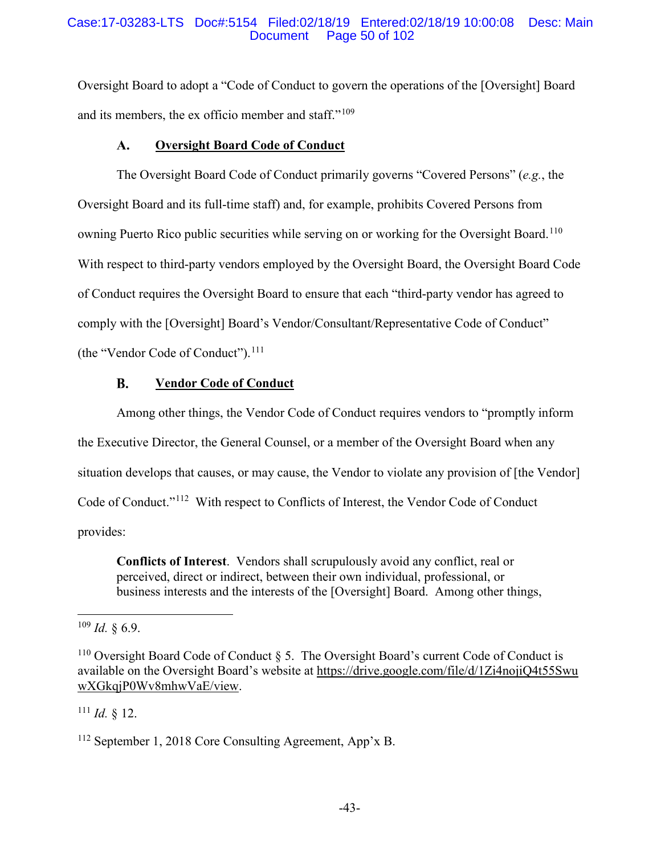### Case:17-03283-LTS Doc#:5154 Filed:02/18/19 Entered:02/18/19 10:00:08 Desc: Main Page 50 of 102

Oversight Board to adopt a "Code of Conduct to govern the operations of the [Oversight] Board and its members, the ex officio member and staff."<sup>109</sup>

#### **Oversight Board Code of Conduct**  $\mathbf{A}$ .

The Oversight Board Code of Conduct primarily governs "Covered Persons" (*e.g.*, the Oversight Board and its full-time staff) and, for example, prohibits Covered Persons from owning Puerto Rico public securities while serving on or working for the Oversight Board.<sup>110</sup> With respect to third-party vendors employed by the Oversight Board, the Oversight Board Code of Conduct requires the Oversight Board to ensure that each "third-party vendor has agreed to comply with the [Oversight] Board's Vendor/Consultant/Representative Code of Conduct" (the "Vendor Code of Conduct"). $111$ 

#### **B. Vendor Code of Conduct**

Among other things, the Vendor Code of Conduct requires vendors to "promptly inform the Executive Director, the General Counsel, or a member of the Oversight Board when any situation develops that causes, or may cause, the Vendor to violate any provision of [the Vendor] Code of Conduct."112 With respect to Conflicts of Interest, the Vendor Code of Conduct provides:

**Conflicts of Interest**. Vendors shall scrupulously avoid any conflict, real or perceived, direct or indirect, between their own individual, professional, or business interests and the interests of the [Oversight] Board. Among other things,

 $111$  *Id.* § 12.

 $109$  *Id.* § 6.9.

<sup>&</sup>lt;sup>110</sup> Oversight Board Code of Conduct  $\S$  5. The Oversight Board's current Code of Conduct is available on the Oversight Board's website at https://drive.google.com/file/d/1Zi4nojiQ4t55Swu wXGkqjP0Wv8mhwVaE/view.

<sup>112</sup> September 1, 2018 Core Consulting Agreement, App'x B.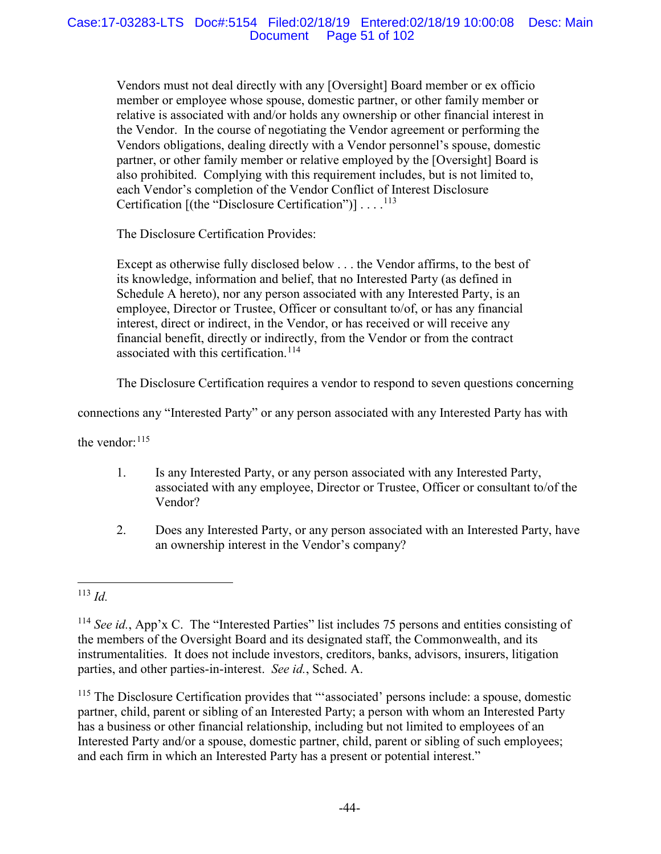Vendors must not deal directly with any [Oversight] Board member or ex officio member or employee whose spouse, domestic partner, or other family member or relative is associated with and/or holds any ownership or other financial interest in the Vendor. In the course of negotiating the Vendor agreement or performing the Vendors obligations, dealing directly with a Vendor personnel's spouse, domestic partner, or other family member or relative employed by the [Oversight] Board is also prohibited. Complying with this requirement includes, but is not limited to, each Vendor's completion of the Vendor Conflict of Interest Disclosure Certification  $[(the "Disclosure Certain")] \dots$ <sup>113</sup>

The Disclosure Certification Provides:

Except as otherwise fully disclosed below . . . the Vendor affirms, to the best of its knowledge, information and belief, that no Interested Party (as defined in Schedule A hereto), nor any person associated with any Interested Party, is an employee, Director or Trustee, Officer or consultant to/of, or has any financial interest, direct or indirect, in the Vendor, or has received or will receive any financial benefit, directly or indirectly, from the Vendor or from the contract associated with this certification.<sup>114</sup>

The Disclosure Certification requires a vendor to respond to seven questions concerning

connections any "Interested Party" or any person associated with any Interested Party has with

the vendor: <sup>115</sup>

- 1. Is any Interested Party, or any person associated with any Interested Party, associated with any employee, Director or Trustee, Officer or consultant to/of the Vendor?
- 2. Does any Interested Party, or any person associated with an Interested Party, have an ownership interest in the Vendor's company?

<sup>115</sup> The Disclosure Certification provides that "'associated' persons include: a spouse, domestic partner, child, parent or sibling of an Interested Party; a person with whom an Interested Party has a business or other financial relationship, including but not limited to employees of an Interested Party and/or a spouse, domestic partner, child, parent or sibling of such employees; and each firm in which an Interested Party has a present or potential interest."

 <sup>113</sup> *Id.*

<sup>114</sup> *See id.*, App'x C. The "Interested Parties" list includes 75 persons and entities consisting of the members of the Oversight Board and its designated staff, the Commonwealth, and its instrumentalities. It does not include investors, creditors, banks, advisors, insurers, litigation parties, and other parties-in-interest. *See id.*, Sched. A.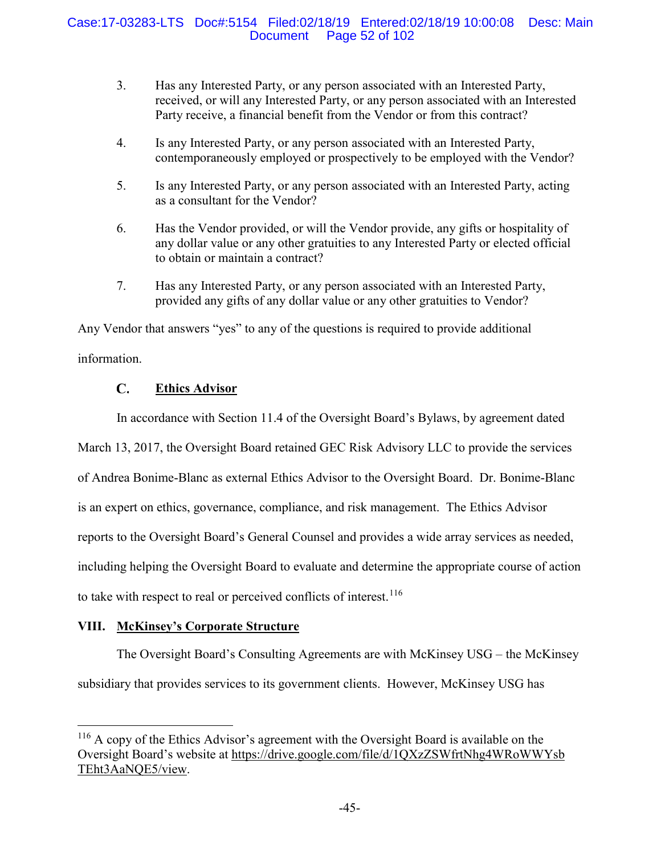- 3. Has any Interested Party, or any person associated with an Interested Party, received, or will any Interested Party, or any person associated with an Interested Party receive, a financial benefit from the Vendor or from this contract?
- 4. Is any Interested Party, or any person associated with an Interested Party, contemporaneously employed or prospectively to be employed with the Vendor?
- 5. Is any Interested Party, or any person associated with an Interested Party, acting as a consultant for the Vendor?
- 6. Has the Vendor provided, or will the Vendor provide, any gifts or hospitality of any dollar value or any other gratuities to any Interested Party or elected official to obtain or maintain a contract?
- 7. Has any Interested Party, or any person associated with an Interested Party, provided any gifts of any dollar value or any other gratuities to Vendor?

Any Vendor that answers "yes" to any of the questions is required to provide additional information.

#### $\mathbf{C}$ . **Ethics Advisor**

In accordance with Section 11.4 of the Oversight Board's Bylaws, by agreement dated

March 13, 2017, the Oversight Board retained GEC Risk Advisory LLC to provide the services

of Andrea Bonime-Blanc as external Ethics Advisor to the Oversight Board. Dr. Bonime-Blanc

is an expert on ethics, governance, compliance, and risk management. The Ethics Advisor

reports to the Oversight Board's General Counsel and provides a wide array services as needed,

including helping the Oversight Board to evaluate and determine the appropriate course of action

to take with respect to real or perceived conflicts of interest.<sup>116</sup>

# **VIII. McKinsey's Corporate Structure**

The Oversight Board's Consulting Agreements are with McKinsey USG – the McKinsey subsidiary that provides services to its government clients. However, McKinsey USG has

 <sup>116</sup> A copy of the Ethics Advisor's agreement with the Oversight Board is available on the Oversight Board's website at https://drive.google.com/file/d/1QXzZSWfrtNhg4WRoWWYsb TEht3AaNQE5/view.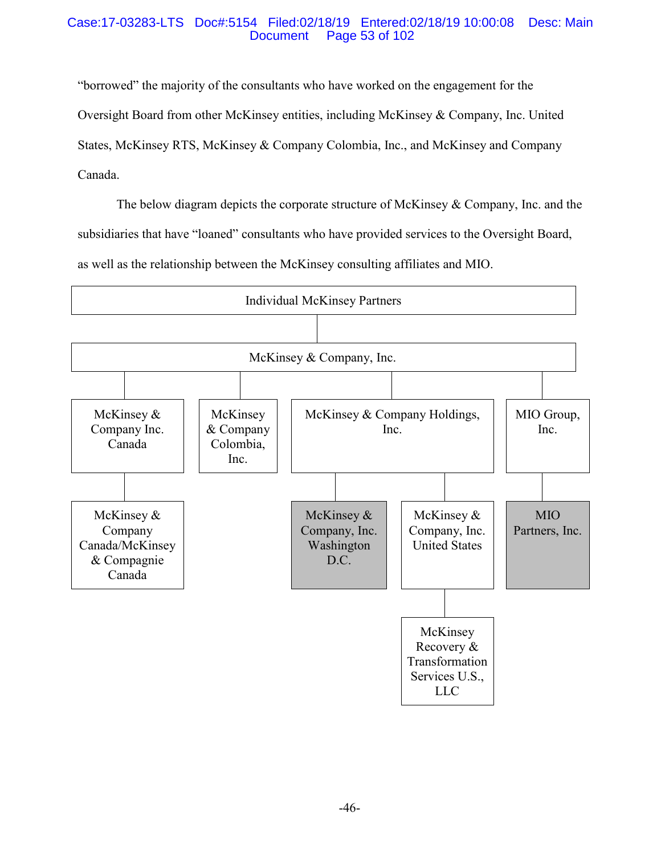### Case:17-03283-LTS Doc#:5154 Filed:02/18/19 Entered:02/18/19 10:00:08 Desc: Main Page 53 of 102

"borrowed" the majority of the consultants who have worked on the engagement for the Oversight Board from other McKinsey entities, including McKinsey & Company, Inc. United States, McKinsey RTS, McKinsey & Company Colombia, Inc., and McKinsey and Company Canada.

The below diagram depicts the corporate structure of McKinsey & Company, Inc. and the subsidiaries that have "loaned" consultants who have provided services to the Oversight Board, as well as the relationship between the McKinsey consulting affiliates and MIO.

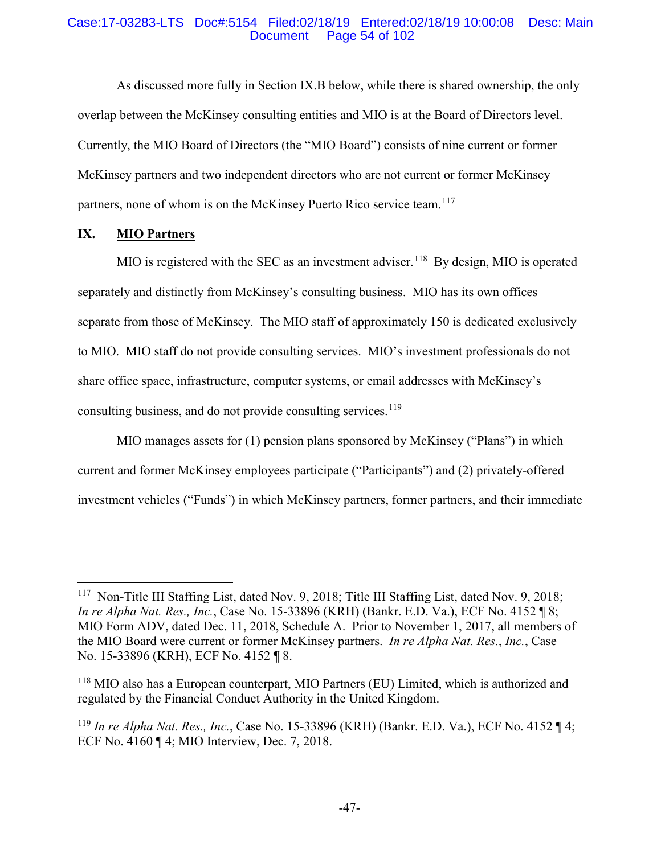### Case:17-03283-LTS Doc#:5154 Filed:02/18/19 Entered:02/18/19 10:00:08 Desc: Main Page 54 of 102

As discussed more fully in Section IX.B below, while there is shared ownership, the only overlap between the McKinsey consulting entities and MIO is at the Board of Directors level. Currently, the MIO Board of Directors (the "MIO Board") consists of nine current or former McKinsey partners and two independent directors who are not current or former McKinsey partners, none of whom is on the McKinsey Puerto Rico service team.<sup>117</sup>

## **IX. MIO Partners**

MIO is registered with the SEC as an investment adviser.<sup>118</sup> By design, MIO is operated separately and distinctly from McKinsey's consulting business. MIO has its own offices separate from those of McKinsey. The MIO staff of approximately 150 is dedicated exclusively to MIO. MIO staff do not provide consulting services. MIO's investment professionals do not share office space, infrastructure, computer systems, or email addresses with McKinsey's consulting business, and do not provide consulting services.<sup>119</sup>

MIO manages assets for (1) pension plans sponsored by McKinsey ("Plans") in which current and former McKinsey employees participate ("Participants") and (2) privately-offered investment vehicles ("Funds") in which McKinsey partners, former partners, and their immediate

 <sup>117</sup> Non-Title III Staffing List, dated Nov. 9, 2018; Title III Staffing List, dated Nov. 9, 2018; *In re Alpha Nat. Res., Inc.*, Case No. 15-33896 (KRH) (Bankr. E.D. Va.), ECF No. 4152 ¶ 8; MIO Form ADV, dated Dec. 11, 2018, Schedule A. Prior to November 1, 2017, all members of the MIO Board were current or former McKinsey partners. *In re Alpha Nat. Res.*, *Inc.*, Case No. 15-33896 (KRH), ECF No. 4152 ¶ 8.

<sup>118</sup> MIO also has a European counterpart, MIO Partners (EU) Limited, which is authorized and regulated by the Financial Conduct Authority in the United Kingdom.

<sup>119</sup> *In re Alpha Nat. Res., Inc.*, Case No. 15-33896 (KRH) (Bankr. E.D. Va.), ECF No. 4152 ¶ 4; ECF No. 4160 ¶ 4; MIO Interview, Dec. 7, 2018.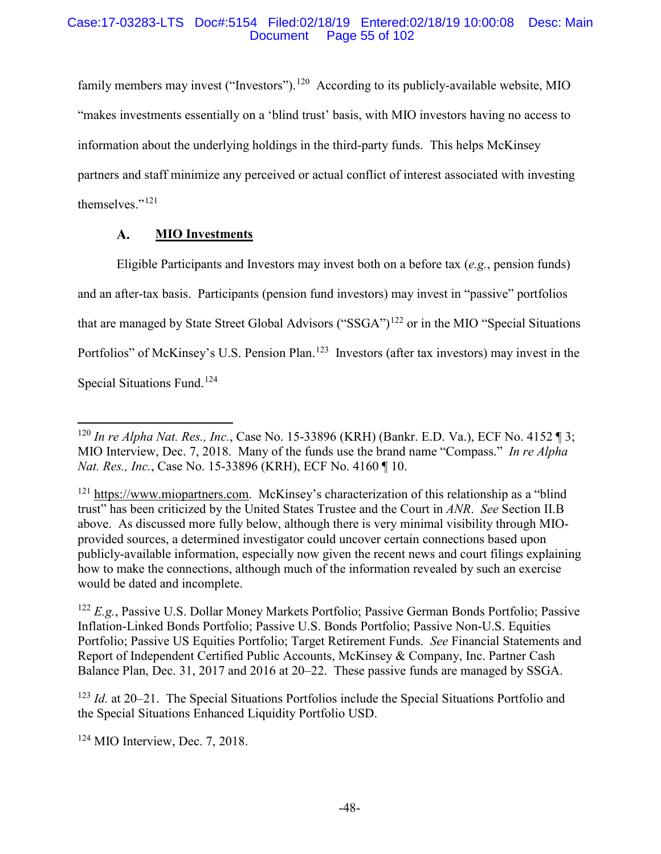### Case:17-03283-LTS Doc#:5154 Filed:02/18/19 Entered:02/18/19 10:00:08 Desc: Main Page 55 of 102

family members may invest ("Investors").<sup>120</sup> According to its publicly-available website, MIO "makes investments essentially on a 'blind trust' basis, with MIO investors having no access to information about the underlying holdings in the third-party funds. This helps McKinsey partners and staff minimize any perceived or actual conflict of interest associated with investing themselves."<sup>121</sup>

#### $A.$ **MIO Investments**

Eligible Participants and Investors may invest both on a before tax (*e.g.*, pension funds) and an after-tax basis. Participants (pension fund investors) may invest in "passive" portfolios that are managed by State Street Global Advisors ("SSGA")<sup>122</sup> or in the MIO "Special Situations" Portfolios" of McKinsey's U.S. Pension Plan.<sup>123</sup> Investors (after tax investors) may invest in the Special Situations Fund.<sup>124</sup>

<sup>122</sup> *E.g.*, Passive U.S. Dollar Money Markets Portfolio; Passive German Bonds Portfolio; Passive Inflation-Linked Bonds Portfolio; Passive U.S. Bonds Portfolio; Passive Non-U.S. Equities Portfolio; Passive US Equities Portfolio; Target Retirement Funds. *See* Financial Statements and Report of Independent Certified Public Accounts, McKinsey & Company, Inc. Partner Cash Balance Plan, Dec. 31, 2017 and 2016 at 20–22. These passive funds are managed by SSGA.

<sup>123</sup> *Id.* at 20–21. The Special Situations Portfolios include the Special Situations Portfolio and the Special Situations Enhanced Liquidity Portfolio USD.

<sup>124</sup> MIO Interview, Dec. 7, 2018.

 <sup>120</sup> *In re Alpha Nat. Res., Inc.*, Case No. 15-33896 (KRH) (Bankr. E.D. Va.), ECF No. 4152 ¶ 3; MIO Interview, Dec. 7, 2018. Many of the funds use the brand name "Compass." *In re Alpha Nat. Res., Inc.*, Case No. 15-33896 (KRH), ECF No. 4160 ¶ 10.

<sup>&</sup>lt;sup>121</sup> https://www.miopartners.com. McKinsey's characterization of this relationship as a "blind" trust" has been criticized by the United States Trustee and the Court in *ANR*. *See* Section II.B above. As discussed more fully below, although there is very minimal visibility through MIOprovided sources, a determined investigator could uncover certain connections based upon publicly-available information, especially now given the recent news and court filings explaining how to make the connections, although much of the information revealed by such an exercise would be dated and incomplete.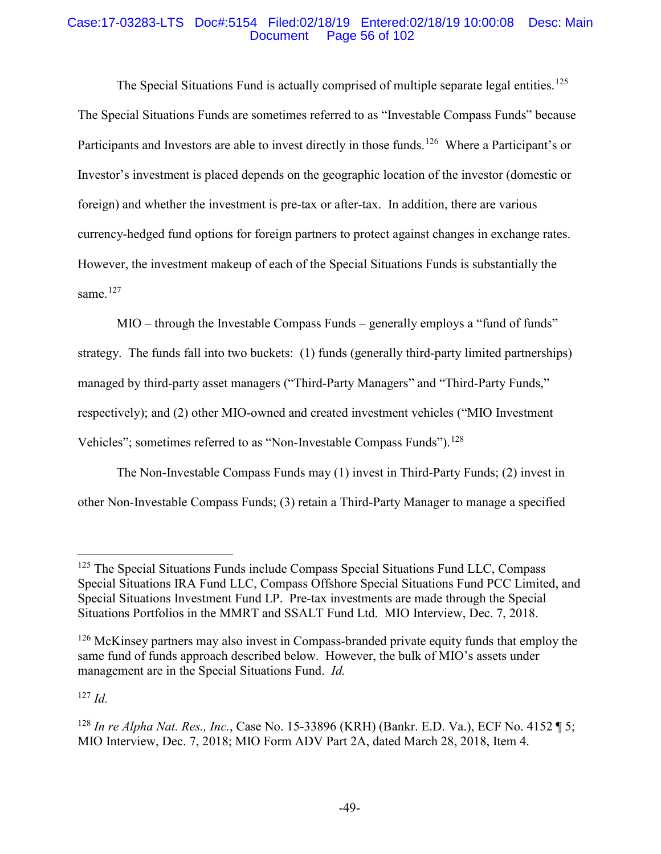### Case:17-03283-LTS Doc#:5154 Filed:02/18/19 Entered:02/18/19 10:00:08 Desc: Main Page 56 of 102

The Special Situations Fund is actually comprised of multiple separate legal entities.<sup>125</sup> The Special Situations Funds are sometimes referred to as "Investable Compass Funds" because Participants and Investors are able to invest directly in those funds.<sup>126</sup> Where a Participant's or Investor's investment is placed depends on the geographic location of the investor (domestic or foreign) and whether the investment is pre-tax or after-tax. In addition, there are various currency-hedged fund options for foreign partners to protect against changes in exchange rates. However, the investment makeup of each of the Special Situations Funds is substantially the same $127$ 

MIO – through the Investable Compass Funds – generally employs a "fund of funds" strategy. The funds fall into two buckets: (1) funds (generally third-party limited partnerships) managed by third-party asset managers ("Third-Party Managers" and "Third-Party Funds," respectively); and (2) other MIO-owned and created investment vehicles ("MIO Investment Vehicles"; sometimes referred to as "Non-Investable Compass Funds").<sup>128</sup>

The Non-Investable Compass Funds may (1) invest in Third-Party Funds; (2) invest in other Non-Investable Compass Funds; (3) retain a Third-Party Manager to manage a specified

<sup>127</sup> *Id.*

<sup>&</sup>lt;sup>125</sup> The Special Situations Funds include Compass Special Situations Fund LLC, Compass Special Situations IRA Fund LLC, Compass Offshore Special Situations Fund PCC Limited, and Special Situations Investment Fund LP. Pre-tax investments are made through the Special Situations Portfolios in the MMRT and SSALT Fund Ltd. MIO Interview, Dec. 7, 2018.

<sup>&</sup>lt;sup>126</sup> McKinsey partners may also invest in Compass-branded private equity funds that employ the same fund of funds approach described below. However, the bulk of MIO's assets under management are in the Special Situations Fund. *Id.*

<sup>128</sup> *In re Alpha Nat. Res., Inc.*, Case No. 15-33896 (KRH) (Bankr. E.D. Va.), ECF No. 4152 ¶ 5; MIO Interview, Dec. 7, 2018; MIO Form ADV Part 2A, dated March 28, 2018, Item 4.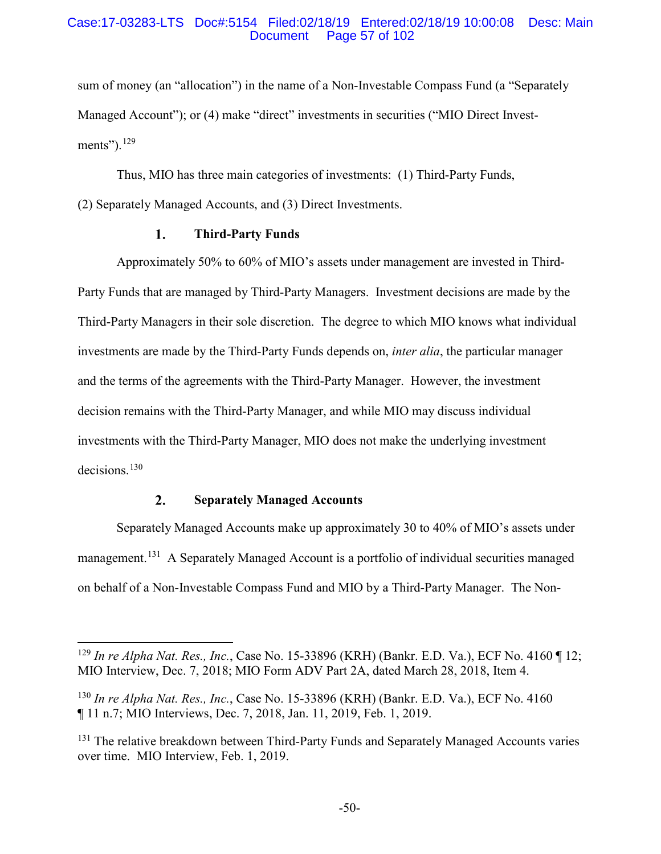#### Case:17-03283-LTS Doc#:5154 Filed:02/18/19 Entered:02/18/19 10:00:08 Desc: Main Page 57 of 102

sum of money (an "allocation") in the name of a Non-Investable Compass Fund (a "Separately Managed Account"); or (4) make "direct" investments in securities ("MIO Direct Investments"). $129$ 

Thus, MIO has three main categories of investments: (1) Third-Party Funds,

(2) Separately Managed Accounts, and (3) Direct Investments.

#### 1. **Third-Party Funds**

Approximately 50% to 60% of MIO's assets under management are invested in Third-Party Funds that are managed by Third-Party Managers. Investment decisions are made by the Third-Party Managers in their sole discretion. The degree to which MIO knows what individual investments are made by the Third-Party Funds depends on, *inter alia*, the particular manager and the terms of the agreements with the Third-Party Manager. However, the investment decision remains with the Third-Party Manager, and while MIO may discuss individual investments with the Third-Party Manager, MIO does not make the underlying investment decisions. 130

#### $2.$ **Separately Managed Accounts**

Separately Managed Accounts make up approximately 30 to 40% of MIO's assets under management.<sup>131</sup> A Separately Managed Account is a portfolio of individual securities managed on behalf of a Non-Investable Compass Fund and MIO by a Third-Party Manager. The Non-

 <sup>129</sup> *In re Alpha Nat. Res., Inc.*, Case No. 15-33896 (KRH) (Bankr. E.D. Va.), ECF No. 4160 ¶ 12; MIO Interview, Dec. 7, 2018; MIO Form ADV Part 2A, dated March 28, 2018, Item 4.

<sup>130</sup> *In re Alpha Nat. Res., Inc.*, Case No. 15-33896 (KRH) (Bankr. E.D. Va.), ECF No. 4160 ¶ 11 n.7; MIO Interviews, Dec. 7, 2018, Jan. 11, 2019, Feb. 1, 2019.

<sup>&</sup>lt;sup>131</sup> The relative breakdown between Third-Party Funds and Separately Managed Accounts varies over time. MIO Interview, Feb. 1, 2019.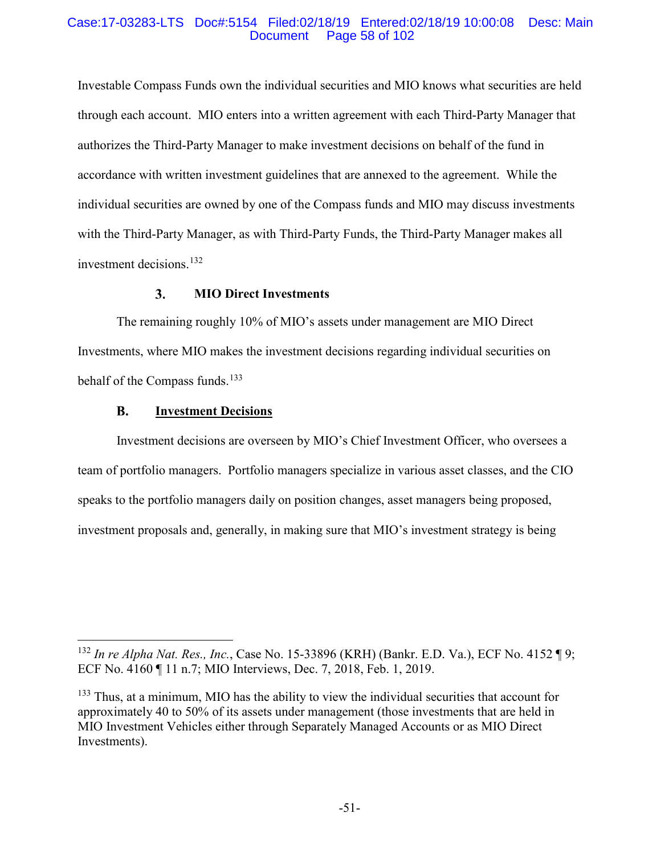### Case:17-03283-LTS Doc#:5154 Filed:02/18/19 Entered:02/18/19 10:00:08 Desc: Main Page 58 of 102

Investable Compass Funds own the individual securities and MIO knows what securities are held through each account. MIO enters into a written agreement with each Third-Party Manager that authorizes the Third-Party Manager to make investment decisions on behalf of the fund in accordance with written investment guidelines that are annexed to the agreement. While the individual securities are owned by one of the Compass funds and MIO may discuss investments with the Third-Party Manager, as with Third-Party Funds, the Third-Party Manager makes all investment decisions. 132

#### $3.$ **MIO Direct Investments**

The remaining roughly 10% of MIO's assets under management are MIO Direct Investments, where MIO makes the investment decisions regarding individual securities on behalf of the Compass funds.<sup>133</sup>

#### **B. Investment Decisions**

Investment decisions are overseen by MIO's Chief Investment Officer, who oversees a team of portfolio managers. Portfolio managers specialize in various asset classes, and the CIO speaks to the portfolio managers daily on position changes, asset managers being proposed, investment proposals and, generally, in making sure that MIO's investment strategy is being

 <sup>132</sup> *In re Alpha Nat. Res., Inc.*, Case No. 15-33896 (KRH) (Bankr. E.D. Va.), ECF No. 4152 ¶ 9; ECF No. 4160 ¶ 11 n.7; MIO Interviews, Dec. 7, 2018, Feb. 1, 2019.

 $133$  Thus, at a minimum, MIO has the ability to view the individual securities that account for approximately 40 to 50% of its assets under management (those investments that are held in MIO Investment Vehicles either through Separately Managed Accounts or as MIO Direct Investments).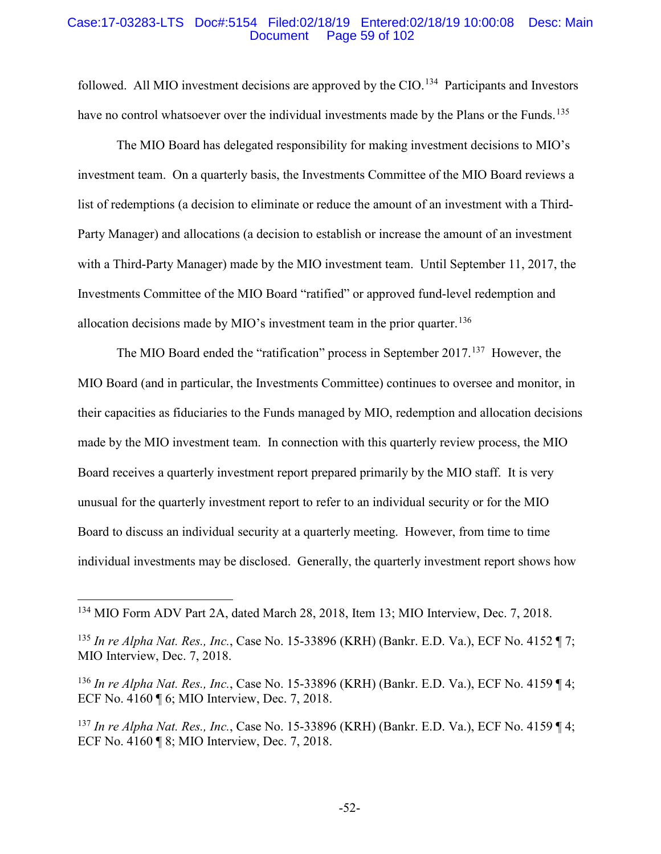#### Case:17-03283-LTS Doc#:5154 Filed:02/18/19 Entered:02/18/19 10:00:08 Desc: Main Page 59 of 102

followed. All MIO investment decisions are approved by the CIO.<sup>134</sup> Participants and Investors have no control whatsoever over the individual investments made by the Plans or the Funds.<sup>135</sup>

The MIO Board has delegated responsibility for making investment decisions to MIO's investment team. On a quarterly basis, the Investments Committee of the MIO Board reviews a list of redemptions (a decision to eliminate or reduce the amount of an investment with a Third-Party Manager) and allocations (a decision to establish or increase the amount of an investment with a Third-Party Manager) made by the MIO investment team. Until September 11, 2017, the Investments Committee of the MIO Board "ratified" or approved fund-level redemption and allocation decisions made by MIO's investment team in the prior quarter.<sup>136</sup>

The MIO Board ended the "ratification" process in September 2017.<sup>137</sup> However, the MIO Board (and in particular, the Investments Committee) continues to oversee and monitor, in their capacities as fiduciaries to the Funds managed by MIO, redemption and allocation decisions made by the MIO investment team. In connection with this quarterly review process, the MIO Board receives a quarterly investment report prepared primarily by the MIO staff. It is very unusual for the quarterly investment report to refer to an individual security or for the MIO Board to discuss an individual security at a quarterly meeting. However, from time to time individual investments may be disclosed. Generally, the quarterly investment report shows how

 <sup>134</sup> MIO Form ADV Part 2A, dated March 28, 2018, Item 13; MIO Interview, Dec. 7, 2018.

<sup>135</sup> *In re Alpha Nat. Res., Inc.*, Case No. 15-33896 (KRH) (Bankr. E.D. Va.), ECF No. 4152 ¶ 7; MIO Interview, Dec. 7, 2018.

<sup>136</sup> *In re Alpha Nat. Res., Inc.*, Case No. 15-33896 (KRH) (Bankr. E.D. Va.), ECF No. 4159 ¶ 4; ECF No. 4160 ¶ 6; MIO Interview, Dec. 7, 2018.

<sup>137</sup> *In re Alpha Nat. Res., Inc.*, Case No. 15-33896 (KRH) (Bankr. E.D. Va.), ECF No. 4159 ¶ 4; ECF No. 4160 ¶ 8; MIO Interview, Dec. 7, 2018.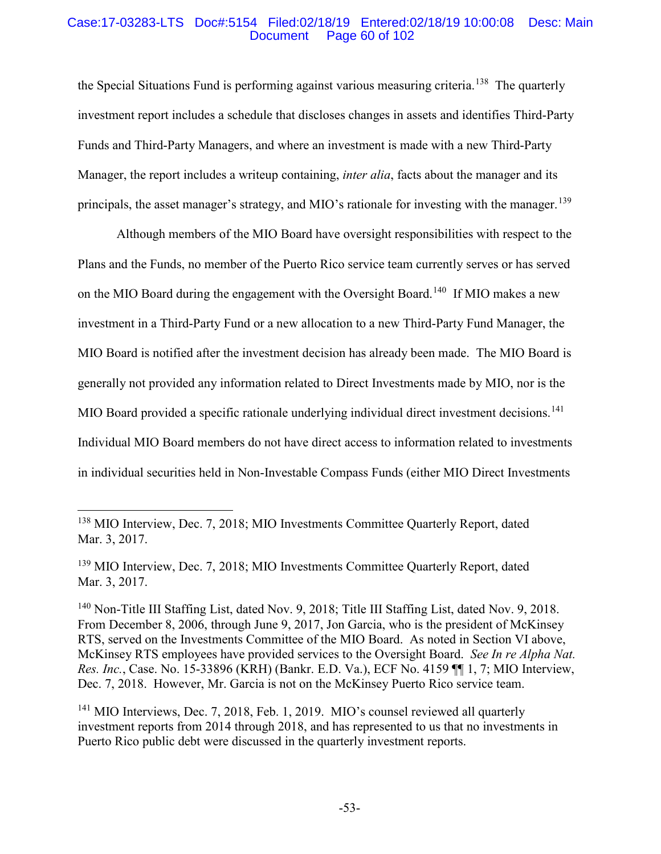### Case:17-03283-LTS Doc#:5154 Filed:02/18/19 Entered:02/18/19 10:00:08 Desc: Main Page 60 of 102

the Special Situations Fund is performing against various measuring criteria.<sup>138</sup> The quarterly investment report includes a schedule that discloses changes in assets and identifies Third-Party Funds and Third-Party Managers, and where an investment is made with a new Third-Party Manager, the report includes a writeup containing, *inter alia*, facts about the manager and its principals, the asset manager's strategy, and MIO's rationale for investing with the manager.<sup>139</sup>

Although members of the MIO Board have oversight responsibilities with respect to the Plans and the Funds, no member of the Puerto Rico service team currently serves or has served on the MIO Board during the engagement with the Oversight Board.<sup>140</sup> If MIO makes a new investment in a Third-Party Fund or a new allocation to a new Third-Party Fund Manager, the MIO Board is notified after the investment decision has already been made. The MIO Board is generally not provided any information related to Direct Investments made by MIO, nor is the MIO Board provided a specific rationale underlying individual direct investment decisions.<sup>141</sup> Individual MIO Board members do not have direct access to information related to investments in individual securities held in Non-Investable Compass Funds (either MIO Direct Investments

 <sup>138</sup> MIO Interview, Dec. 7, 2018; MIO Investments Committee Quarterly Report, dated Mar. 3, 2017.

<sup>139</sup> MIO Interview, Dec. 7, 2018; MIO Investments Committee Quarterly Report, dated Mar. 3, 2017

<sup>&</sup>lt;sup>140</sup> Non-Title III Staffing List, dated Nov. 9, 2018; Title III Staffing List, dated Nov. 9, 2018. From December 8, 2006, through June 9, 2017, Jon Garcia, who is the president of McKinsey RTS, served on the Investments Committee of the MIO Board. As noted in Section VI above, McKinsey RTS employees have provided services to the Oversight Board. *See In re Alpha Nat. Res. Inc.*, Case. No. 15-33896 (KRH) (Bankr. E.D. Va.), ECF No. 4159 ¶¶ 1, 7; MIO Interview, Dec. 7, 2018. However, Mr. Garcia is not on the McKinsey Puerto Rico service team.

<sup>&</sup>lt;sup>141</sup> MIO Interviews, Dec. 7, 2018, Feb. 1, 2019. MIO's counsel reviewed all quarterly investment reports from 2014 through 2018, and has represented to us that no investments in Puerto Rico public debt were discussed in the quarterly investment reports.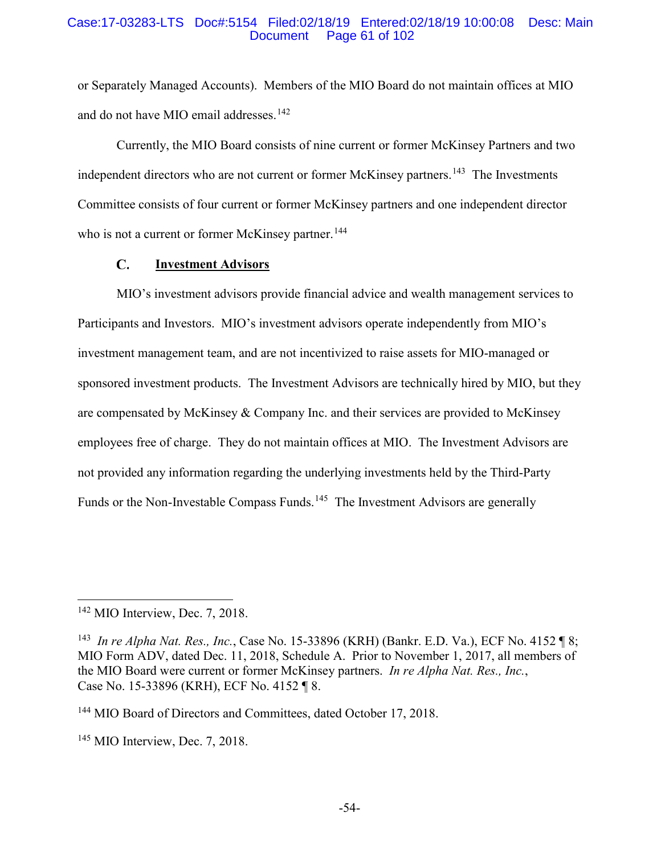#### Case:17-03283-LTS Doc#:5154 Filed:02/18/19 Entered:02/18/19 10:00:08 Desc: Main Page 61 of 102

or Separately Managed Accounts). Members of the MIO Board do not maintain offices at MIO and do not have MIO email addresses.<sup>142</sup>

Currently, the MIO Board consists of nine current or former McKinsey Partners and two independent directors who are not current or former McKinsey partners.<sup>143</sup> The Investments Committee consists of four current or former McKinsey partners and one independent director who is not a current or former McKinsey partner.<sup>144</sup>

#### $\mathbf{C}$ . **Investment Advisors**

MIO's investment advisors provide financial advice and wealth management services to Participants and Investors. MIO's investment advisors operate independently from MIO's investment management team, and are not incentivized to raise assets for MIO-managed or sponsored investment products. The Investment Advisors are technically hired by MIO, but they are compensated by McKinsey & Company Inc. and their services are provided to McKinsey employees free of charge. They do not maintain offices at MIO. The Investment Advisors are not provided any information regarding the underlying investments held by the Third-Party Funds or the Non-Investable Compass Funds.<sup>145</sup> The Investment Advisors are generally

<sup>&</sup>lt;sup>142</sup> MIO Interview, Dec. 7, 2018.

<sup>143</sup> *In re Alpha Nat. Res., Inc.*, Case No. 15-33896 (KRH) (Bankr. E.D. Va.), ECF No. 4152 ¶ 8; MIO Form ADV, dated Dec. 11, 2018, Schedule A. Prior to November 1, 2017, all members of the MIO Board were current or former McKinsey partners. *In re Alpha Nat. Res., Inc.*, Case No. 15-33896 (KRH), ECF No. 4152 ¶ 8.

<sup>&</sup>lt;sup>144</sup> MIO Board of Directors and Committees, dated October 17, 2018.

 $145$  MIO Interview, Dec. 7, 2018.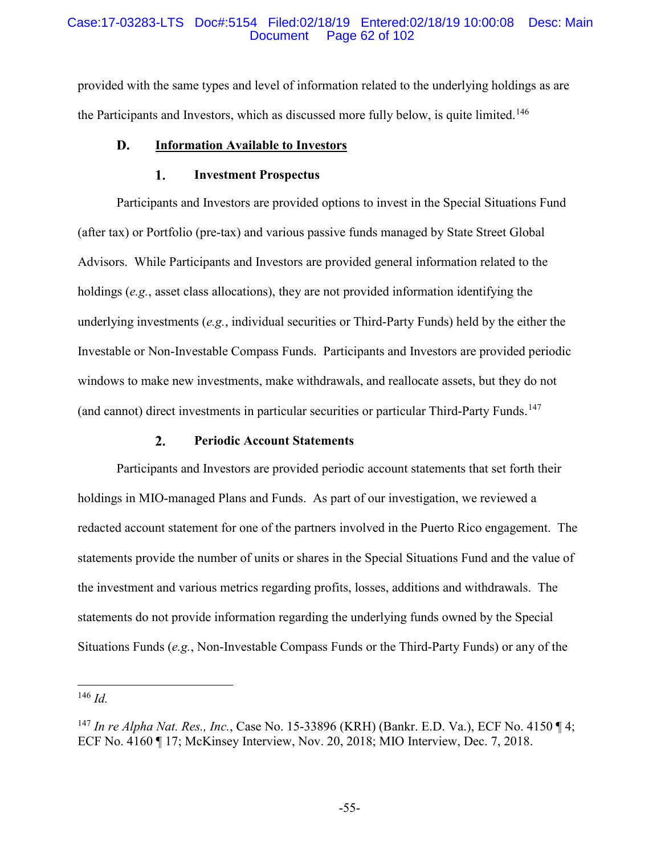### Case:17-03283-LTS Doc#:5154 Filed:02/18/19 Entered:02/18/19 10:00:08 Desc: Main Page 62 of 102

provided with the same types and level of information related to the underlying holdings as are the Participants and Investors, which as discussed more fully below, is quite limited.<sup>146</sup>

#### D. **Information Available to Investors**

#### 1. **Investment Prospectus**

Participants and Investors are provided options to invest in the Special Situations Fund (after tax) or Portfolio (pre-tax) and various passive funds managed by State Street Global Advisors. While Participants and Investors are provided general information related to the holdings (*e.g.*, asset class allocations), they are not provided information identifying the underlying investments (*e.g.*, individual securities or Third-Party Funds) held by the either the Investable or Non-Investable Compass Funds. Participants and Investors are provided periodic windows to make new investments, make withdrawals, and reallocate assets, but they do not (and cannot) direct investments in particular securities or particular Third-Party Funds.<sup>147</sup>

#### $2.$ **Periodic Account Statements**

Participants and Investors are provided periodic account statements that set forth their holdings in MIO-managed Plans and Funds. As part of our investigation, we reviewed a redacted account statement for one of the partners involved in the Puerto Rico engagement. The statements provide the number of units or shares in the Special Situations Fund and the value of the investment and various metrics regarding profits, losses, additions and withdrawals. The statements do not provide information regarding the underlying funds owned by the Special Situations Funds (*e.g.*, Non-Investable Compass Funds or the Third-Party Funds) or any of the

 <sup>146</sup> *Id.*

<sup>147</sup> *In re Alpha Nat. Res., Inc.*, Case No. 15-33896 (KRH) (Bankr. E.D. Va.), ECF No. 4150 ¶ 4; ECF No. 4160 ¶ 17; McKinsey Interview, Nov. 20, 2018; MIO Interview, Dec. 7, 2018.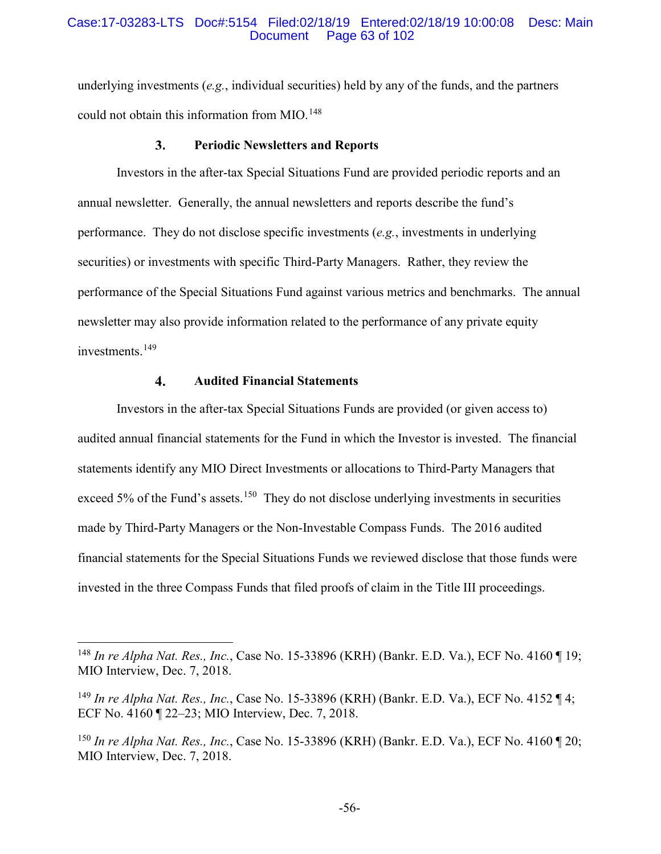#### Case:17-03283-LTS Doc#:5154 Filed:02/18/19 Entered:02/18/19 10:00:08 Desc: Main Page 63 of 102

underlying investments (*e.g.*, individual securities) held by any of the funds, and the partners could not obtain this information from MIO. 148

#### $3.$ **Periodic Newsletters and Reports**

Investors in the after-tax Special Situations Fund are provided periodic reports and an annual newsletter. Generally, the annual newsletters and reports describe the fund's performance. They do not disclose specific investments (*e.g.*, investments in underlying securities) or investments with specific Third-Party Managers. Rather, they review the performance of the Special Situations Fund against various metrics and benchmarks. The annual newsletter may also provide information related to the performance of any private equity investments.<sup>149</sup>

#### $\overline{4}$ . **Audited Financial Statements**

Investors in the after-tax Special Situations Funds are provided (or given access to) audited annual financial statements for the Fund in which the Investor is invested. The financial statements identify any MIO Direct Investments or allocations to Third-Party Managers that exceed 5% of the Fund's assets.<sup>150</sup> They do not disclose underlying investments in securities made by Third-Party Managers or the Non-Investable Compass Funds. The 2016 audited financial statements for the Special Situations Funds we reviewed disclose that those funds were invested in the three Compass Funds that filed proofs of claim in the Title III proceedings.

 <sup>148</sup> *In re Alpha Nat. Res., Inc.*, Case No. 15-33896 (KRH) (Bankr. E.D. Va.), ECF No. 4160 ¶ 19; MIO Interview, Dec. 7, 2018.

<sup>149</sup> *In re Alpha Nat. Res., Inc.*, Case No. 15-33896 (KRH) (Bankr. E.D. Va.), ECF No. 4152 ¶ 4; ECF No. 4160 ¶ 22–23; MIO Interview, Dec. 7, 2018.

<sup>150</sup> *In re Alpha Nat. Res., Inc.*, Case No. 15-33896 (KRH) (Bankr. E.D. Va.), ECF No. 4160 ¶ 20; MIO Interview, Dec. 7, 2018.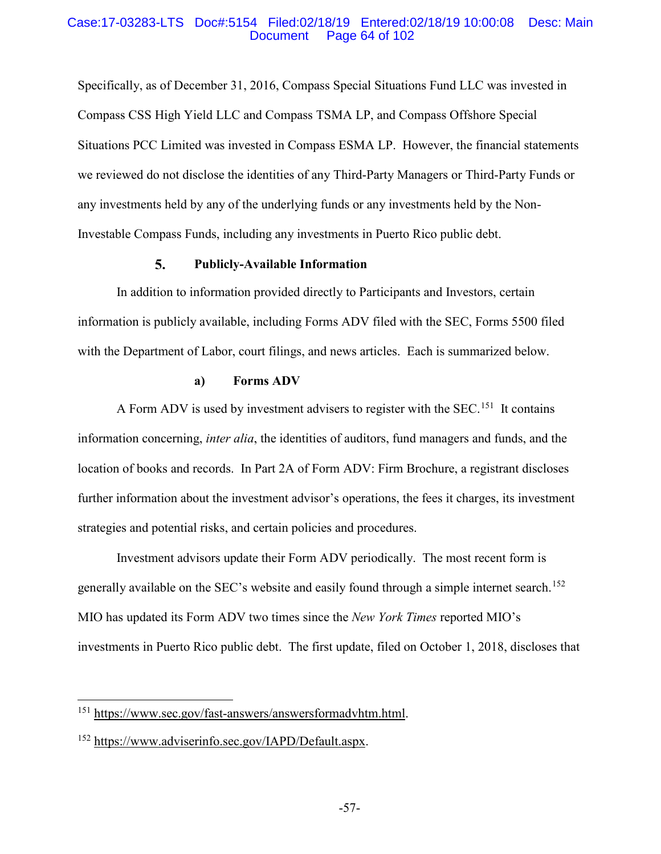### Case:17-03283-LTS Doc#:5154 Filed:02/18/19 Entered:02/18/19 10:00:08 Desc: Main Page 64 of 102

Specifically, as of December 31, 2016, Compass Special Situations Fund LLC was invested in Compass CSS High Yield LLC and Compass TSMA LP, and Compass Offshore Special Situations PCC Limited was invested in Compass ESMA LP. However, the financial statements we reviewed do not disclose the identities of any Third-Party Managers or Third-Party Funds or any investments held by any of the underlying funds or any investments held by the Non-Investable Compass Funds, including any investments in Puerto Rico public debt.

#### 5. **Publicly-Available Information**

In addition to information provided directly to Participants and Investors, certain information is publicly available, including Forms ADV filed with the SEC, Forms 5500 filed with the Department of Labor, court filings, and news articles. Each is summarized below.

#### **a) Forms ADV**

A Form ADV is used by investment advisers to register with the SEC.<sup>151</sup> It contains information concerning, *inter alia*, the identities of auditors, fund managers and funds, and the location of books and records. In Part 2A of Form ADV: Firm Brochure, a registrant discloses further information about the investment advisor's operations, the fees it charges, its investment strategies and potential risks, and certain policies and procedures.

Investment advisors update their Form ADV periodically. The most recent form is generally available on the SEC's website and easily found through a simple internet search.<sup>152</sup> MIO has updated its Form ADV two times since the *New York Times* reported MIO's investments in Puerto Rico public debt. The first update, filed on October 1, 2018, discloses that

 <sup>151</sup> https://www.sec.gov/fast-answers/answersformadvhtm.html.

<sup>&</sup>lt;sup>152</sup> https://ww<u>w.adviserinfo.sec.gov/IAPD/Default.aspx</u>.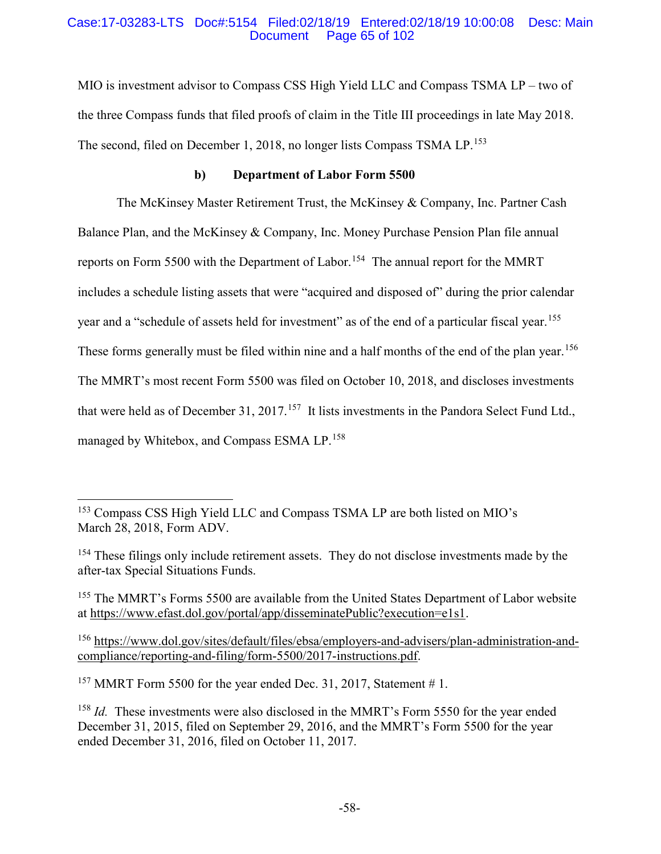### Case:17-03283-LTS Doc#:5154 Filed:02/18/19 Entered:02/18/19 10:00:08 Desc: Main Page 65 of 102

MIO is investment advisor to Compass CSS High Yield LLC and Compass TSMA LP – two of the three Compass funds that filed proofs of claim in the Title III proceedings in late May 2018. The second, filed on December 1, 2018, no longer lists Compass TSMA LP.<sup>153</sup>

## **b) Department of Labor Form 5500**

The McKinsey Master Retirement Trust, the McKinsey & Company, Inc. Partner Cash Balance Plan, and the McKinsey & Company, Inc. Money Purchase Pension Plan file annual reports on Form 5500 with the Department of Labor.<sup>154</sup> The annual report for the MMRT includes a schedule listing assets that were "acquired and disposed of" during the prior calendar year and a "schedule of assets held for investment" as of the end of a particular fiscal year.<sup>155</sup> These forms generally must be filed within nine and a half months of the end of the plan year.<sup>156</sup> The MMRT's most recent Form 5500 was filed on October 10, 2018, and discloses investments that were held as of December 31, 2017.<sup>157</sup> It lists investments in the Pandora Select Fund Ltd., managed by Whitebox, and Compass ESMA LP.<sup>158</sup>

<sup>157</sup> MMRT Form 5500 for the year ended Dec. 31, 2017, Statement #1.

 <sup>153</sup> Compass CSS High Yield LLC and Compass TSMA LP are both listed on MIO's March 28, 2018, Form ADV.

<sup>&</sup>lt;sup>154</sup> These filings only include retirement assets. They do not disclose investments made by the after-tax Special Situations Funds.

<sup>&</sup>lt;sup>155</sup> The MMRT's Forms 5500 are available from the United States Department of Labor website at https://www.efast.dol.gov/portal/app/disseminatePublic?execution=e1s1.

<sup>156</sup> https://www.dol.gov/sites/default/files/ebsa/employers-and-advisers/plan-administration-andcompliance/reporting-and-filing/form-5500/2017-instructions.pdf.

<sup>&</sup>lt;sup>158</sup> *Id.* These investments were also disclosed in the MMRT's Form 5550 for the year ended December 31, 2015, filed on September 29, 2016, and the MMRT's Form 5500 for the year ended December 31, 2016, filed on October 11, 2017.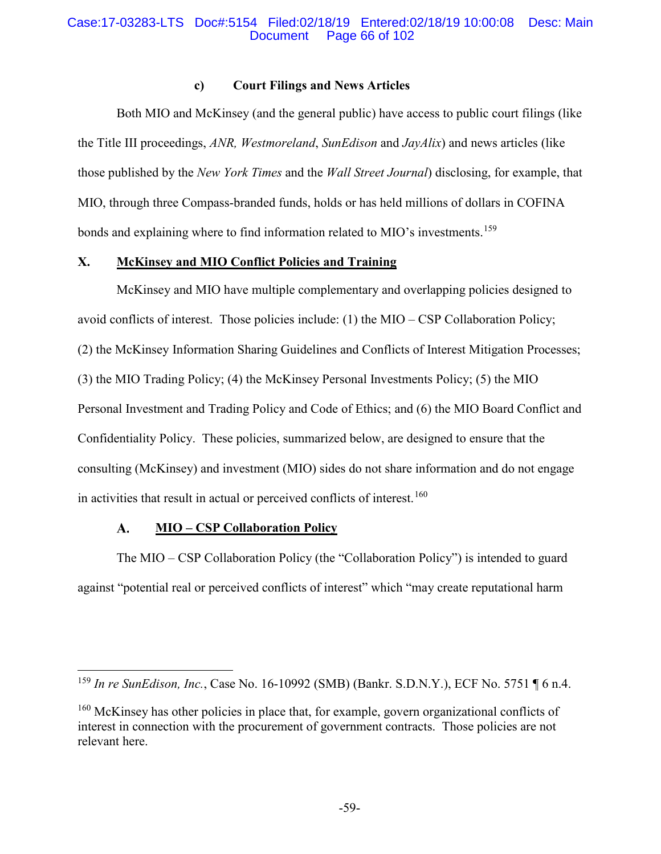### Case:17-03283-LTS Doc#:5154 Filed:02/18/19 Entered:02/18/19 10:00:08 Desc: Main Page 66 of 102

### **c) Court Filings and News Articles**

Both MIO and McKinsey (and the general public) have access to public court filings (like the Title III proceedings, *ANR, Westmoreland*, *SunEdison* and *JayAlix*) and news articles (like those published by the *New York Times* and the *Wall Street Journal*) disclosing, for example, that MIO, through three Compass-branded funds, holds or has held millions of dollars in COFINA bonds and explaining where to find information related to MIO's investments.<sup>159</sup>

# **X. McKinsey and MIO Conflict Policies and Training**

McKinsey and MIO have multiple complementary and overlapping policies designed to avoid conflicts of interest. Those policies include: (1) the MIO – CSP Collaboration Policy; (2) the McKinsey Information Sharing Guidelines and Conflicts of Interest Mitigation Processes; (3) the MIO Trading Policy; (4) the McKinsey Personal Investments Policy; (5) the MIO Personal Investment and Trading Policy and Code of Ethics; and (6) the MIO Board Conflict and Confidentiality Policy. These policies, summarized below, are designed to ensure that the consulting (McKinsey) and investment (MIO) sides do not share information and do not engage in activities that result in actual or perceived conflicts of interest.<sup>160</sup>

#### **MIO – CSP Collaboration Policy** A.

The MIO – CSP Collaboration Policy (the "Collaboration Policy") is intended to guard against "potential real or perceived conflicts of interest" which "may create reputational harm

 <sup>159</sup> *In re SunEdison, Inc.*, Case No. 16-10992 (SMB) (Bankr. S.D.N.Y.), ECF No. 5751 ¶ 6 n.4.

<sup>&</sup>lt;sup>160</sup> McKinsey has other policies in place that, for example, govern organizational conflicts of interest in connection with the procurement of government contracts. Those policies are not relevant here.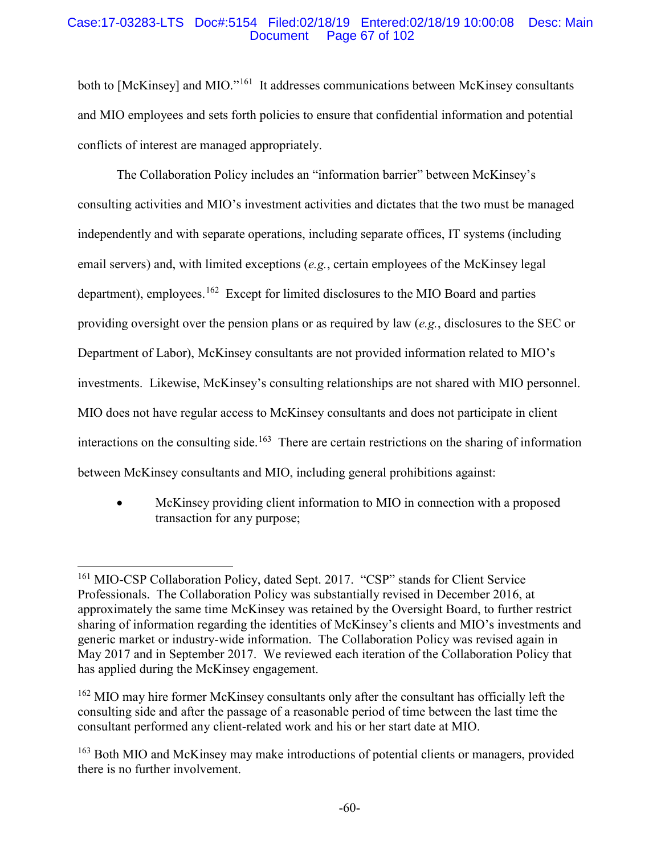### Case:17-03283-LTS Doc#:5154 Filed:02/18/19 Entered:02/18/19 10:00:08 Desc: Main Page 67 of 102

both to [McKinsey] and MIO."<sup>161</sup> It addresses communications between McKinsey consultants and MIO employees and sets forth policies to ensure that confidential information and potential conflicts of interest are managed appropriately.

The Collaboration Policy includes an "information barrier" between McKinsey's consulting activities and MIO's investment activities and dictates that the two must be managed independently and with separate operations, including separate offices, IT systems (including email servers) and, with limited exceptions (*e.g.*, certain employees of the McKinsey legal department), employees.<sup>162</sup> Except for limited disclosures to the MIO Board and parties providing oversight over the pension plans or as required by law (*e.g.*, disclosures to the SEC or Department of Labor), McKinsey consultants are not provided information related to MIO's investments. Likewise, McKinsey's consulting relationships are not shared with MIO personnel. MIO does not have regular access to McKinsey consultants and does not participate in client interactions on the consulting side.<sup>163</sup> There are certain restrictions on the sharing of information between McKinsey consultants and MIO, including general prohibitions against:

• McKinsey providing client information to MIO in connection with a proposed transaction for any purpose;

 <sup>161</sup> MIO-CSP Collaboration Policy, dated Sept. 2017. "CSP" stands for Client Service Professionals. The Collaboration Policy was substantially revised in December 2016, at approximately the same time McKinsey was retained by the Oversight Board, to further restrict sharing of information regarding the identities of McKinsey's clients and MIO's investments and generic market or industry-wide information. The Collaboration Policy was revised again in May 2017 and in September 2017. We reviewed each iteration of the Collaboration Policy that has applied during the McKinsey engagement.

<sup>&</sup>lt;sup>162</sup> MIO may hire former McKinsey consultants only after the consultant has officially left the consulting side and after the passage of a reasonable period of time between the last time the consultant performed any client-related work and his or her start date at MIO.

<sup>&</sup>lt;sup>163</sup> Both MIO and McKinsey may make introductions of potential clients or managers, provided there is no further involvement.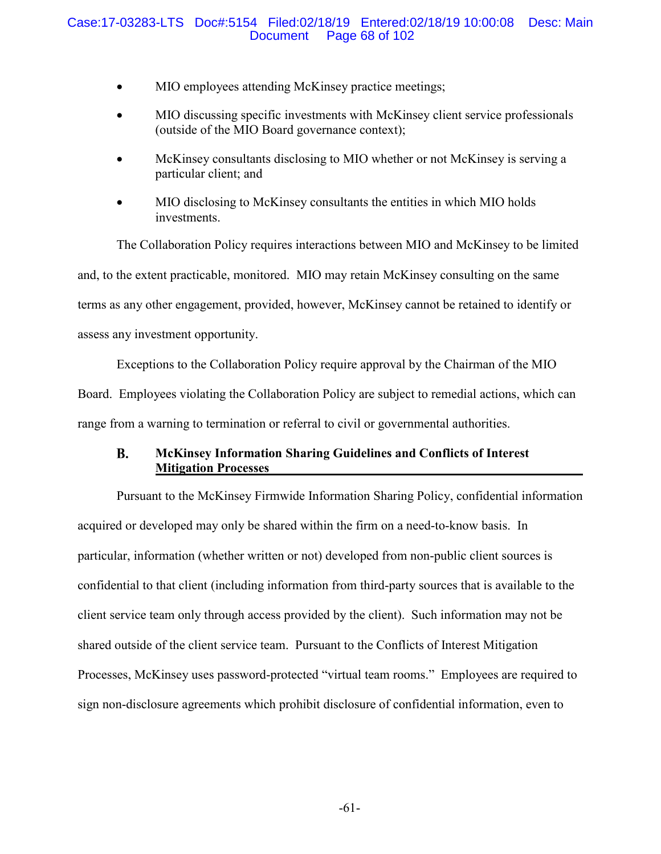### Case:17-03283-LTS Doc#:5154 Filed:02/18/19 Entered:02/18/19 10:00:08 Desc: Main Page 68 of 102

- MIO employees attending McKinsey practice meetings;
- MIO discussing specific investments with McKinsey client service professionals (outside of the MIO Board governance context);
- McKinsey consultants disclosing to MIO whether or not McKinsey is serving a particular client; and
- MIO disclosing to McKinsey consultants the entities in which MIO holds investments.

The Collaboration Policy requires interactions between MIO and McKinsey to be limited and, to the extent practicable, monitored. MIO may retain McKinsey consulting on the same terms as any other engagement, provided, however, McKinsey cannot be retained to identify or assess any investment opportunity.

Exceptions to the Collaboration Policy require approval by the Chairman of the MIO Board. Employees violating the Collaboration Policy are subject to remedial actions, which can range from a warning to termination or referral to civil or governmental authorities.

#### **B. McKinsey Information Sharing Guidelines and Conflicts of Interest Mitigation Processes**

Pursuant to the McKinsey Firmwide Information Sharing Policy, confidential information acquired or developed may only be shared within the firm on a need-to-know basis. In particular, information (whether written or not) developed from non-public client sources is confidential to that client (including information from third-party sources that is available to the client service team only through access provided by the client). Such information may not be shared outside of the client service team. Pursuant to the Conflicts of Interest Mitigation Processes, McKinsey uses password-protected "virtual team rooms." Employees are required to sign non-disclosure agreements which prohibit disclosure of confidential information, even to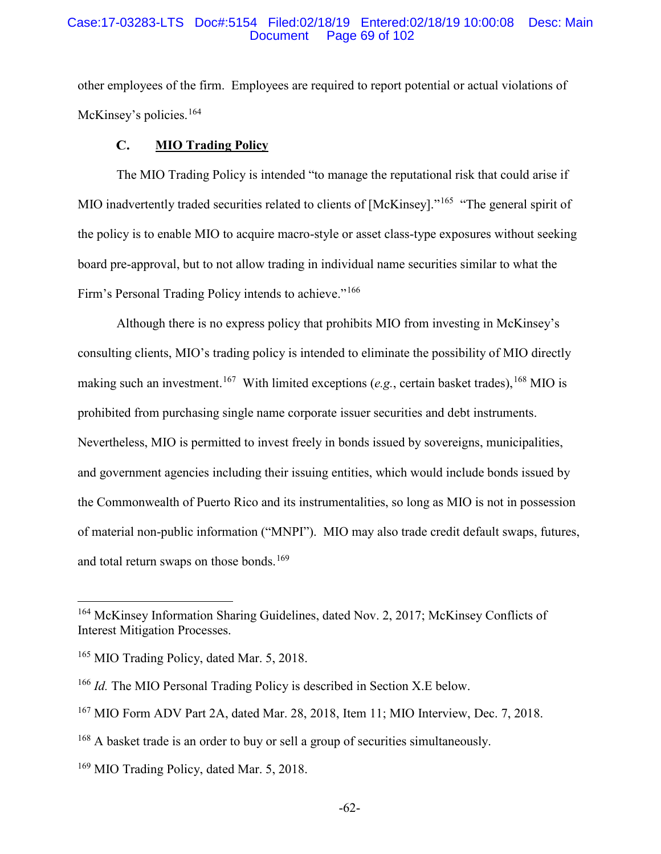#### Case:17-03283-LTS Doc#:5154 Filed:02/18/19 Entered:02/18/19 10:00:08 Desc: Main Page 69 of 102

other employees of the firm. Employees are required to report potential or actual violations of McKinsey's policies.<sup>164</sup>

#### $\mathbf{C}$ . **MIO Trading Policy**

The MIO Trading Policy is intended "to manage the reputational risk that could arise if MIO inadvertently traded securities related to clients of [McKinsey]."<sup>165</sup> "The general spirit of the policy is to enable MIO to acquire macro-style or asset class-type exposures without seeking board pre-approval, but to not allow trading in individual name securities similar to what the Firm's Personal Trading Policy intends to achieve."<sup>166</sup>

Although there is no express policy that prohibits MIO from investing in McKinsey's consulting clients, MIO's trading policy is intended to eliminate the possibility of MIO directly making such an investment. 167 With limited exceptions (*e.g.*, certain basket trades), <sup>168</sup> MIO is prohibited from purchasing single name corporate issuer securities and debt instruments. Nevertheless, MIO is permitted to invest freely in bonds issued by sovereigns, municipalities, and government agencies including their issuing entities, which would include bonds issued by the Commonwealth of Puerto Rico and its instrumentalities, so long as MIO is not in possession of material non-public information ("MNPI"). MIO may also trade credit default swaps, futures, and total return swaps on those bonds.<sup>169</sup>

 <sup>164</sup> McKinsey Information Sharing Guidelines, dated Nov. 2, 2017; McKinsey Conflicts of Interest Mitigation Processes.

<sup>&</sup>lt;sup>165</sup> MIO Trading Policy, dated Mar. 5, 2018.

<sup>166</sup> *Id.* The MIO Personal Trading Policy is described in Section X.E below.

<sup>167</sup> MIO Form ADV Part 2A, dated Mar. 28, 2018, Item 11; MIO Interview, Dec. 7, 2018.

<sup>&</sup>lt;sup>168</sup> A basket trade is an order to buy or sell a group of securities simultaneously.

<sup>&</sup>lt;sup>169</sup> MIO Trading Policy, dated Mar. 5, 2018.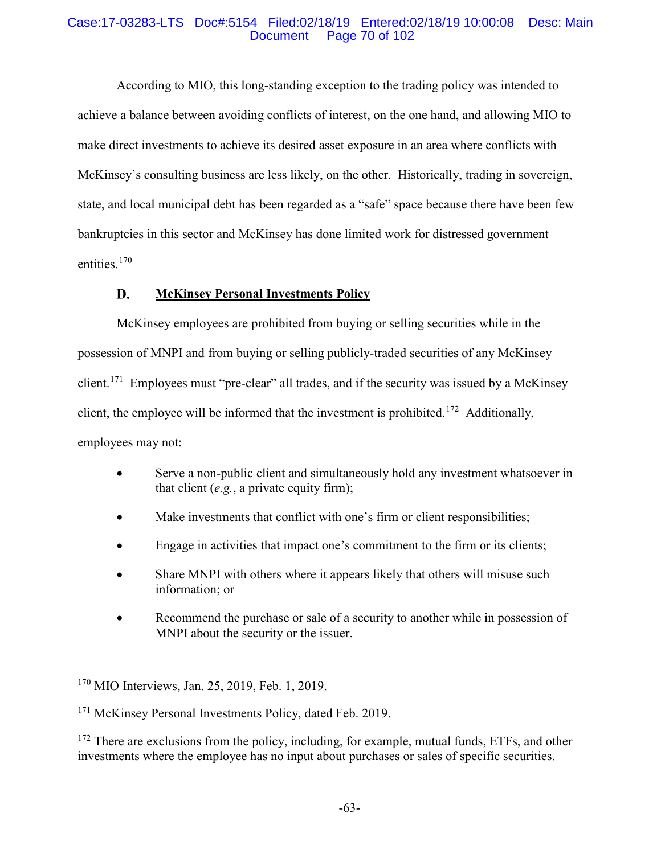### Case:17-03283-LTS Doc#:5154 Filed:02/18/19 Entered:02/18/19 10:00:08 Desc: Main Page 70 of 102

According to MIO, this long-standing exception to the trading policy was intended to achieve a balance between avoiding conflicts of interest, on the one hand, and allowing MIO to make direct investments to achieve its desired asset exposure in an area where conflicts with McKinsey's consulting business are less likely, on the other. Historically, trading in sovereign, state, and local municipal debt has been regarded as a "safe" space because there have been few bankruptcies in this sector and McKinsey has done limited work for distressed government entities. 170

#### D. **McKinsey Personal Investments Policy**

McKinsey employees are prohibited from buying or selling securities while in the possession of MNPI and from buying or selling publicly-traded securities of any McKinsey client.<sup>171</sup> Employees must "pre-clear" all trades, and if the security was issued by a McKinsey client, the employee will be informed that the investment is prohibited. 172 Additionally, employees may not:

- Serve a non-public client and simultaneously hold any investment whatsoever in that client (*e.g.*, a private equity firm);
- Make investments that conflict with one's firm or client responsibilities;
- Engage in activities that impact one's commitment to the firm or its clients;
- Share MNPI with others where it appears likely that others will misuse such information; or
- Recommend the purchase or sale of a security to another while in possession of MNPI about the security or the issuer.

<sup>172</sup> There are exclusions from the policy, including, for example, mutual funds, ETFs, and other investments where the employee has no input about purchases or sales of specific securities.

 <sup>170</sup> MIO Interviews, Jan. 25, 2019, Feb. 1, 2019.

<sup>&</sup>lt;sup>171</sup> McKinsey Personal Investments Policy, dated Feb. 2019.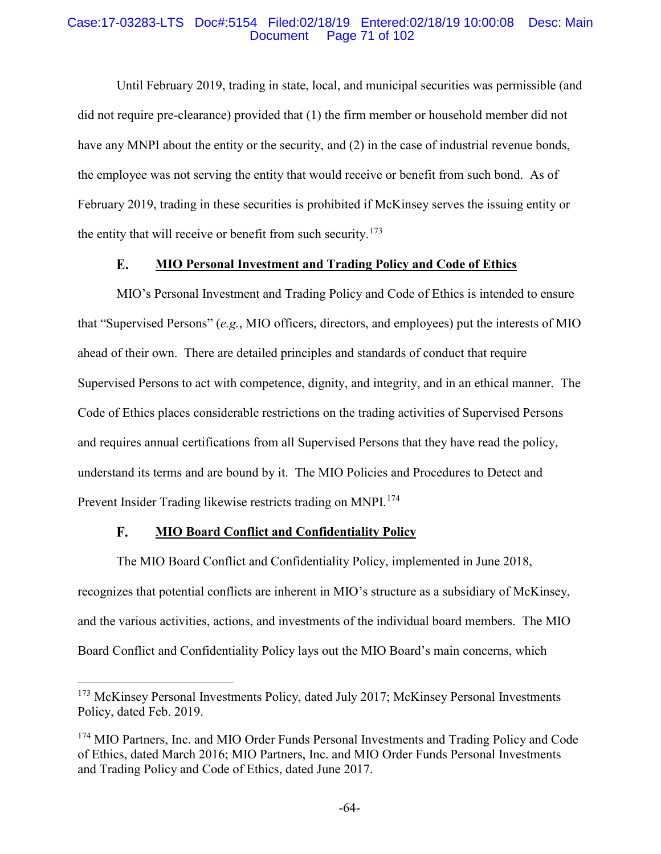### Case:17-03283-LTS Doc#:5154 Filed:02/18/19 Entered:02/18/19 10:00:08 Desc: Main Page 71 of 102

Until February 2019, trading in state, local, and municipal securities was permissible (and did not require pre-clearance) provided that (1) the firm member or household member did not have any MNPI about the entity or the security, and (2) in the case of industrial revenue bonds, the employee was not serving the entity that would receive or benefit from such bond. As of February 2019, trading in these securities is prohibited if McKinsey serves the issuing entity or the entity that will receive or benefit from such security.<sup>173</sup>

#### E. **MIO Personal Investment and Trading Policy and Code of Ethics**

MIO's Personal Investment and Trading Policy and Code of Ethics is intended to ensure that "Supervised Persons" (*e.g.*, MIO officers, directors, and employees) put the interests of MIO ahead of their own. There are detailed principles and standards of conduct that require Supervised Persons to act with competence, dignity, and integrity, and in an ethical manner. The Code of Ethics places considerable restrictions on the trading activities of Supervised Persons and requires annual certifications from all Supervised Persons that they have read the policy, understand its terms and are bound by it. The MIO Policies and Procedures to Detect and Prevent Insider Trading likewise restricts trading on MNPI.<sup>174</sup>

#### $\mathbf{F}_{\bullet}$ **MIO Board Conflict and Confidentiality Policy**

The MIO Board Conflict and Confidentiality Policy, implemented in June 2018, recognizes that potential conflicts are inherent in MIO's structure as a subsidiary of McKinsey, and the various activities, actions, and investments of the individual board members. The MIO Board Conflict and Confidentiality Policy lays out the MIO Board's main concerns, which

<sup>&</sup>lt;sup>173</sup> McKinsey Personal Investments Policy, dated July 2017; McKinsey Personal Investments Policy, dated Feb. 2019.

<sup>&</sup>lt;sup>174</sup> MIO Partners, Inc. and MIO Order Funds Personal Investments and Trading Policy and Code of Ethics, dated March 2016; MIO Partners, Inc. and MIO Order Funds Personal Investments and Trading Policy and Code of Ethics, dated June 2017.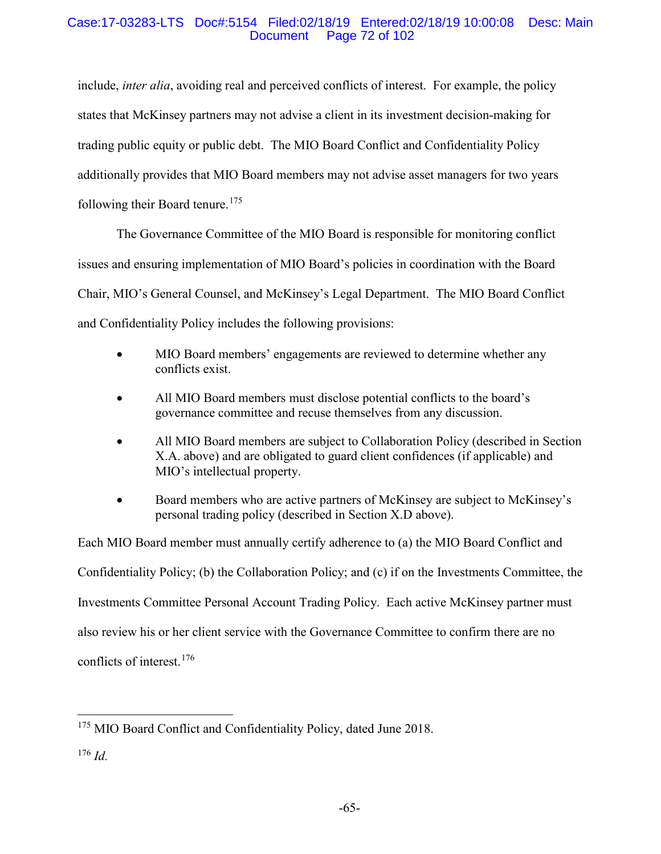### Case:17-03283-LTS Doc#:5154 Filed:02/18/19 Entered:02/18/19 10:00:08 Desc: Main Page 72 of 102

include, *inter alia*, avoiding real and perceived conflicts of interest. For example, the policy states that McKinsey partners may not advise a client in its investment decision-making for trading public equity or public debt. The MIO Board Conflict and Confidentiality Policy additionally provides that MIO Board members may not advise asset managers for two years following their Board tenure.<sup>175</sup>

The Governance Committee of the MIO Board is responsible for monitoring conflict issues and ensuring implementation of MIO Board's policies in coordination with the Board Chair, MIO's General Counsel, and McKinsey's Legal Department. The MIO Board Conflict and Confidentiality Policy includes the following provisions:

- MIO Board members' engagements are reviewed to determine whether any conflicts exist.
- All MIO Board members must disclose potential conflicts to the board's governance committee and recuse themselves from any discussion.
- All MIO Board members are subject to Collaboration Policy (described in Section X.A. above) and are obligated to guard client confidences (if applicable) and MIO's intellectual property.
- Board members who are active partners of McKinsey are subject to McKinsey's personal trading policy (described in Section X.D above).

Each MIO Board member must annually certify adherence to (a) the MIO Board Conflict and Confidentiality Policy; (b) the Collaboration Policy; and (c) if on the Investments Committee, the Investments Committee Personal Account Trading Policy. Each active McKinsey partner must also review his or her client service with the Governance Committee to confirm there are no conflicts of interest.176

<sup>&</sup>lt;sup>175</sup> MIO Board Conflict and Confidentiality Policy, dated June 2018.

<sup>176</sup> *Id.*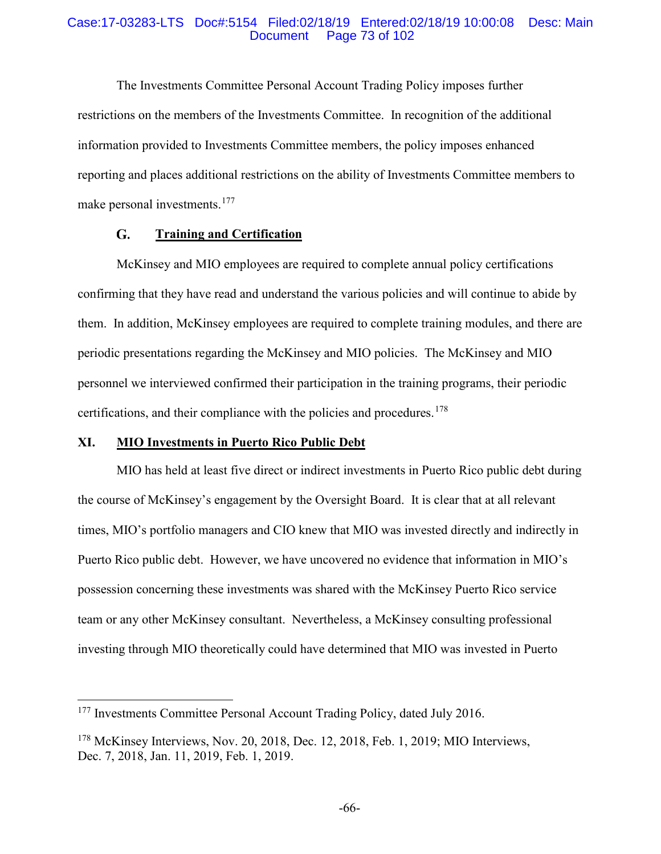## Case:17-03283-LTS Doc#:5154 Filed:02/18/19 Entered:02/18/19 10:00:08 Desc: Main Page 73 of 102

The Investments Committee Personal Account Trading Policy imposes further restrictions on the members of the Investments Committee. In recognition of the additional information provided to Investments Committee members, the policy imposes enhanced reporting and places additional restrictions on the ability of Investments Committee members to make personal investments.<sup>177</sup>

#### G. **Training and Certification**

McKinsey and MIO employees are required to complete annual policy certifications confirming that they have read and understand the various policies and will continue to abide by them. In addition, McKinsey employees are required to complete training modules, and there are periodic presentations regarding the McKinsey and MIO policies. The McKinsey and MIO personnel we interviewed confirmed their participation in the training programs, their periodic certifications, and their compliance with the policies and procedures.<sup>178</sup>

# **XI. MIO Investments in Puerto Rico Public Debt**

MIO has held at least five direct or indirect investments in Puerto Rico public debt during the course of McKinsey's engagement by the Oversight Board. It is clear that at all relevant times, MIO's portfolio managers and CIO knew that MIO was invested directly and indirectly in Puerto Rico public debt. However, we have uncovered no evidence that information in MIO's possession concerning these investments was shared with the McKinsey Puerto Rico service team or any other McKinsey consultant. Nevertheless, a McKinsey consulting professional investing through MIO theoretically could have determined that MIO was invested in Puerto

<sup>&</sup>lt;sup>177</sup> Investments Committee Personal Account Trading Policy, dated July 2016.

<sup>178</sup> McKinsey Interviews, Nov. 20, 2018, Dec. 12, 2018, Feb. 1, 2019; MIO Interviews, Dec. 7, 2018, Jan. 11, 2019, Feb. 1, 2019.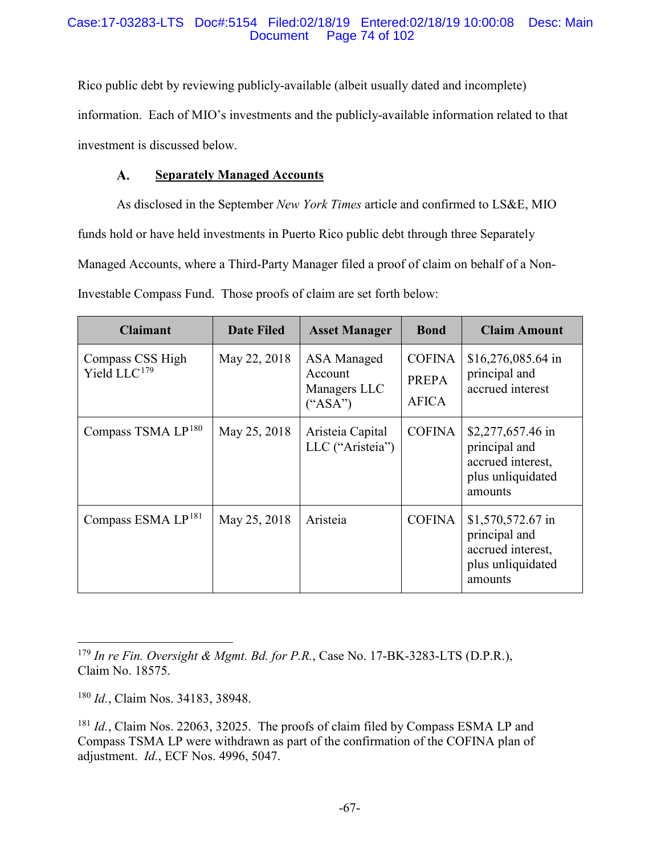# Case:17-03283-LTS Doc#:5154 Filed:02/18/19 Entered:02/18/19 10:00:08 Desc: Main Page 74 of 102

Rico public debt by reviewing publicly-available (albeit usually dated and incomplete) information. Each of MIO's investments and the publicly-available information related to that investment is discussed below.

#### $\mathbf{A}$ . **Separately Managed Accounts**

As disclosed in the September *New York Times* article and confirmed to LS&E, MIO funds hold or have held investments in Puerto Rico public debt through three Separately Managed Accounts, where a Third-Party Manager filed a proof of claim on behalf of a Non-Investable Compass Fund. Those proofs of claim are set forth below:

| <b>Claimant</b>                              | <b>Date Filed</b> | <b>Asset Manager</b>                                | <b>Bond</b>                            | <b>Claim Amount</b>                                                                      |
|----------------------------------------------|-------------------|-----------------------------------------------------|----------------------------------------|------------------------------------------------------------------------------------------|
| Compass CSS High<br>Yield LLC <sup>179</sup> | May 22, 2018      | ASA Managed<br>Account<br>Managers LLC<br>$(*ASA")$ | <b>COFINA</b><br>PREPA<br><b>AFICA</b> | \$16,276,085.64 in<br>principal and<br>accrued interest                                  |
| Compass TSMA LP <sup>180</sup>               | May 25, 2018      | Aristeia Capital<br>LLC ("Aristeia")                | <b>COFINA</b>                          | \$2,277,657.46 in<br>principal and<br>accrued interest.<br>plus unliquidated<br>amounts  |
| Compass ESMA LP <sup>181</sup>               | May 25, 2018      | Aristeia                                            | <b>COFINA</b>                          | $$1,570,572.67$ in<br>principal and<br>accrued interest,<br>plus unliquidated<br>amounts |

 179 *In re Fin. Oversight & Mgmt. Bd. for P.R.*, Case No. 17-BK-3283-LTS (D.P.R.), Claim No. 18575.

<sup>180</sup> *Id.*, Claim Nos. 34183, 38948.

<sup>181</sup> *Id.*, Claim Nos. 22063, 32025. The proofs of claim filed by Compass ESMA LP and Compass TSMA LP were withdrawn as part of the confirmation of the COFINA plan of adjustment. *Id.*, ECF Nos. 4996, 5047.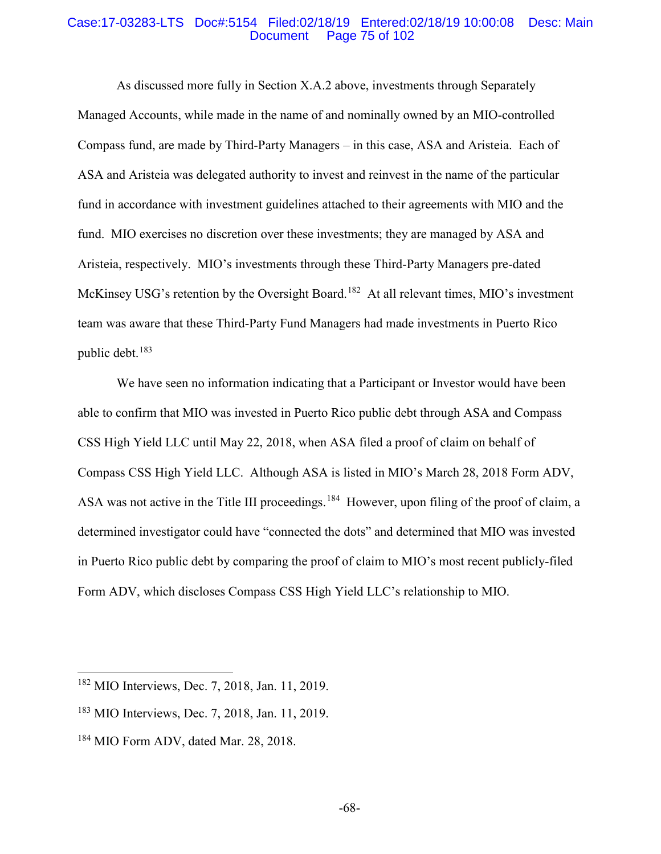## Case:17-03283-LTS Doc#:5154 Filed:02/18/19 Entered:02/18/19 10:00:08 Desc: Main Page 75 of 102

As discussed more fully in Section X.A.2 above, investments through Separately Managed Accounts, while made in the name of and nominally owned by an MIO-controlled Compass fund, are made by Third-Party Managers – in this case, ASA and Aristeia. Each of ASA and Aristeia was delegated authority to invest and reinvest in the name of the particular fund in accordance with investment guidelines attached to their agreements with MIO and the fund. MIO exercises no discretion over these investments; they are managed by ASA and Aristeia, respectively. MIO's investments through these Third-Party Managers pre-dated McKinsey USG's retention by the Oversight Board.<sup>182</sup> At all relevant times, MIO's investment team was aware that these Third-Party Fund Managers had made investments in Puerto Rico public debt.<sup>183</sup>

We have seen no information indicating that a Participant or Investor would have been able to confirm that MIO was invested in Puerto Rico public debt through ASA and Compass CSS High Yield LLC until May 22, 2018, when ASA filed a proof of claim on behalf of Compass CSS High Yield LLC. Although ASA is listed in MIO's March 28, 2018 Form ADV, ASA was not active in the Title III proceedings.<sup>184</sup> However, upon filing of the proof of claim, a determined investigator could have "connected the dots" and determined that MIO was invested in Puerto Rico public debt by comparing the proof of claim to MIO's most recent publicly-filed Form ADV, which discloses Compass CSS High Yield LLC's relationship to MIO.

 <sup>182</sup> MIO Interviews, Dec. 7, 2018, Jan. 11, 2019.

<sup>183</sup> MIO Interviews, Dec. 7, 2018, Jan. 11, 2019.

<sup>&</sup>lt;sup>184</sup> MIO Form ADV, dated Mar. 28, 2018.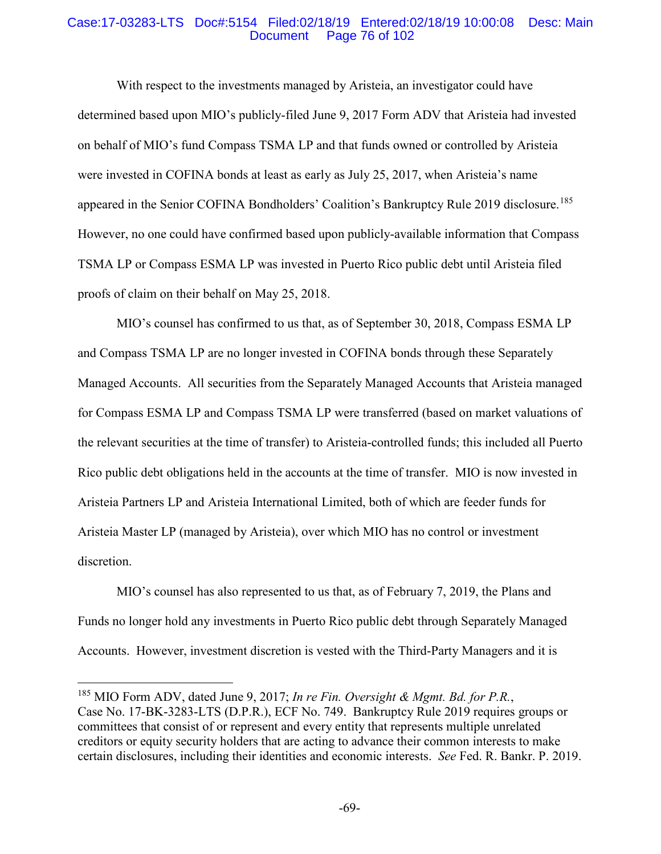## Case:17-03283-LTS Doc#:5154 Filed:02/18/19 Entered:02/18/19 10:00:08 Desc: Main Page 76 of 102

With respect to the investments managed by Aristeia, an investigator could have determined based upon MIO's publicly-filed June 9, 2017 Form ADV that Aristeia had invested on behalf of MIO's fund Compass TSMA LP and that funds owned or controlled by Aristeia were invested in COFINA bonds at least as early as July 25, 2017, when Aristeia's name appeared in the Senior COFINA Bondholders' Coalition's Bankruptcy Rule 2019 disclosure.<sup>185</sup> However, no one could have confirmed based upon publicly-available information that Compass TSMA LP or Compass ESMA LP was invested in Puerto Rico public debt until Aristeia filed proofs of claim on their behalf on May 25, 2018.

MIO's counsel has confirmed to us that, as of September 30, 2018, Compass ESMA LP and Compass TSMA LP are no longer invested in COFINA bonds through these Separately Managed Accounts. All securities from the Separately Managed Accounts that Aristeia managed for Compass ESMA LP and Compass TSMA LP were transferred (based on market valuations of the relevant securities at the time of transfer) to Aristeia-controlled funds; this included all Puerto Rico public debt obligations held in the accounts at the time of transfer. MIO is now invested in Aristeia Partners LP and Aristeia International Limited, both of which are feeder funds for Aristeia Master LP (managed by Aristeia), over which MIO has no control or investment discretion.

MIO's counsel has also represented to us that, as of February 7, 2019, the Plans and Funds no longer hold any investments in Puerto Rico public debt through Separately Managed Accounts. However, investment discretion is vested with the Third-Party Managers and it is

 <sup>185</sup> MIO Form ADV, dated June 9, 2017; *In re Fin. Oversight & Mgmt. Bd. for P.R.*, Case No. 17-BK-3283-LTS (D.P.R.), ECF No. 749. Bankruptcy Rule 2019 requires groups or committees that consist of or represent and every entity that represents multiple unrelated creditors or equity security holders that are acting to advance their common interests to make certain disclosures, including their identities and economic interests. *See* Fed. R. Bankr. P. 2019.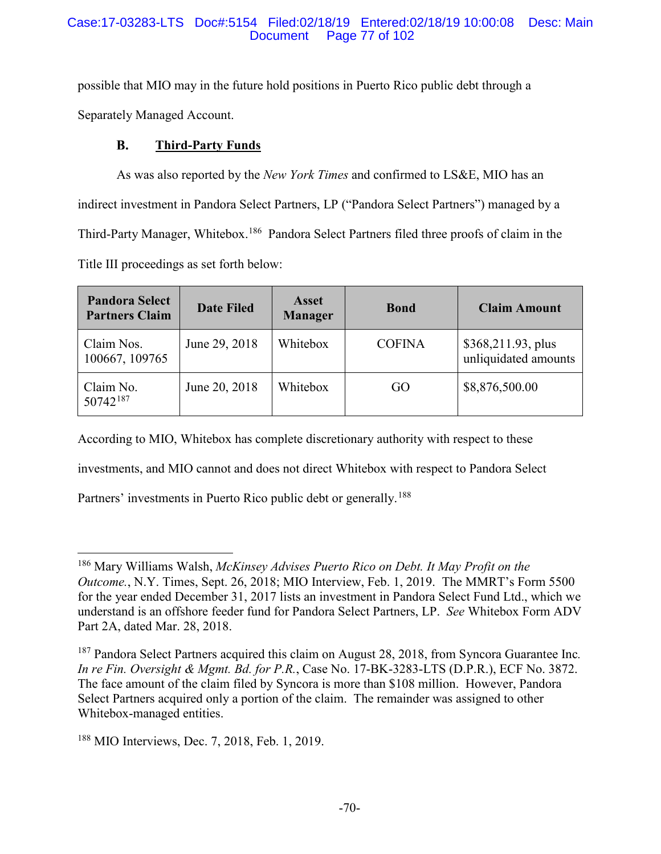# Case:17-03283-LTS Doc#:5154 Filed:02/18/19 Entered:02/18/19 10:00:08 Desc: Main Page 77 of 102

possible that MIO may in the future hold positions in Puerto Rico public debt through a Separately Managed Account.

#### **B. Third-Party Funds**

As was also reported by the *New York Times* and confirmed to LS&E, MIO has an indirect investment in Pandora Select Partners, LP ("Pandora Select Partners") managed by a Third-Party Manager, Whitebox.<sup>186</sup> Pandora Select Partners filed three proofs of claim in the Title III proceedings as set forth below:

| <b>Pandora Select</b><br><b>Partners Claim</b> | <b>Date Filed</b> | Asset<br><b>Manager</b> | <b>Bond</b>   | <b>Claim Amount</b>                        |
|------------------------------------------------|-------------------|-------------------------|---------------|--------------------------------------------|
| Claim Nos.<br>100667, 109765                   | June 29, 2018     | Whitebox                | <b>COFINA</b> | \$368,211.93, plus<br>unliquidated amounts |
| Claim No.<br>$50742^{187}$                     | June 20, 2018     | Whitebox                | GO            | \$8,876,500.00                             |

According to MIO, Whitebox has complete discretionary authority with respect to these

investments, and MIO cannot and does not direct Whitebox with respect to Pandora Select

Partners' investments in Puerto Rico public debt or generally.<sup>188</sup>

 <sup>186</sup> Mary Williams Walsh, *McKinsey Advises Puerto Rico on Debt. It May Profit on the Outcome.*, N.Y. Times, Sept. 26, 2018; MIO Interview, Feb. 1, 2019. The MMRT's Form 5500 for the year ended December 31, 2017 lists an investment in Pandora Select Fund Ltd., which we understand is an offshore feeder fund for Pandora Select Partners, LP. *See* Whitebox Form ADV Part 2A, dated Mar. 28, 2018.

<sup>187</sup> Pandora Select Partners acquired this claim on August 28, 2018, from Syncora Guarantee Inc*. In re Fin. Oversight & Mgmt. Bd. for P.R.*, Case No. 17-BK-3283-LTS (D.P.R.), ECF No. 3872. The face amount of the claim filed by Syncora is more than \$108 million. However, Pandora Select Partners acquired only a portion of the claim. The remainder was assigned to other Whitebox-managed entities.

<sup>188</sup> MIO Interviews, Dec. 7, 2018, Feb. 1, 2019.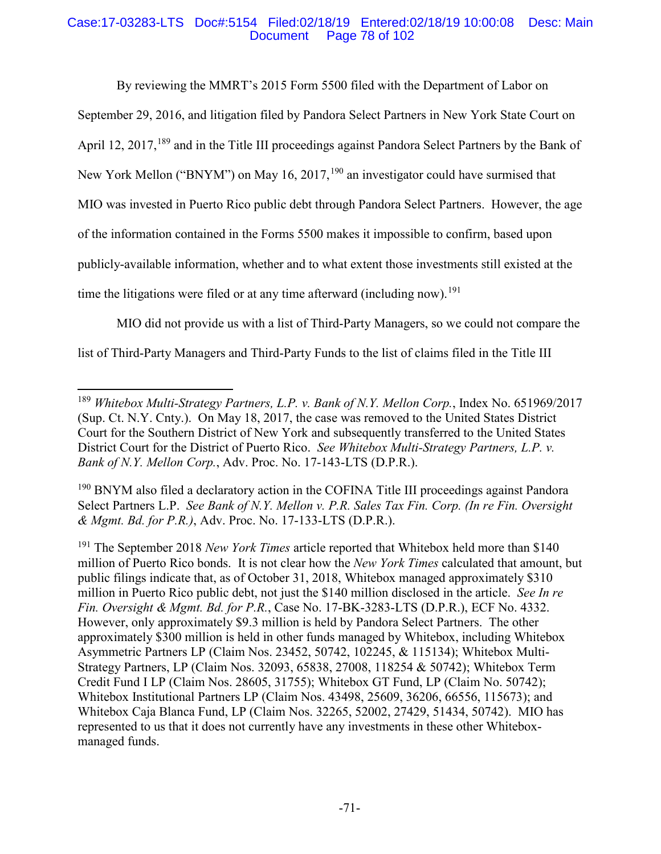# Case:17-03283-LTS Doc#:5154 Filed:02/18/19 Entered:02/18/19 10:00:08 Desc: Main Page 78 of 102

By reviewing the MMRT's 2015 Form 5500 filed with the Department of Labor on

September 29, 2016, and litigation filed by Pandora Select Partners in New York State Court on

April 12, 2017,<sup>189</sup> and in the Title III proceedings against Pandora Select Partners by the Bank of

New York Mellon ("BNYM") on May 16, 2017, <sup>190</sup> an investigator could have surmised that

MIO was invested in Puerto Rico public debt through Pandora Select Partners. However, the age

of the information contained in the Forms 5500 makes it impossible to confirm, based upon

publicly-available information, whether and to what extent those investments still existed at the

time the litigations were filed or at any time afterward (including now).<sup>191</sup>

MIO did not provide us with a list of Third-Party Managers, so we could not compare the

list of Third-Party Managers and Third-Party Funds to the list of claims filed in the Title III

 <sup>189</sup> *Whitebox Multi-Strategy Partners, L.P. v. Bank of N.Y. Mellon Corp.*, Index No. 651969/2017 (Sup. Ct. N.Y. Cnty.). On May 18, 2017, the case was removed to the United States District Court for the Southern District of New York and subsequently transferred to the United States District Court for the District of Puerto Rico. *See Whitebox Multi-Strategy Partners, L.P. v. Bank of N.Y. Mellon Corp.*, Adv. Proc. No. 17-143-LTS (D.P.R.).

<sup>&</sup>lt;sup>190</sup> BNYM also filed a declaratory action in the COFINA Title III proceedings against Pandora Select Partners L.P. *See Bank of N.Y. Mellon v. P.R. Sales Tax Fin. Corp. (In re Fin. Oversight & Mgmt. Bd. for P.R.)*, Adv. Proc. No. 17-133-LTS (D.P.R.).

<sup>191</sup> The September 2018 *New York Times* article reported that Whitebox held more than \$140 million of Puerto Rico bonds. It is not clear how the *New York Times* calculated that amount, but public filings indicate that, as of October 31, 2018, Whitebox managed approximately \$310 million in Puerto Rico public debt, not just the \$140 million disclosed in the article. *See In re Fin. Oversight & Mgmt. Bd. for P.R.*, Case No. 17-BK-3283-LTS (D.P.R.), ECF No. 4332. However, only approximately \$9.3 million is held by Pandora Select Partners. The other approximately \$300 million is held in other funds managed by Whitebox, including Whitebox Asymmetric Partners LP (Claim Nos. 23452, 50742, 102245, & 115134); Whitebox Multi-Strategy Partners, LP (Claim Nos. 32093, 65838, 27008, 118254 & 50742); Whitebox Term Credit Fund I LP (Claim Nos. 28605, 31755); Whitebox GT Fund, LP (Claim No. 50742); Whitebox Institutional Partners LP (Claim Nos. 43498, 25609, 36206, 66556, 115673); and Whitebox Caja Blanca Fund, LP (Claim Nos. 32265, 52002, 27429, 51434, 50742). MIO has represented to us that it does not currently have any investments in these other Whiteboxmanaged funds.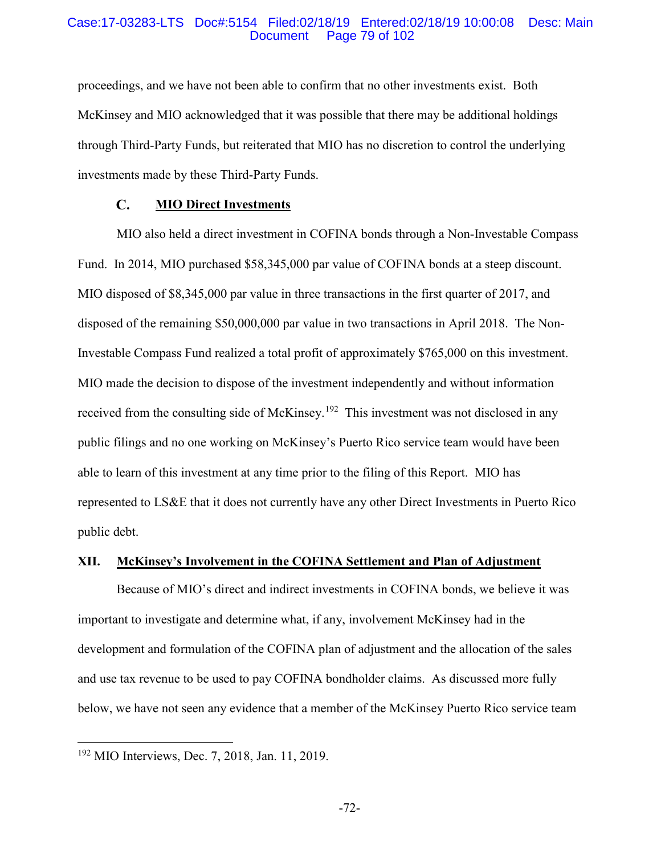## Case:17-03283-LTS Doc#:5154 Filed:02/18/19 Entered:02/18/19 10:00:08 Desc: Main Page 79 of 102

proceedings, and we have not been able to confirm that no other investments exist. Both McKinsey and MIO acknowledged that it was possible that there may be additional holdings through Third-Party Funds, but reiterated that MIO has no discretion to control the underlying investments made by these Third-Party Funds.

#### $\mathbf{C}$ . **MIO Direct Investments**

MIO also held a direct investment in COFINA bonds through a Non-Investable Compass Fund. In 2014, MIO purchased \$58,345,000 par value of COFINA bonds at a steep discount. MIO disposed of \$8,345,000 par value in three transactions in the first quarter of 2017, and disposed of the remaining \$50,000,000 par value in two transactions in April 2018. The Non-Investable Compass Fund realized a total profit of approximately \$765,000 on this investment. MIO made the decision to dispose of the investment independently and without information received from the consulting side of McKinsey.<sup>192</sup> This investment was not disclosed in any public filings and no one working on McKinsey's Puerto Rico service team would have been able to learn of this investment at any time prior to the filing of this Report. MIO has represented to LS&E that it does not currently have any other Direct Investments in Puerto Rico public debt.

# **XII. McKinsey's Involvement in the COFINA Settlement and Plan of Adjustment**

Because of MIO's direct and indirect investments in COFINA bonds, we believe it was important to investigate and determine what, if any, involvement McKinsey had in the development and formulation of the COFINA plan of adjustment and the allocation of the sales and use tax revenue to be used to pay COFINA bondholder claims. As discussed more fully below, we have not seen any evidence that a member of the McKinsey Puerto Rico service team

 <sup>192</sup> MIO Interviews, Dec. 7, 2018, Jan. 11, 2019.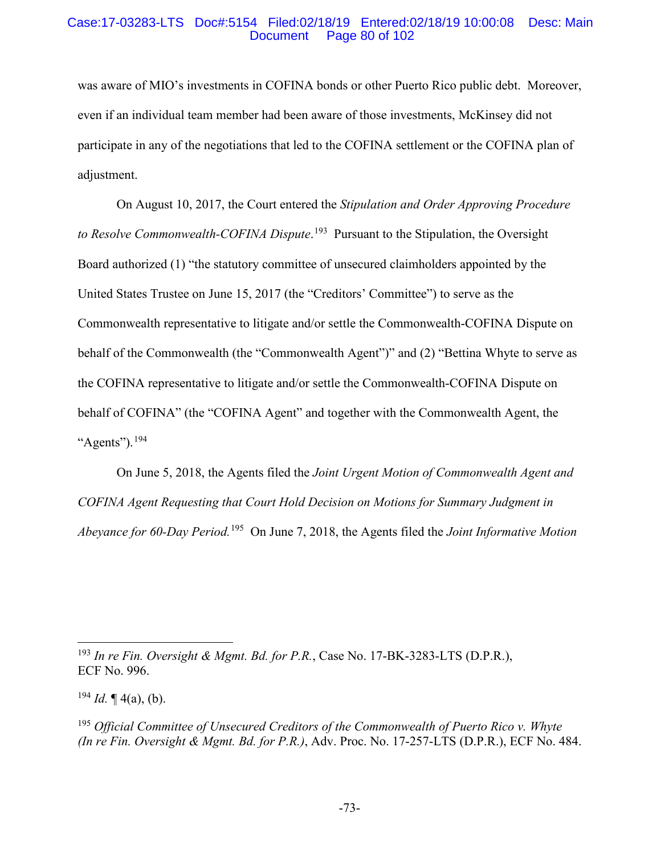## Case:17-03283-LTS Doc#:5154 Filed:02/18/19 Entered:02/18/19 10:00:08 Desc: Main Page 80 of 102

was aware of MIO's investments in COFINA bonds or other Puerto Rico public debt. Moreover, even if an individual team member had been aware of those investments, McKinsey did not participate in any of the negotiations that led to the COFINA settlement or the COFINA plan of adjustment.

On August 10, 2017, the Court entered the *Stipulation and Order Approving Procedure to Resolve Commonwealth-COFINA Dispute*. 193 Pursuant to the Stipulation, the Oversight Board authorized (1) "the statutory committee of unsecured claimholders appointed by the United States Trustee on June 15, 2017 (the "Creditors' Committee") to serve as the Commonwealth representative to litigate and/or settle the Commonwealth-COFINA Dispute on behalf of the Commonwealth (the "Commonwealth Agent")" and (2) "Bettina Whyte to serve as the COFINA representative to litigate and/or settle the Commonwealth-COFINA Dispute on behalf of COFINA" (the "COFINA Agent" and together with the Commonwealth Agent, the " $A$ gents").<sup>194</sup>

On June 5, 2018, the Agents filed the *Joint Urgent Motion of Commonwealth Agent and COFINA Agent Requesting that Court Hold Decision on Motions for Summary Judgment in Abeyance for 60-Day Period.*195 On June 7, 2018, the Agents filed the *Joint Informative Motion* 

 <sup>193</sup> *In re Fin. Oversight & Mgmt. Bd. for P.R.*, Case No. 17-BK-3283-LTS (D.P.R.), ECF No. 996.

 $^{194}$  *Id.* ¶ 4(a), (b).

<sup>195</sup> *Official Committee of Unsecured Creditors of the Commonwealth of Puerto Rico v. Whyte (In re Fin. Oversight & Mgmt. Bd. for P.R.)*, Adv. Proc. No. 17-257-LTS (D.P.R.), ECF No. 484.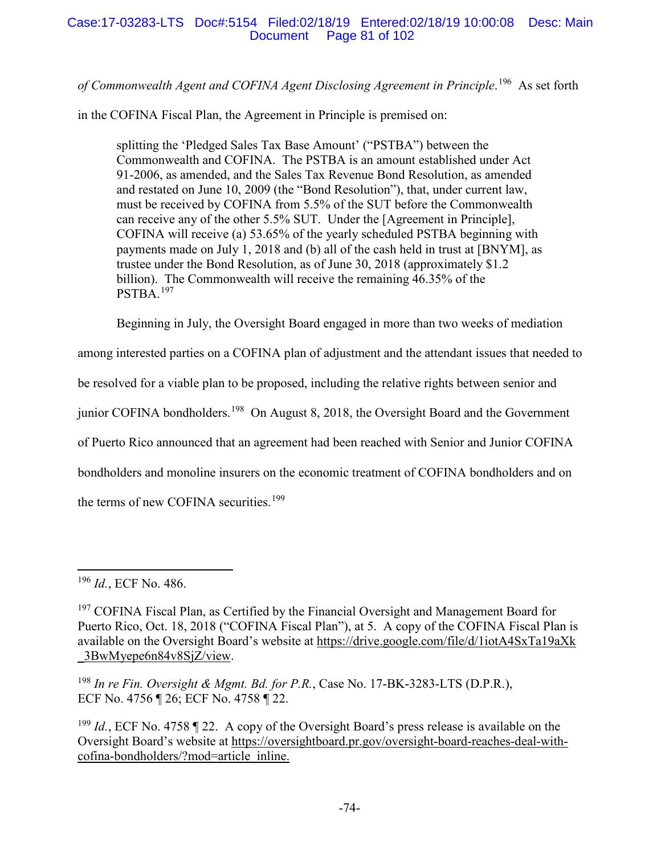*of Commonwealth Agent and COFINA Agent Disclosing Agreement in Principle*. 196 As set forth

in the COFINA Fiscal Plan, the Agreement in Principle is premised on:

splitting the 'Pledged Sales Tax Base Amount' ("PSTBA") between the Commonwealth and COFINA. The PSTBA is an amount established under Act 91-2006, as amended, and the Sales Tax Revenue Bond Resolution, as amended and restated on June 10, 2009 (the "Bond Resolution"), that, under current law, must be received by COFINA from 5.5% of the SUT before the Commonwealth can receive any of the other 5.5% SUT. Under the [Agreement in Principle], COFINA will receive (a) 53.65% of the yearly scheduled PSTBA beginning with payments made on July 1, 2018 and (b) all of the cash held in trust at [BNYM], as trustee under the Bond Resolution, as of June 30, 2018 (approximately \$1.2 billion). The Commonwealth will receive the remaining 46.35% of the PSTBA.<sup>197</sup>

Beginning in July, the Oversight Board engaged in more than two weeks of mediation

among interested parties on a COFINA plan of adjustment and the attendant issues that needed to

be resolved for a viable plan to be proposed, including the relative rights between senior and

junior COFINA bondholders.<sup>198</sup> On August 8, 2018, the Oversight Board and the Government

of Puerto Rico announced that an agreement had been reached with Senior and Junior COFINA

bondholders and monoline insurers on the economic treatment of COFINA bondholders and on

the terms of new COFINA securities.<sup>199</sup>

<sup>198</sup> *In re Fin. Oversight & Mgmt. Bd. for P.R.*, Case No. 17-BK-3283-LTS (D.P.R.), ECF No. 4756 ¶ 26; ECF No. 4758 ¶ 22.

<sup>199</sup> *Id.*, ECF No. 4758 ¶ 22. A copy of the Oversight Board's press release is available on the Oversight Board's website at https://oversightboard.pr.gov/oversight-board-reaches-deal-withcofina-bondholders/?mod=article\_inline.

 <sup>196</sup> *Id.*, ECF No. 486.

<sup>&</sup>lt;sup>197</sup> COFINA Fiscal Plan, as Certified by the Financial Oversight and Management Board for Puerto Rico, Oct. 18, 2018 ("COFINA Fiscal Plan"), at 5. A copy of the COFINA Fiscal Plan is available on the Oversight Board's website at https://drive.google.com/file/d/1iotA4SxTa19aXk \_3BwMyepe6n84v8SjZ/view.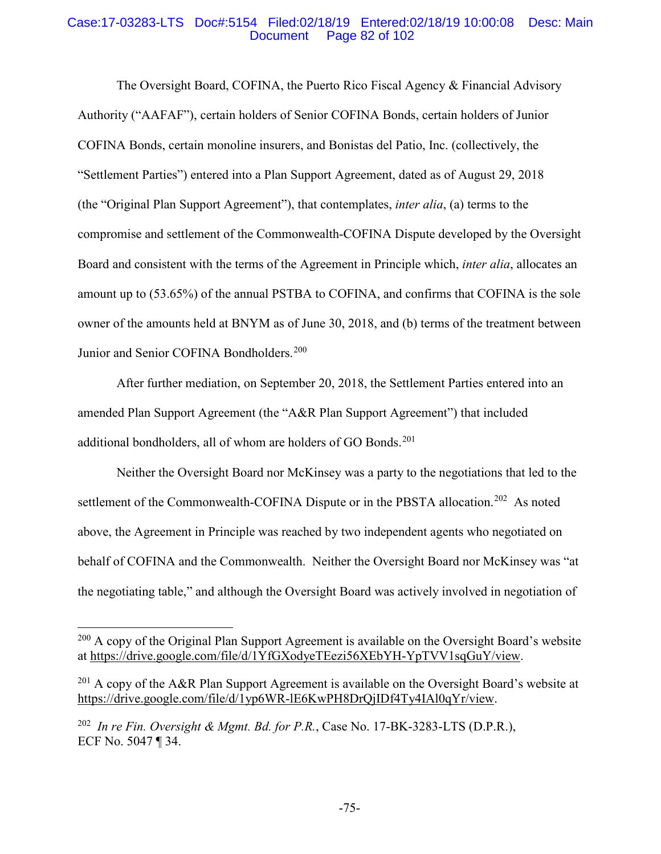## Case:17-03283-LTS Doc#:5154 Filed:02/18/19 Entered:02/18/19 10:00:08 Desc: Main Page 82 of 102

The Oversight Board, COFINA, the Puerto Rico Fiscal Agency & Financial Advisory Authority ("AAFAF"), certain holders of Senior COFINA Bonds, certain holders of Junior COFINA Bonds, certain monoline insurers, and Bonistas del Patio, Inc. (collectively, the "Settlement Parties") entered into a Plan Support Agreement, dated as of August 29, 2018 (the "Original Plan Support Agreement"), that contemplates, *inter alia*, (a) terms to the compromise and settlement of the Commonwealth-COFINA Dispute developed by the Oversight Board and consistent with the terms of the Agreement in Principle which, *inter alia*, allocates an amount up to (53.65%) of the annual PSTBA to COFINA, and confirms that COFINA is the sole owner of the amounts held at BNYM as of June 30, 2018, and (b) terms of the treatment between Junior and Senior COFINA Bondholders.<sup>200</sup>

After further mediation, on September 20, 2018, the Settlement Parties entered into an amended Plan Support Agreement (the "A&R Plan Support Agreement") that included additional bondholders, all of whom are holders of GO Bonds.<sup>201</sup>

Neither the Oversight Board nor McKinsey was a party to the negotiations that led to the settlement of the Commonwealth-COFINA Dispute or in the PBSTA allocation.<sup>202</sup> As noted above, the Agreement in Principle was reached by two independent agents who negotiated on behalf of COFINA and the Commonwealth. Neither the Oversight Board nor McKinsey was "at the negotiating table," and although the Oversight Board was actively involved in negotiation of

<sup>&</sup>lt;sup>200</sup> A copy of the Original Plan Support Agreement is available on the Oversight Board's website at https://drive.google.com/file/d/1YfGXodyeTEezi56XEbYH-YpTVV1sqGuY/view.

 $201$  A copy of the A&R Plan Support Agreement is available on the Oversight Board's website at https://drive.google.com/file/d/1yp6WR-lE6KwPH8DrQjIDf4Ty4IAl0qYr/view.

<sup>202</sup> *In re Fin. Oversight & Mgmt. Bd. for P.R.*, Case No. 17-BK-3283-LTS (D.P.R.), ECF No. 5047 ¶ 34.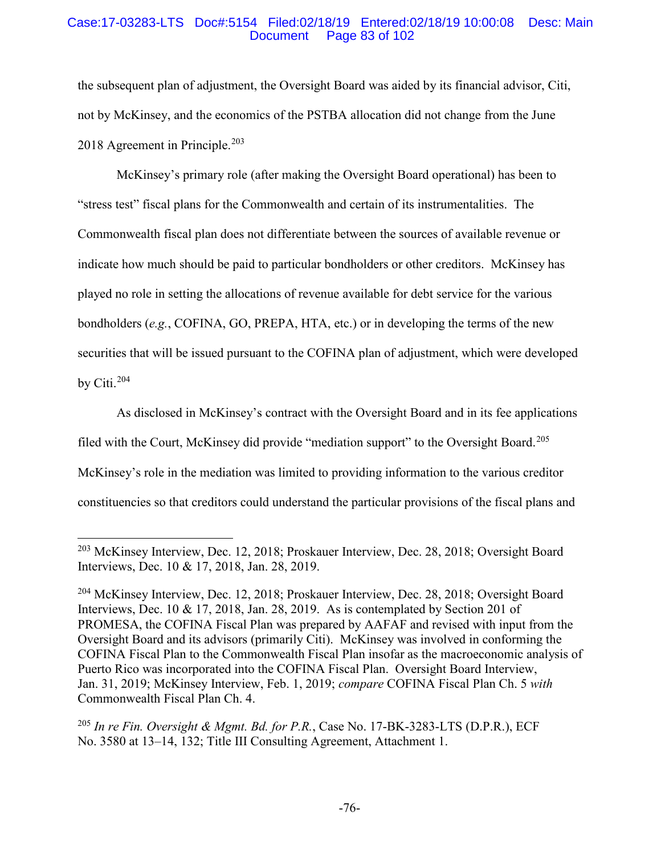# Case:17-03283-LTS Doc#:5154 Filed:02/18/19 Entered:02/18/19 10:00:08 Desc: Main Page 83 of 102

the subsequent plan of adjustment, the Oversight Board was aided by its financial advisor, Citi, not by McKinsey, and the economics of the PSTBA allocation did not change from the June 2018 Agreement in Principle.<sup>203</sup>

McKinsey's primary role (after making the Oversight Board operational) has been to "stress test" fiscal plans for the Commonwealth and certain of its instrumentalities. The Commonwealth fiscal plan does not differentiate between the sources of available revenue or indicate how much should be paid to particular bondholders or other creditors. McKinsey has played no role in setting the allocations of revenue available for debt service for the various bondholders (*e.g.*, COFINA, GO, PREPA, HTA, etc.) or in developing the terms of the new securities that will be issued pursuant to the COFINA plan of adjustment, which were developed by Citi. 204

As disclosed in McKinsey's contract with the Oversight Board and in its fee applications filed with the Court, McKinsey did provide "mediation support" to the Oversight Board.<sup>205</sup> McKinsey's role in the mediation was limited to providing information to the various creditor constituencies so that creditors could understand the particular provisions of the fiscal plans and

 <sup>203</sup> McKinsey Interview, Dec. 12, 2018; Proskauer Interview, Dec. 28, 2018; Oversight Board Interviews, Dec. 10 & 17, 2018, Jan. 28, 2019.

<sup>204</sup> McKinsey Interview, Dec. 12, 2018; Proskauer Interview, Dec. 28, 2018; Oversight Board Interviews, Dec. 10 & 17, 2018, Jan. 28, 2019. As is contemplated by Section 201 of PROMESA, the COFINA Fiscal Plan was prepared by AAFAF and revised with input from the Oversight Board and its advisors (primarily Citi). McKinsey was involved in conforming the COFINA Fiscal Plan to the Commonwealth Fiscal Plan insofar as the macroeconomic analysis of Puerto Rico was incorporated into the COFINA Fiscal Plan. Oversight Board Interview, Jan. 31, 2019; McKinsey Interview, Feb. 1, 2019; *compare* COFINA Fiscal Plan Ch. 5 *with* Commonwealth Fiscal Plan Ch. 4.

<sup>205</sup> *In re Fin. Oversight & Mgmt. Bd. for P.R.*, Case No. 17-BK-3283-LTS (D.P.R.), ECF No. 3580 at 13–14, 132; Title III Consulting Agreement, Attachment 1.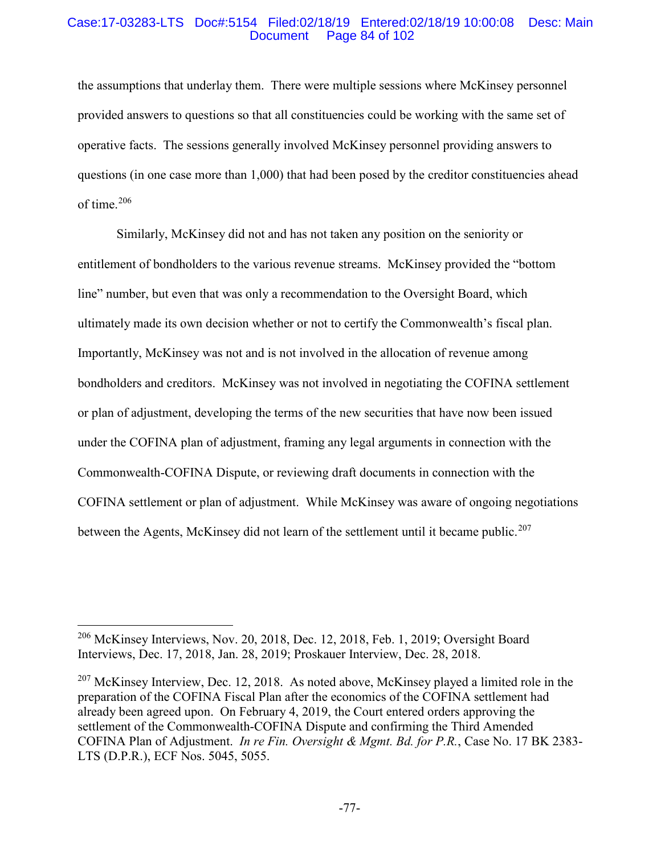## Case:17-03283-LTS Doc#:5154 Filed:02/18/19 Entered:02/18/19 10:00:08 Desc: Main Page 84 of 102

the assumptions that underlay them. There were multiple sessions where McKinsey personnel provided answers to questions so that all constituencies could be working with the same set of operative facts. The sessions generally involved McKinsey personnel providing answers to questions (in one case more than 1,000) that had been posed by the creditor constituencies ahead of time. 206

Similarly, McKinsey did not and has not taken any position on the seniority or entitlement of bondholders to the various revenue streams. McKinsey provided the "bottom line" number, but even that was only a recommendation to the Oversight Board, which ultimately made its own decision whether or not to certify the Commonwealth's fiscal plan. Importantly, McKinsey was not and is not involved in the allocation of revenue among bondholders and creditors. McKinsey was not involved in negotiating the COFINA settlement or plan of adjustment, developing the terms of the new securities that have now been issued under the COFINA plan of adjustment, framing any legal arguments in connection with the Commonwealth-COFINA Dispute, or reviewing draft documents in connection with the COFINA settlement or plan of adjustment. While McKinsey was aware of ongoing negotiations between the Agents, McKinsey did not learn of the settlement until it became public.<sup>207</sup>

 <sup>206</sup> McKinsey Interviews, Nov. 20, 2018, Dec. 12, 2018, Feb. 1, 2019; Oversight Board Interviews, Dec. 17, 2018, Jan. 28, 2019; Proskauer Interview, Dec. 28, 2018.

 $207$  McKinsey Interview, Dec. 12, 2018. As noted above, McKinsey played a limited role in the preparation of the COFINA Fiscal Plan after the economics of the COFINA settlement had already been agreed upon. On February 4, 2019, the Court entered orders approving the settlement of the Commonwealth-COFINA Dispute and confirming the Third Amended COFINA Plan of Adjustment. *In re Fin. Oversight & Mgmt. Bd. for P.R.*, Case No. 17 BK 2383- LTS (D.P.R.), ECF Nos. 5045, 5055.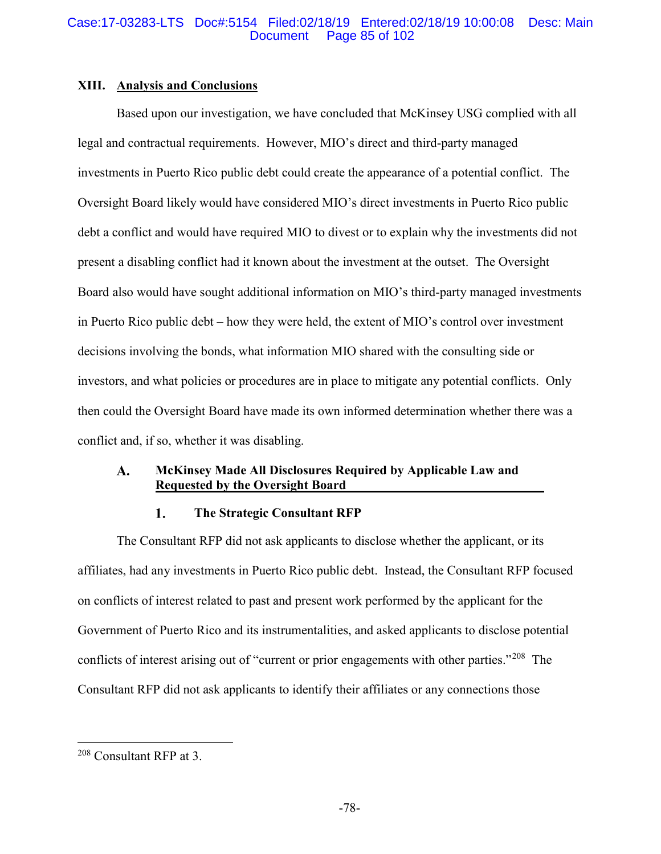# **XIII. Analysis and Conclusions**

Based upon our investigation, we have concluded that McKinsey USG complied with all legal and contractual requirements. However, MIO's direct and third-party managed investments in Puerto Rico public debt could create the appearance of a potential conflict. The Oversight Board likely would have considered MIO's direct investments in Puerto Rico public debt a conflict and would have required MIO to divest or to explain why the investments did not present a disabling conflict had it known about the investment at the outset. The Oversight Board also would have sought additional information on MIO's third-party managed investments in Puerto Rico public debt – how they were held, the extent of MIO's control over investment decisions involving the bonds, what information MIO shared with the consulting side or investors, and what policies or procedures are in place to mitigate any potential conflicts. Only then could the Oversight Board have made its own informed determination whether there was a conflict and, if so, whether it was disabling.

### A. **McKinsey Made All Disclosures Required by Applicable Law and Requested by the Oversight Board**

#### 1. **The Strategic Consultant RFP**

The Consultant RFP did not ask applicants to disclose whether the applicant, or its affiliates, had any investments in Puerto Rico public debt. Instead, the Consultant RFP focused on conflicts of interest related to past and present work performed by the applicant for the Government of Puerto Rico and its instrumentalities, and asked applicants to disclose potential conflicts of interest arising out of "current or prior engagements with other parties."<sup>208</sup> The Consultant RFP did not ask applicants to identify their affiliates or any connections those

 <sup>208</sup> Consultant RFP at 3.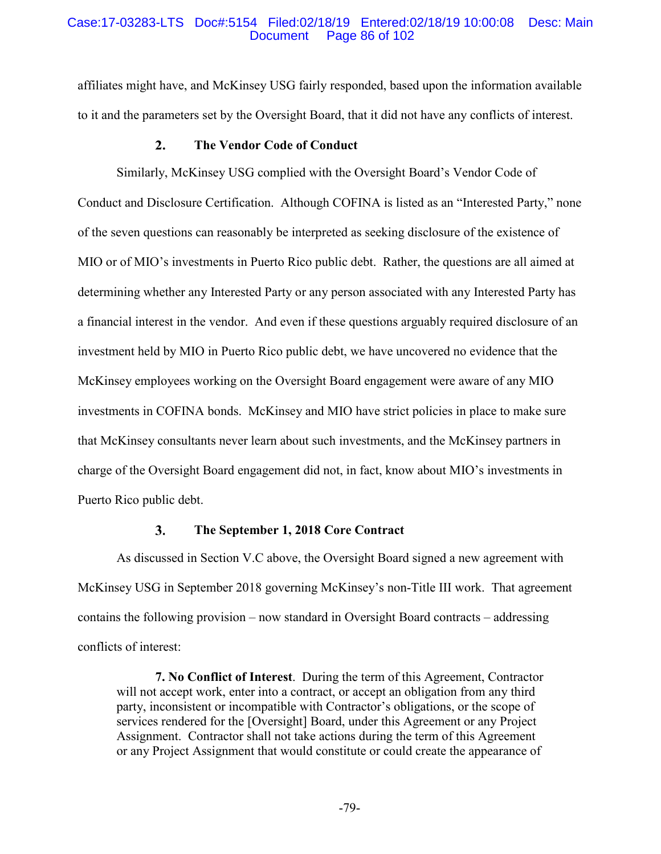## Case:17-03283-LTS Doc#:5154 Filed:02/18/19 Entered:02/18/19 10:00:08 Desc: Main Page 86 of 102

affiliates might have, and McKinsey USG fairly responded, based upon the information available to it and the parameters set by the Oversight Board, that it did not have any conflicts of interest.

#### **The Vendor Code of Conduct**  $2.$

Similarly, McKinsey USG complied with the Oversight Board's Vendor Code of Conduct and Disclosure Certification. Although COFINA is listed as an "Interested Party," none of the seven questions can reasonably be interpreted as seeking disclosure of the existence of MIO or of MIO's investments in Puerto Rico public debt. Rather, the questions are all aimed at determining whether any Interested Party or any person associated with any Interested Party has a financial interest in the vendor. And even if these questions arguably required disclosure of an investment held by MIO in Puerto Rico public debt, we have uncovered no evidence that the McKinsey employees working on the Oversight Board engagement were aware of any MIO investments in COFINA bonds. McKinsey and MIO have strict policies in place to make sure that McKinsey consultants never learn about such investments, and the McKinsey partners in charge of the Oversight Board engagement did not, in fact, know about MIO's investments in Puerto Rico public debt.

#### $3.$ **The September 1, 2018 Core Contract**

As discussed in Section V.C above, the Oversight Board signed a new agreement with McKinsey USG in September 2018 governing McKinsey's non-Title III work. That agreement contains the following provision – now standard in Oversight Board contracts – addressing conflicts of interest:

**7. No Conflict of Interest**. During the term of this Agreement, Contractor will not accept work, enter into a contract, or accept an obligation from any third party, inconsistent or incompatible with Contractor's obligations, or the scope of services rendered for the [Oversight] Board, under this Agreement or any Project Assignment. Contractor shall not take actions during the term of this Agreement or any Project Assignment that would constitute or could create the appearance of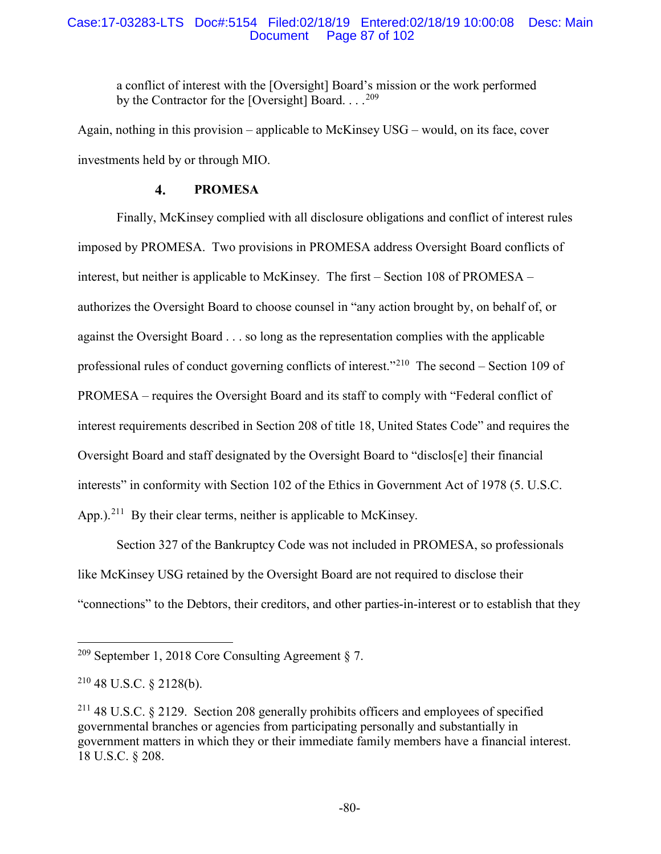## Case:17-03283-LTS Doc#:5154 Filed:02/18/19 Entered:02/18/19 10:00:08 Desc: Main Page 87 of 102

a conflict of interest with the [Oversight] Board's mission or the work performed by the Contractor for the [Oversight] Board.  $\ldots$ <sup>209</sup>

Again, nothing in this provision – applicable to McKinsey USG – would, on its face, cover investments held by or through MIO.

#### 4. **PROMESA**

Finally, McKinsey complied with all disclosure obligations and conflict of interest rules imposed by PROMESA. Two provisions in PROMESA address Oversight Board conflicts of interest, but neither is applicable to McKinsey. The first – Section 108 of PROMESA – authorizes the Oversight Board to choose counsel in "any action brought by, on behalf of, or against the Oversight Board . . . so long as the representation complies with the applicable professional rules of conduct governing conflicts of interest."210 The second – Section 109 of PROMESA – requires the Oversight Board and its staff to comply with "Federal conflict of interest requirements described in Section 208 of title 18, United States Code" and requires the Oversight Board and staff designated by the Oversight Board to "disclos[e] their financial interests" in conformity with Section 102 of the Ethics in Government Act of 1978 (5. U.S.C. App.).<sup>211</sup> By their clear terms, neither is applicable to McKinsey.

Section 327 of the Bankruptcy Code was not included in PROMESA, so professionals like McKinsey USG retained by the Oversight Board are not required to disclose their "connections" to the Debtors, their creditors, and other parties-in-interest or to establish that they

 <sup>209</sup> September 1, 2018 Core Consulting Agreement § 7.

 $210$  48 U.S.C. § 2128(b).

<sup>&</sup>lt;sup>211</sup> 48 U.S.C. § 2129. Section 208 generally prohibits officers and employees of specified governmental branches or agencies from participating personally and substantially in government matters in which they or their immediate family members have a financial interest. 18 U.S.C. § 208.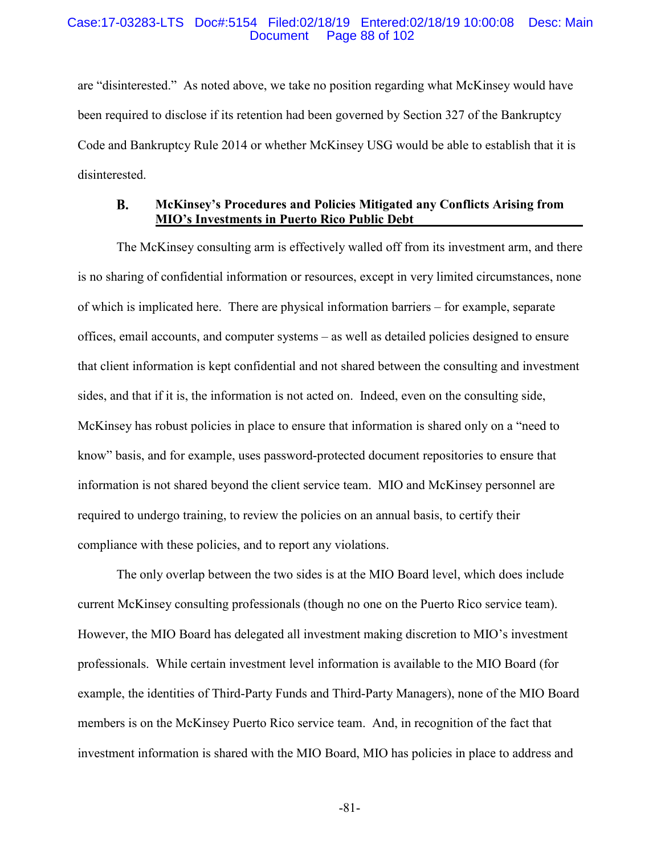## Case:17-03283-LTS Doc#:5154 Filed:02/18/19 Entered:02/18/19 10:00:08 Desc: Main Page 88 of 102

are "disinterested." As noted above, we take no position regarding what McKinsey would have been required to disclose if its retention had been governed by Section 327 of the Bankruptcy Code and Bankruptcy Rule 2014 or whether McKinsey USG would be able to establish that it is disinterested.

### **McKinsey's Procedures and Policies Mitigated any Conflicts Arising from B. MIO's Investments in Puerto Rico Public Debt**

The McKinsey consulting arm is effectively walled off from its investment arm, and there is no sharing of confidential information or resources, except in very limited circumstances, none of which is implicated here. There are physical information barriers – for example, separate offices, email accounts, and computer systems – as well as detailed policies designed to ensure that client information is kept confidential and not shared between the consulting and investment sides, and that if it is, the information is not acted on. Indeed, even on the consulting side, McKinsey has robust policies in place to ensure that information is shared only on a "need to know" basis, and for example, uses password-protected document repositories to ensure that information is not shared beyond the client service team. MIO and McKinsey personnel are required to undergo training, to review the policies on an annual basis, to certify their compliance with these policies, and to report any violations.

The only overlap between the two sides is at the MIO Board level, which does include current McKinsey consulting professionals (though no one on the Puerto Rico service team). However, the MIO Board has delegated all investment making discretion to MIO's investment professionals. While certain investment level information is available to the MIO Board (for example, the identities of Third-Party Funds and Third-Party Managers), none of the MIO Board members is on the McKinsey Puerto Rico service team. And, in recognition of the fact that investment information is shared with the MIO Board, MIO has policies in place to address and

-81-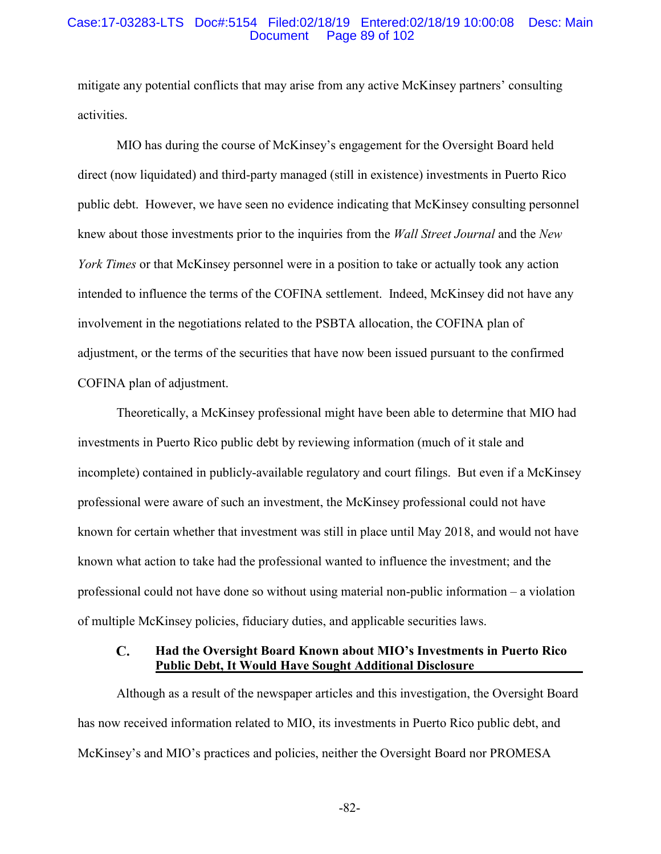## Case:17-03283-LTS Doc#:5154 Filed:02/18/19 Entered:02/18/19 10:00:08 Desc: Main Page 89 of 102

mitigate any potential conflicts that may arise from any active McKinsey partners' consulting activities.

MIO has during the course of McKinsey's engagement for the Oversight Board held direct (now liquidated) and third-party managed (still in existence) investments in Puerto Rico public debt. However, we have seen no evidence indicating that McKinsey consulting personnel knew about those investments prior to the inquiries from the *Wall Street Journal* and the *New York Times* or that McKinsey personnel were in a position to take or actually took any action intended to influence the terms of the COFINA settlement. Indeed, McKinsey did not have any involvement in the negotiations related to the PSBTA allocation, the COFINA plan of adjustment, or the terms of the securities that have now been issued pursuant to the confirmed COFINA plan of adjustment.

Theoretically, a McKinsey professional might have been able to determine that MIO had investments in Puerto Rico public debt by reviewing information (much of it stale and incomplete) contained in publicly-available regulatory and court filings. But even if a McKinsey professional were aware of such an investment, the McKinsey professional could not have known for certain whether that investment was still in place until May 2018, and would not have known what action to take had the professional wanted to influence the investment; and the professional could not have done so without using material non-public information – a violation of multiple McKinsey policies, fiduciary duties, and applicable securities laws.

### $\mathbf{C}$ . **Had the Oversight Board Known about MIO's Investments in Puerto Rico Public Debt, It Would Have Sought Additional Disclosure**

Although as a result of the newspaper articles and this investigation, the Oversight Board has now received information related to MIO, its investments in Puerto Rico public debt, and McKinsey's and MIO's practices and policies, neither the Oversight Board nor PROMESA

-82-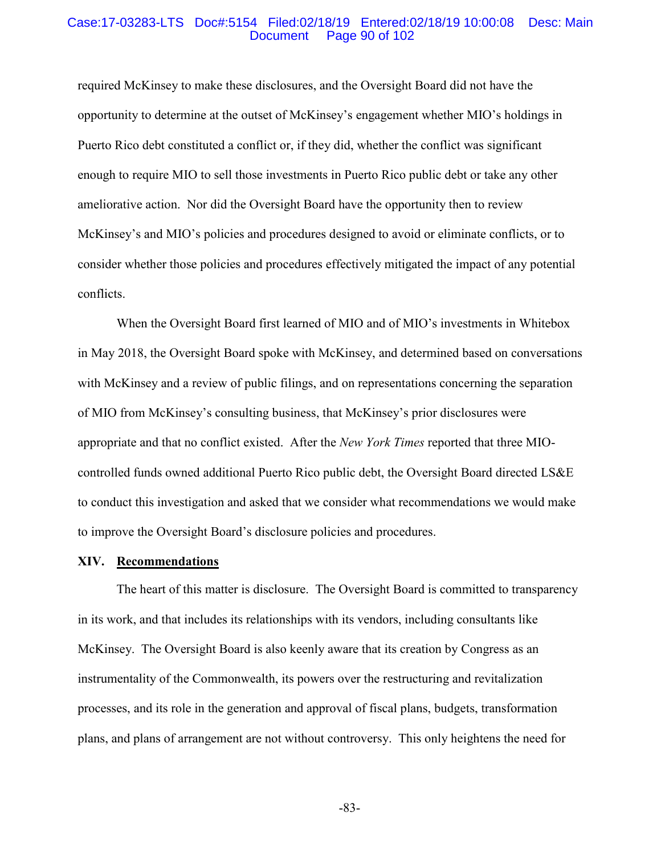## Case:17-03283-LTS Doc#:5154 Filed:02/18/19 Entered:02/18/19 10:00:08 Desc: Main Page 90 of 102

required McKinsey to make these disclosures, and the Oversight Board did not have the opportunity to determine at the outset of McKinsey's engagement whether MIO's holdings in Puerto Rico debt constituted a conflict or, if they did, whether the conflict was significant enough to require MIO to sell those investments in Puerto Rico public debt or take any other ameliorative action. Nor did the Oversight Board have the opportunity then to review McKinsey's and MIO's policies and procedures designed to avoid or eliminate conflicts, or to consider whether those policies and procedures effectively mitigated the impact of any potential conflicts.

When the Oversight Board first learned of MIO and of MIO's investments in Whitebox in May 2018, the Oversight Board spoke with McKinsey, and determined based on conversations with McKinsey and a review of public filings, and on representations concerning the separation of MIO from McKinsey's consulting business, that McKinsey's prior disclosures were appropriate and that no conflict existed. After the *New York Times* reported that three MIOcontrolled funds owned additional Puerto Rico public debt, the Oversight Board directed LS&E to conduct this investigation and asked that we consider what recommendations we would make to improve the Oversight Board's disclosure policies and procedures.

## **XIV. Recommendations**

The heart of this matter is disclosure. The Oversight Board is committed to transparency in its work, and that includes its relationships with its vendors, including consultants like McKinsey. The Oversight Board is also keenly aware that its creation by Congress as an instrumentality of the Commonwealth, its powers over the restructuring and revitalization processes, and its role in the generation and approval of fiscal plans, budgets, transformation plans, and plans of arrangement are not without controversy. This only heightens the need for

-83-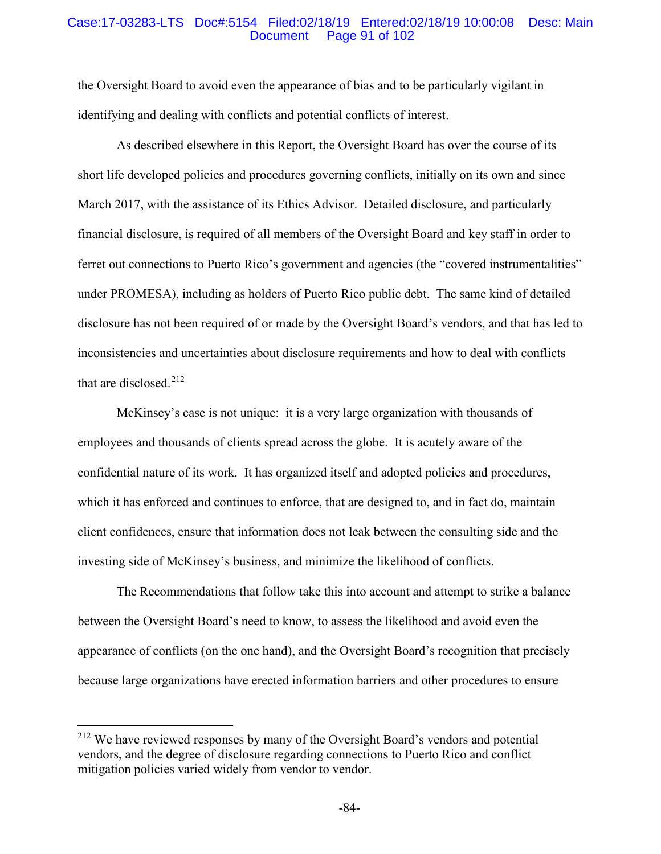## Case:17-03283-LTS Doc#:5154 Filed:02/18/19 Entered:02/18/19 10:00:08 Desc: Main Page 91 of 102

the Oversight Board to avoid even the appearance of bias and to be particularly vigilant in identifying and dealing with conflicts and potential conflicts of interest.

As described elsewhere in this Report, the Oversight Board has over the course of its short life developed policies and procedures governing conflicts, initially on its own and since March 2017, with the assistance of its Ethics Advisor. Detailed disclosure, and particularly financial disclosure, is required of all members of the Oversight Board and key staff in order to ferret out connections to Puerto Rico's government and agencies (the "covered instrumentalities" under PROMESA), including as holders of Puerto Rico public debt. The same kind of detailed disclosure has not been required of or made by the Oversight Board's vendors, and that has led to inconsistencies and uncertainties about disclosure requirements and how to deal with conflicts that are disclosed.<sup>212</sup>

McKinsey's case is not unique: it is a very large organization with thousands of employees and thousands of clients spread across the globe. It is acutely aware of the confidential nature of its work. It has organized itself and adopted policies and procedures, which it has enforced and continues to enforce, that are designed to, and in fact do, maintain client confidences, ensure that information does not leak between the consulting side and the investing side of McKinsey's business, and minimize the likelihood of conflicts.

The Recommendations that follow take this into account and attempt to strike a balance between the Oversight Board's need to know, to assess the likelihood and avoid even the appearance of conflicts (on the one hand), and the Oversight Board's recognition that precisely because large organizations have erected information barriers and other procedures to ensure

 <sup>212</sup> We have reviewed responses by many of the Oversight Board's vendors and potential vendors, and the degree of disclosure regarding connections to Puerto Rico and conflict mitigation policies varied widely from vendor to vendor.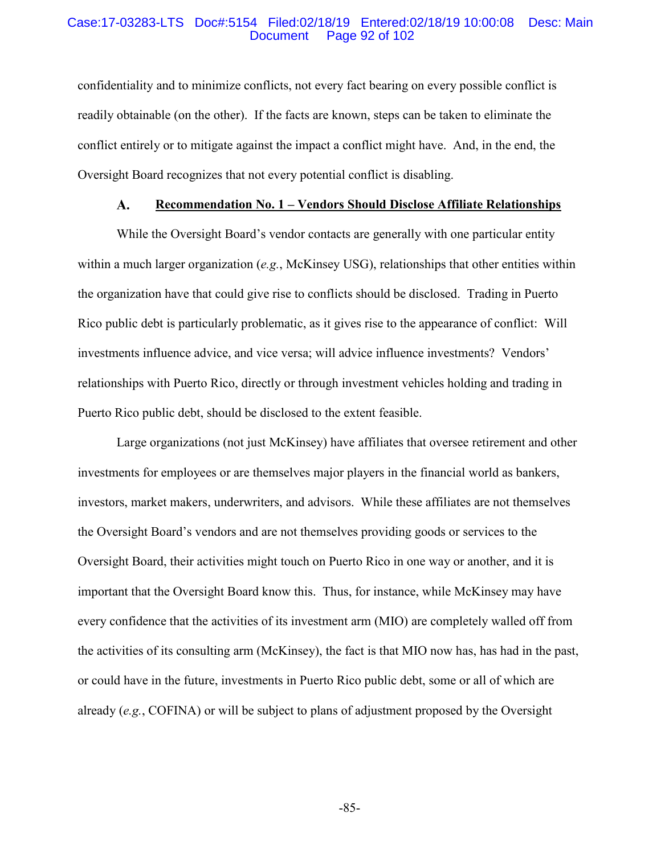## Case:17-03283-LTS Doc#:5154 Filed:02/18/19 Entered:02/18/19 10:00:08 Desc: Main Page 92 of 102

confidentiality and to minimize conflicts, not every fact bearing on every possible conflict is readily obtainable (on the other). If the facts are known, steps can be taken to eliminate the conflict entirely or to mitigate against the impact a conflict might have. And, in the end, the Oversight Board recognizes that not every potential conflict is disabling.

#### **Recommendation No. 1 – Vendors Should Disclose Affiliate Relationships**  $\mathbf{A}$ .

While the Oversight Board's vendor contacts are generally with one particular entity within a much larger organization (*e.g.*, McKinsey USG), relationships that other entities within the organization have that could give rise to conflicts should be disclosed. Trading in Puerto Rico public debt is particularly problematic, as it gives rise to the appearance of conflict: Will investments influence advice, and vice versa; will advice influence investments? Vendors' relationships with Puerto Rico, directly or through investment vehicles holding and trading in Puerto Rico public debt, should be disclosed to the extent feasible.

Large organizations (not just McKinsey) have affiliates that oversee retirement and other investments for employees or are themselves major players in the financial world as bankers, investors, market makers, underwriters, and advisors. While these affiliates are not themselves the Oversight Board's vendors and are not themselves providing goods or services to the Oversight Board, their activities might touch on Puerto Rico in one way or another, and it is important that the Oversight Board know this. Thus, for instance, while McKinsey may have every confidence that the activities of its investment arm (MIO) are completely walled off from the activities of its consulting arm (McKinsey), the fact is that MIO now has, has had in the past, or could have in the future, investments in Puerto Rico public debt, some or all of which are already (*e.g.*, COFINA) or will be subject to plans of adjustment proposed by the Oversight

-85-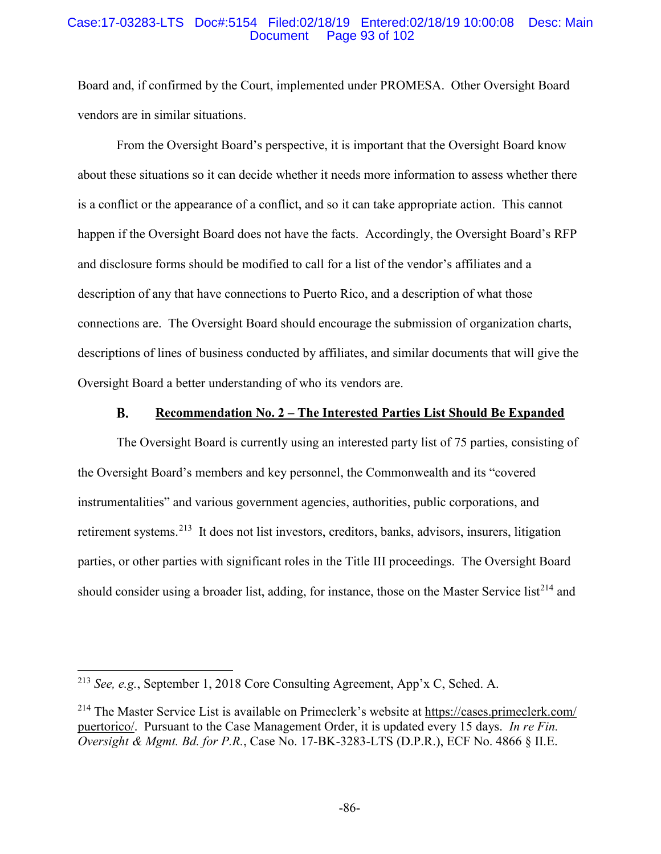## Case:17-03283-LTS Doc#:5154 Filed:02/18/19 Entered:02/18/19 10:00:08 Desc: Main Page 93 of 102

Board and, if confirmed by the Court, implemented under PROMESA. Other Oversight Board vendors are in similar situations.

From the Oversight Board's perspective, it is important that the Oversight Board know about these situations so it can decide whether it needs more information to assess whether there is a conflict or the appearance of a conflict, and so it can take appropriate action. This cannot happen if the Oversight Board does not have the facts. Accordingly, the Oversight Board's RFP and disclosure forms should be modified to call for a list of the vendor's affiliates and a description of any that have connections to Puerto Rico, and a description of what those connections are. The Oversight Board should encourage the submission of organization charts, descriptions of lines of business conducted by affiliates, and similar documents that will give the Oversight Board a better understanding of who its vendors are.

#### **B. Recommendation No. 2 – The Interested Parties List Should Be Expanded**

The Oversight Board is currently using an interested party list of 75 parties, consisting of the Oversight Board's members and key personnel, the Commonwealth and its "covered instrumentalities" and various government agencies, authorities, public corporations, and retirement systems.213 It does not list investors, creditors, banks, advisors, insurers, litigation parties, or other parties with significant roles in the Title III proceedings. The Oversight Board should consider using a broader list, adding, for instance, those on the Master Service list<sup>214</sup> and

 <sup>213</sup> *See, e.g.*, September 1, 2018 Core Consulting Agreement, App'x C, Sched. A.

<sup>&</sup>lt;sup>214</sup> The Master Service List is available on Primeclerk's website at https://cases.primeclerk.com/ puertorico/. Pursuant to the Case Management Order, it is updated every 15 days. *In re Fin. Oversight & Mgmt. Bd. for P.R.*, Case No. 17-BK-3283-LTS (D.P.R.), ECF No. 4866 § II.E.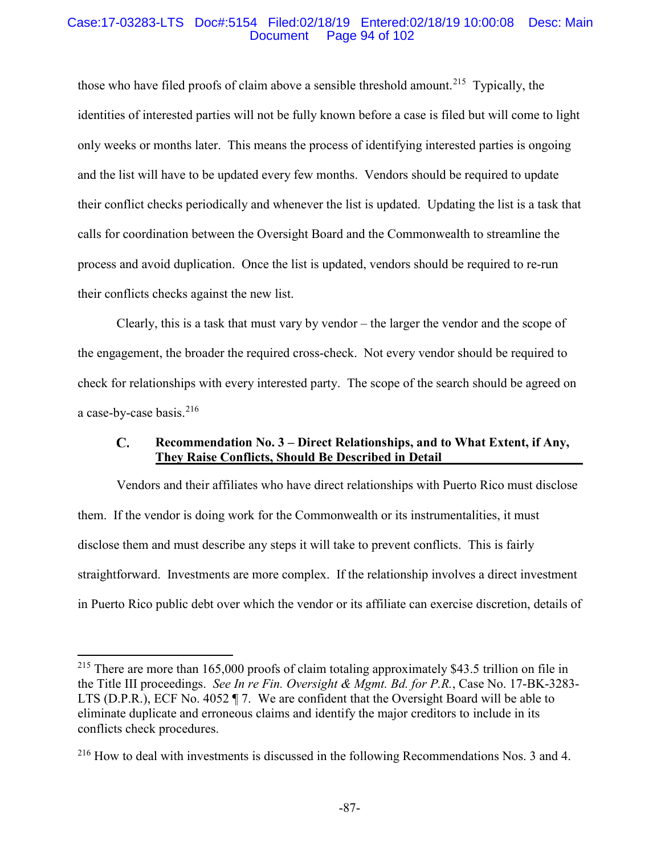# Case:17-03283-LTS Doc#:5154 Filed:02/18/19 Entered:02/18/19 10:00:08 Desc: Main Page 94 of 102

those who have filed proofs of claim above a sensible threshold amount.<sup>215</sup> Typically, the identities of interested parties will not be fully known before a case is filed but will come to light only weeks or months later. This means the process of identifying interested parties is ongoing and the list will have to be updated every few months. Vendors should be required to update their conflict checks periodically and whenever the list is updated. Updating the list is a task that calls for coordination between the Oversight Board and the Commonwealth to streamline the process and avoid duplication. Once the list is updated, vendors should be required to re-run their conflicts checks against the new list.

Clearly, this is a task that must vary by vendor – the larger the vendor and the scope of the engagement, the broader the required cross-check. Not every vendor should be required to check for relationships with every interested party. The scope of the search should be agreed on a case-by-case basis. $216$ 

### **Recommendation No. 3 – Direct Relationships, and to What Extent, if Any,**   $\mathbf{C}$ . **They Raise Conflicts, Should Be Described in Detail**

Vendors and their affiliates who have direct relationships with Puerto Rico must disclose them. If the vendor is doing work for the Commonwealth or its instrumentalities, it must disclose them and must describe any steps it will take to prevent conflicts. This is fairly straightforward. Investments are more complex. If the relationship involves a direct investment in Puerto Rico public debt over which the vendor or its affiliate can exercise discretion, details of

<sup>&</sup>lt;sup>215</sup> There are more than 165,000 proofs of claim totaling approximately \$43.5 trillion on file in the Title III proceedings. *See In re Fin. Oversight & Mgmt. Bd. for P.R.*, Case No. 17-BK-3283- LTS (D.P.R.), ECF No. 4052 ¶ 7. We are confident that the Oversight Board will be able to eliminate duplicate and erroneous claims and identify the major creditors to include in its conflicts check procedures.

<sup>216</sup> How to deal with investments is discussed in the following Recommendations Nos. 3 and 4.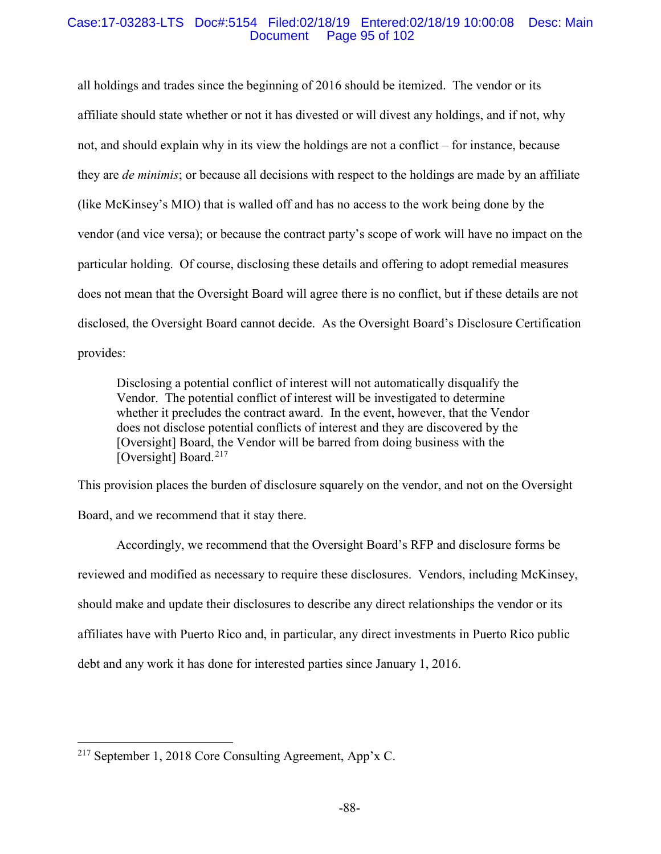## Case:17-03283-LTS Doc#:5154 Filed:02/18/19 Entered:02/18/19 10:00:08 Desc: Main Page 95 of 102

all holdings and trades since the beginning of 2016 should be itemized. The vendor or its affiliate should state whether or not it has divested or will divest any holdings, and if not, why not, and should explain why in its view the holdings are not a conflict – for instance, because they are *de minimis*; or because all decisions with respect to the holdings are made by an affiliate (like McKinsey's MIO) that is walled off and has no access to the work being done by the vendor (and vice versa); or because the contract party's scope of work will have no impact on the particular holding. Of course, disclosing these details and offering to adopt remedial measures does not mean that the Oversight Board will agree there is no conflict, but if these details are not disclosed, the Oversight Board cannot decide. As the Oversight Board's Disclosure Certification provides:

Disclosing a potential conflict of interest will not automatically disqualify the Vendor. The potential conflict of interest will be investigated to determine whether it precludes the contract award. In the event, however, that the Vendor does not disclose potential conflicts of interest and they are discovered by the [Oversight] Board, the Vendor will be barred from doing business with the [Oversight] Board.<sup>217</sup>

This provision places the burden of disclosure squarely on the vendor, and not on the Oversight Board, and we recommend that it stay there.

Accordingly, we recommend that the Oversight Board's RFP and disclosure forms be reviewed and modified as necessary to require these disclosures. Vendors, including McKinsey, should make and update their disclosures to describe any direct relationships the vendor or its affiliates have with Puerto Rico and, in particular, any direct investments in Puerto Rico public debt and any work it has done for interested parties since January 1, 2016.

 <sup>217</sup> September 1, 2018 Core Consulting Agreement, App'x C.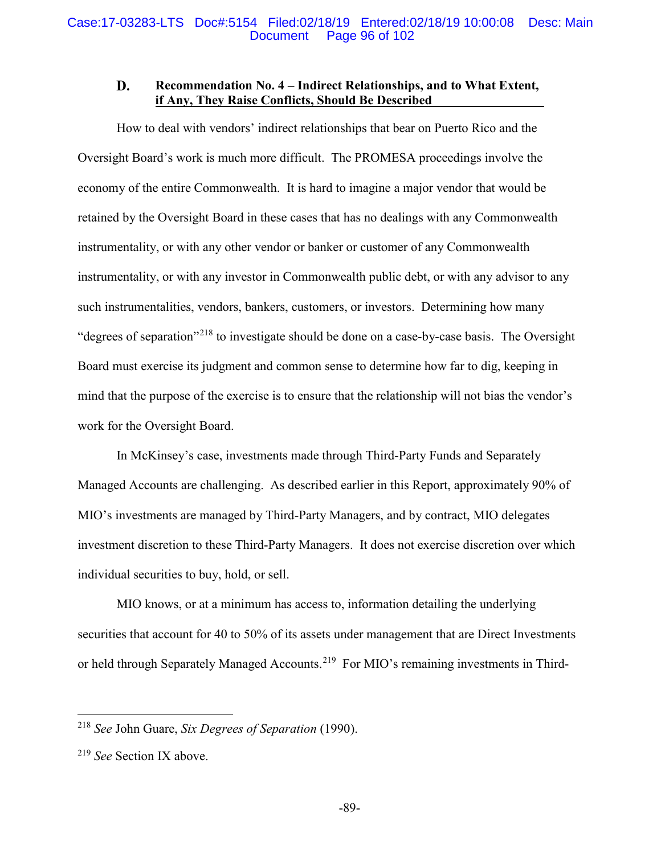### D. **Recommendation No. 4 – Indirect Relationships, and to What Extent, if Any, They Raise Conflicts, Should Be Described**

How to deal with vendors' indirect relationships that bear on Puerto Rico and the Oversight Board's work is much more difficult. The PROMESA proceedings involve the economy of the entire Commonwealth. It is hard to imagine a major vendor that would be retained by the Oversight Board in these cases that has no dealings with any Commonwealth instrumentality, or with any other vendor or banker or customer of any Commonwealth instrumentality, or with any investor in Commonwealth public debt, or with any advisor to any such instrumentalities, vendors, bankers, customers, or investors. Determining how many "degrees of separation"<sup>218</sup> to investigate should be done on a case-by-case basis. The Oversight Board must exercise its judgment and common sense to determine how far to dig, keeping in mind that the purpose of the exercise is to ensure that the relationship will not bias the vendor's work for the Oversight Board.

In McKinsey's case, investments made through Third-Party Funds and Separately Managed Accounts are challenging. As described earlier in this Report, approximately 90% of MIO's investments are managed by Third-Party Managers, and by contract, MIO delegates investment discretion to these Third-Party Managers. It does not exercise discretion over which individual securities to buy, hold, or sell.

MIO knows, or at a minimum has access to, information detailing the underlying securities that account for 40 to 50% of its assets under management that are Direct Investments or held through Separately Managed Accounts.<sup>219</sup> For MIO's remaining investments in Third-

 <sup>218</sup> *See* John Guare, *Six Degrees of Separation* (1990).

<sup>219</sup> *See* Section IX above.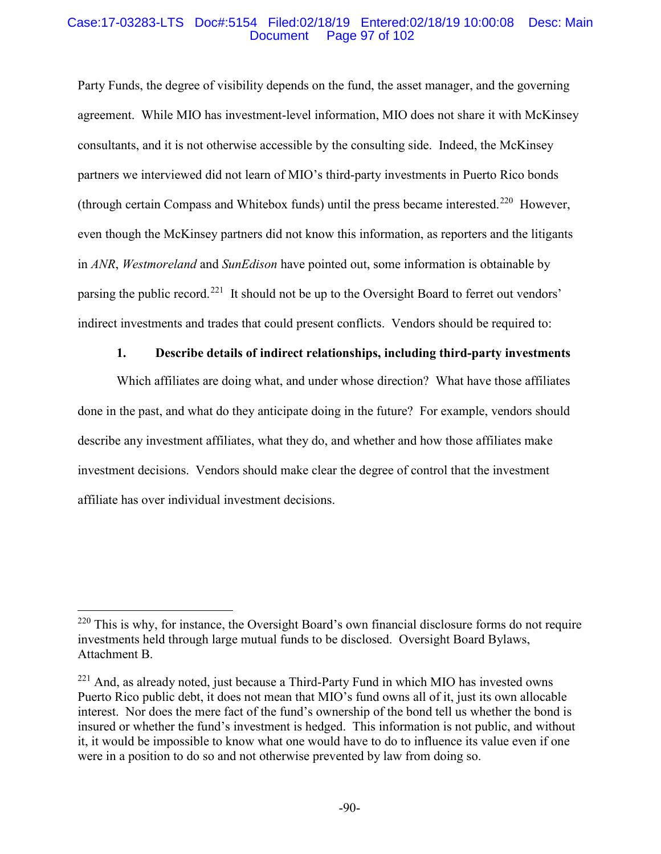## Case:17-03283-LTS Doc#:5154 Filed:02/18/19 Entered:02/18/19 10:00:08 Desc: Main Page 97 of 102

Party Funds, the degree of visibility depends on the fund, the asset manager, and the governing agreement. While MIO has investment-level information, MIO does not share it with McKinsey consultants, and it is not otherwise accessible by the consulting side. Indeed, the McKinsey partners we interviewed did not learn of MIO's third-party investments in Puerto Rico bonds (through certain Compass and Whitebox funds) until the press became interested. 220 However, even though the McKinsey partners did not know this information, as reporters and the litigants in *ANR*, *Westmoreland* and *SunEdison* have pointed out, some information is obtainable by parsing the public record.<sup>221</sup> It should not be up to the Oversight Board to ferret out vendors' indirect investments and trades that could present conflicts. Vendors should be required to:

# **1. Describe details of indirect relationships, including third-party investments**

Which affiliates are doing what, and under whose direction? What have those affiliates done in the past, and what do they anticipate doing in the future? For example, vendors should describe any investment affiliates, what they do, and whether and how those affiliates make investment decisions. Vendors should make clear the degree of control that the investment affiliate has over individual investment decisions.

 $220$  This is why, for instance, the Oversight Board's own financial disclosure forms do not require investments held through large mutual funds to be disclosed. Oversight Board Bylaws, Attachment B.

 $221$  And, as already noted, just because a Third-Party Fund in which MIO has invested owns Puerto Rico public debt, it does not mean that MIO's fund owns all of it, just its own allocable interest. Nor does the mere fact of the fund's ownership of the bond tell us whether the bond is insured or whether the fund's investment is hedged. This information is not public, and without it, it would be impossible to know what one would have to do to influence its value even if one were in a position to do so and not otherwise prevented by law from doing so.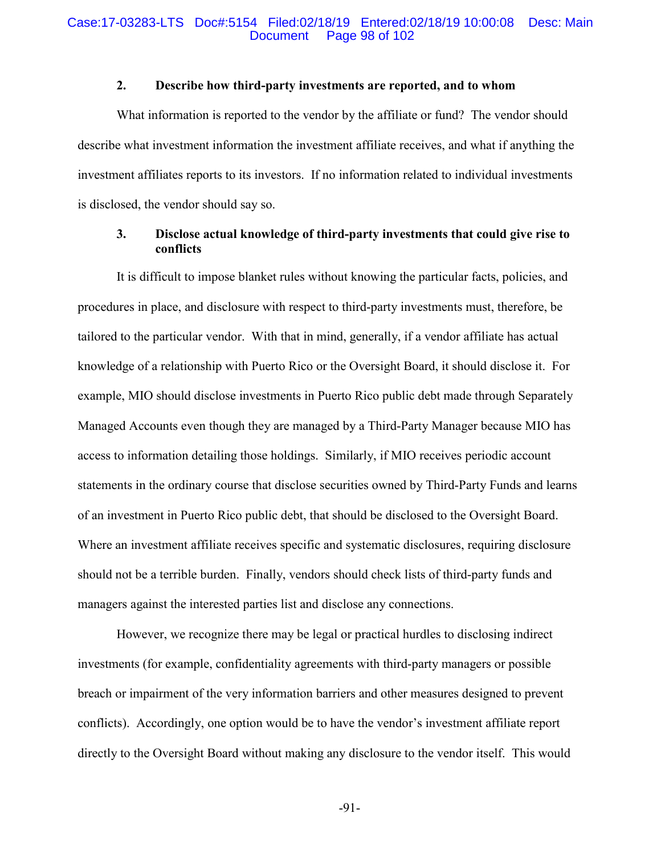## Case:17-03283-LTS Doc#:5154 Filed:02/18/19 Entered:02/18/19 10:00:08 Desc: Main Page 98 of 102

# **2. Describe how third-party investments are reported, and to whom**

What information is reported to the vendor by the affiliate or fund? The vendor should describe what investment information the investment affiliate receives, and what if anything the investment affiliates reports to its investors. If no information related to individual investments is disclosed, the vendor should say so.

# **3. Disclose actual knowledge of third-party investments that could give rise to conflicts**

It is difficult to impose blanket rules without knowing the particular facts, policies, and procedures in place, and disclosure with respect to third-party investments must, therefore, be tailored to the particular vendor. With that in mind, generally, if a vendor affiliate has actual knowledge of a relationship with Puerto Rico or the Oversight Board, it should disclose it. For example, MIO should disclose investments in Puerto Rico public debt made through Separately Managed Accounts even though they are managed by a Third-Party Manager because MIO has access to information detailing those holdings. Similarly, if MIO receives periodic account statements in the ordinary course that disclose securities owned by Third-Party Funds and learns of an investment in Puerto Rico public debt, that should be disclosed to the Oversight Board. Where an investment affiliate receives specific and systematic disclosures, requiring disclosure should not be a terrible burden. Finally, vendors should check lists of third-party funds and managers against the interested parties list and disclose any connections.

However, we recognize there may be legal or practical hurdles to disclosing indirect investments (for example, confidentiality agreements with third-party managers or possible breach or impairment of the very information barriers and other measures designed to prevent conflicts). Accordingly, one option would be to have the vendor's investment affiliate report directly to the Oversight Board without making any disclosure to the vendor itself. This would

-91-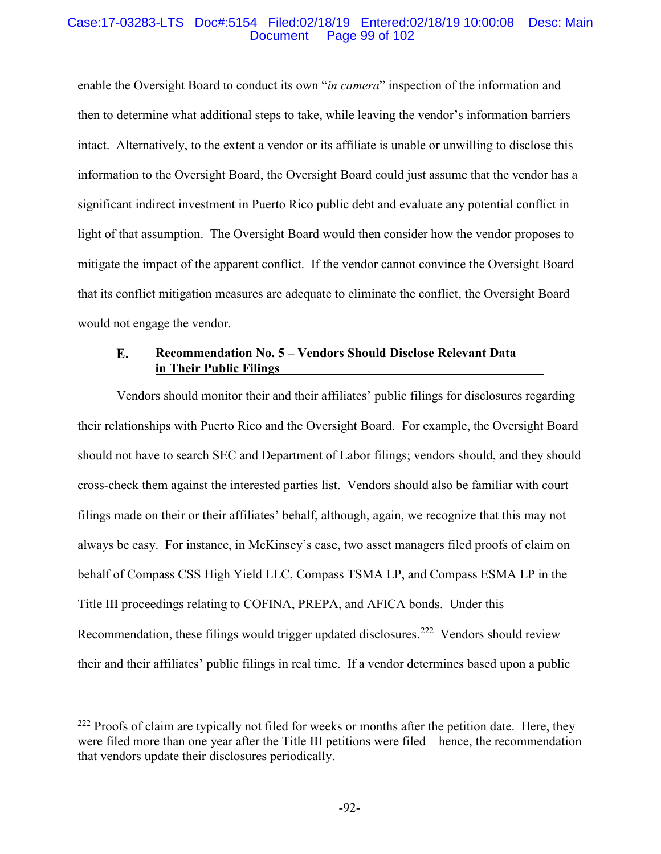## Case:17-03283-LTS Doc#:5154 Filed:02/18/19 Entered:02/18/19 10:00:08 Desc: Main Page 99 of 102

enable the Oversight Board to conduct its own "*in camera*" inspection of the information and then to determine what additional steps to take, while leaving the vendor's information barriers intact. Alternatively, to the extent a vendor or its affiliate is unable or unwilling to disclose this information to the Oversight Board, the Oversight Board could just assume that the vendor has a significant indirect investment in Puerto Rico public debt and evaluate any potential conflict in light of that assumption. The Oversight Board would then consider how the vendor proposes to mitigate the impact of the apparent conflict. If the vendor cannot convince the Oversight Board that its conflict mitigation measures are adequate to eliminate the conflict, the Oversight Board would not engage the vendor.

### E. **Recommendation No. 5 – Vendors Should Disclose Relevant Data in Their Public Filings**

Vendors should monitor their and their affiliates' public filings for disclosures regarding their relationships with Puerto Rico and the Oversight Board. For example, the Oversight Board should not have to search SEC and Department of Labor filings; vendors should, and they should cross-check them against the interested parties list. Vendors should also be familiar with court filings made on their or their affiliates' behalf, although, again, we recognize that this may not always be easy. For instance, in McKinsey's case, two asset managers filed proofs of claim on behalf of Compass CSS High Yield LLC, Compass TSMA LP, and Compass ESMA LP in the Title III proceedings relating to COFINA, PREPA, and AFICA bonds. Under this Recommendation, these filings would trigger updated disclosures.<sup>222</sup> Vendors should review their and their affiliates' public filings in real time. If a vendor determines based upon a public

<sup>&</sup>lt;sup>222</sup> Proofs of claim are typically not filed for weeks or months after the petition date. Here, they were filed more than one year after the Title III petitions were filed – hence, the recommendation that vendors update their disclosures periodically.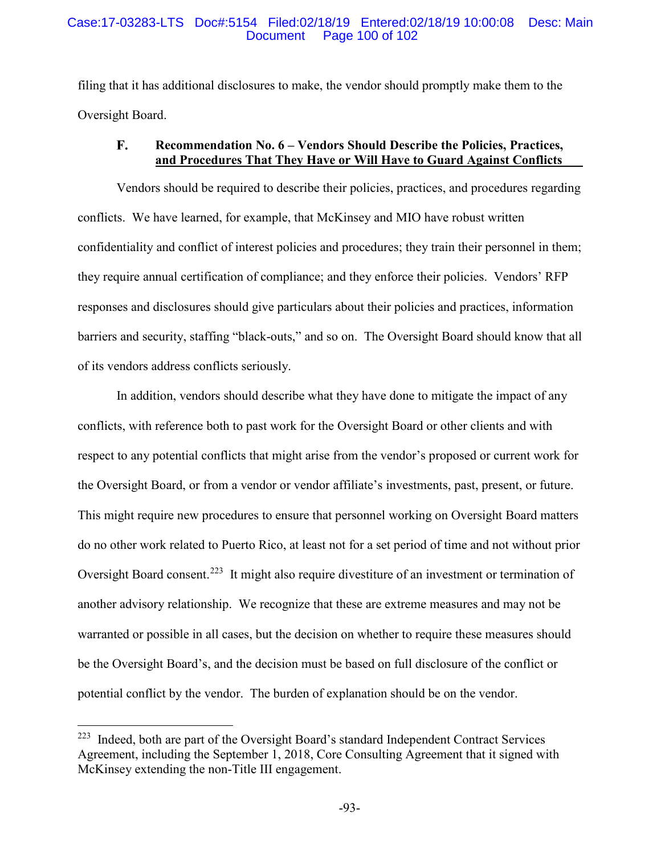## Case:17-03283-LTS Doc#:5154 Filed:02/18/19 Entered:02/18/19 10:00:08 Desc: Main Page 100 of 102

filing that it has additional disclosures to make, the vendor should promptly make them to the Oversight Board.

### **Recommendation No. 6 – Vendors Should Describe the Policies, Practices,** F. **and Procedures That They Have or Will Have to Guard Against Conflicts**

Vendors should be required to describe their policies, practices, and procedures regarding conflicts. We have learned, for example, that McKinsey and MIO have robust written confidentiality and conflict of interest policies and procedures; they train their personnel in them; they require annual certification of compliance; and they enforce their policies. Vendors' RFP responses and disclosures should give particulars about their policies and practices, information barriers and security, staffing "black-outs," and so on. The Oversight Board should know that all of its vendors address conflicts seriously.

In addition, vendors should describe what they have done to mitigate the impact of any conflicts, with reference both to past work for the Oversight Board or other clients and with respect to any potential conflicts that might arise from the vendor's proposed or current work for the Oversight Board, or from a vendor or vendor affiliate's investments, past, present, or future. This might require new procedures to ensure that personnel working on Oversight Board matters do no other work related to Puerto Rico, at least not for a set period of time and not without prior Oversight Board consent.<sup>223</sup> It might also require divestiture of an investment or termination of another advisory relationship. We recognize that these are extreme measures and may not be warranted or possible in all cases, but the decision on whether to require these measures should be the Oversight Board's, and the decision must be based on full disclosure of the conflict or potential conflict by the vendor. The burden of explanation should be on the vendor.

 <sup>223</sup> Indeed, both are part of the Oversight Board's standard Independent Contract Services Agreement, including the September 1, 2018, Core Consulting Agreement that it signed with McKinsey extending the non-Title III engagement.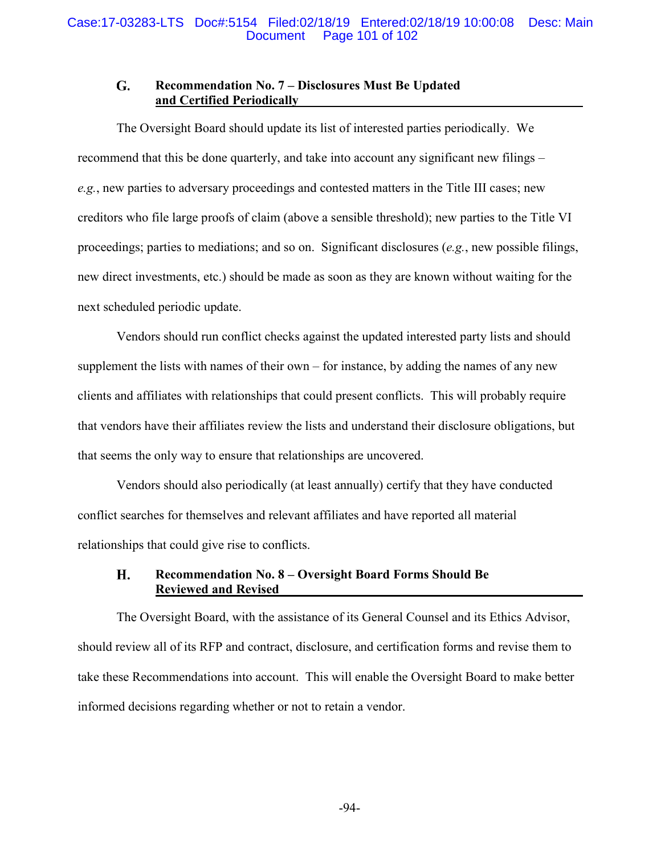### G. **Recommendation No. 7 – Disclosures Must Be Updated and Certified Periodically**

The Oversight Board should update its list of interested parties periodically. We recommend that this be done quarterly, and take into account any significant new filings – *e.g.*, new parties to adversary proceedings and contested matters in the Title III cases; new creditors who file large proofs of claim (above a sensible threshold); new parties to the Title VI proceedings; parties to mediations; and so on. Significant disclosures (*e.g.*, new possible filings, new direct investments, etc.) should be made as soon as they are known without waiting for the next scheduled periodic update.

Vendors should run conflict checks against the updated interested party lists and should supplement the lists with names of their own – for instance, by adding the names of any new clients and affiliates with relationships that could present conflicts. This will probably require that vendors have their affiliates review the lists and understand their disclosure obligations, but that seems the only way to ensure that relationships are uncovered.

Vendors should also periodically (at least annually) certify that they have conducted conflict searches for themselves and relevant affiliates and have reported all material relationships that could give rise to conflicts.

### Н. **Recommendation No. 8 – Oversight Board Forms Should Be Reviewed and Revised**

The Oversight Board, with the assistance of its General Counsel and its Ethics Advisor, should review all of its RFP and contract, disclosure, and certification forms and revise them to take these Recommendations into account. This will enable the Oversight Board to make better informed decisions regarding whether or not to retain a vendor.